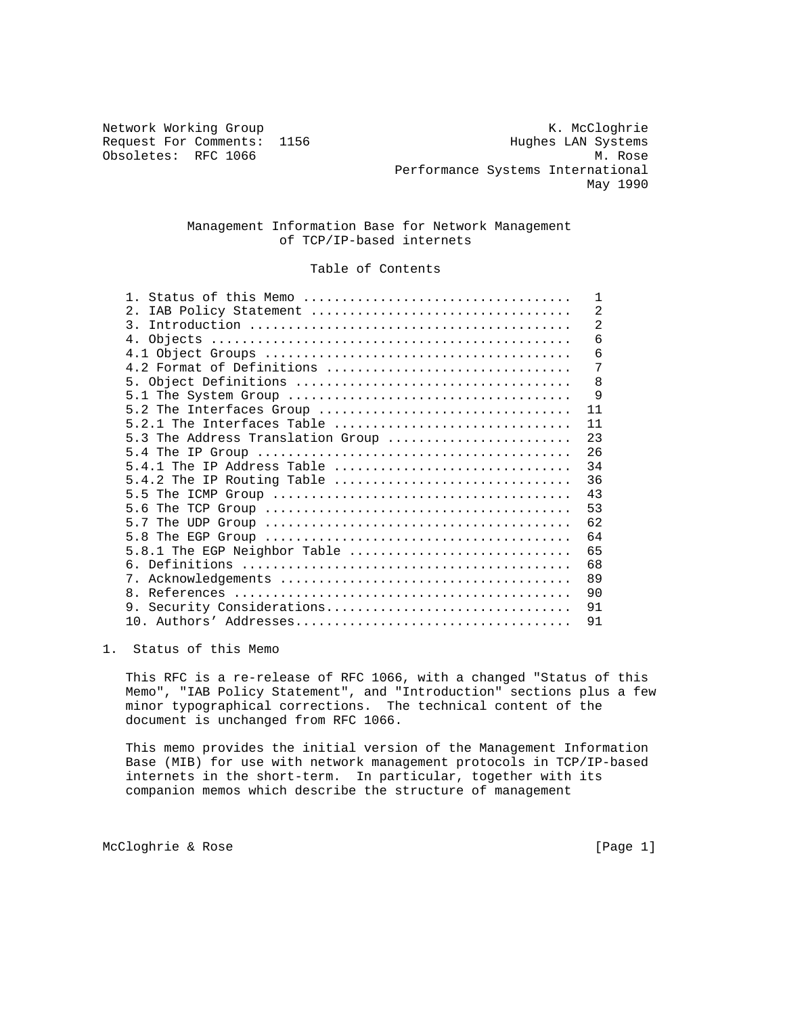Obsoletes: RFC 1066

Network Working Group Network McCloghrie Request For Comments: 1156 Hughes LAN Systems<br>
Obsoletes: RFC 1066 M. Rose Performance Systems International May 1990

## Management Information Base for Network Management of TCP/IP-based internets

# Table of Contents

| Status of this Memo<br>$\mathbf{1}$                                                                             | $\mathbf{1}$   |
|-----------------------------------------------------------------------------------------------------------------|----------------|
| 2.<br>IAB Policy Statement                                                                                      | $\overline{2}$ |
| $\mathcal{R}$                                                                                                   | $\overline{2}$ |
|                                                                                                                 | 6              |
|                                                                                                                 | 6              |
| 4.2 Format of Definitions                                                                                       | 7              |
|                                                                                                                 | 8              |
|                                                                                                                 | 9              |
| 5.2 The Interfaces Group                                                                                        | 11             |
| $5.2.1$ The Interfaces Table                                                                                    | 11             |
| 5.3 The Address Translation Group                                                                               | 23             |
|                                                                                                                 | 26             |
| 5.4.1 The IP Address Table                                                                                      | 34             |
| $5.4.2$ The IP Routing Table                                                                                    | 36             |
| 5.5 The ICMP Group $\ldots \ldots \ldots \ldots \ldots \ldots \ldots \ldots \ldots \ldots \ldots \ldots \ldots$ | 43             |
|                                                                                                                 | 53             |
|                                                                                                                 | 62             |
|                                                                                                                 | 64             |
| $5.8.1$ The EGP Neighbor Table                                                                                  | 65             |
|                                                                                                                 | 68             |
|                                                                                                                 | 89             |
| $\mathsf{R}$                                                                                                    | 90             |
| 9. Security Considerations                                                                                      | 91             |
|                                                                                                                 | 91             |
|                                                                                                                 |                |

## 1. Status of this Memo

 This RFC is a re-release of RFC 1066, with a changed "Status of this Memo", "IAB Policy Statement", and "Introduction" sections plus a few minor typographical corrections. The technical content of the document is unchanged from RFC 1066.

 This memo provides the initial version of the Management Information Base (MIB) for use with network management protocols in TCP/IP-based internets in the short-term. In particular, together with its companion memos which describe the structure of management

McCloghrie & Rose [Page 1]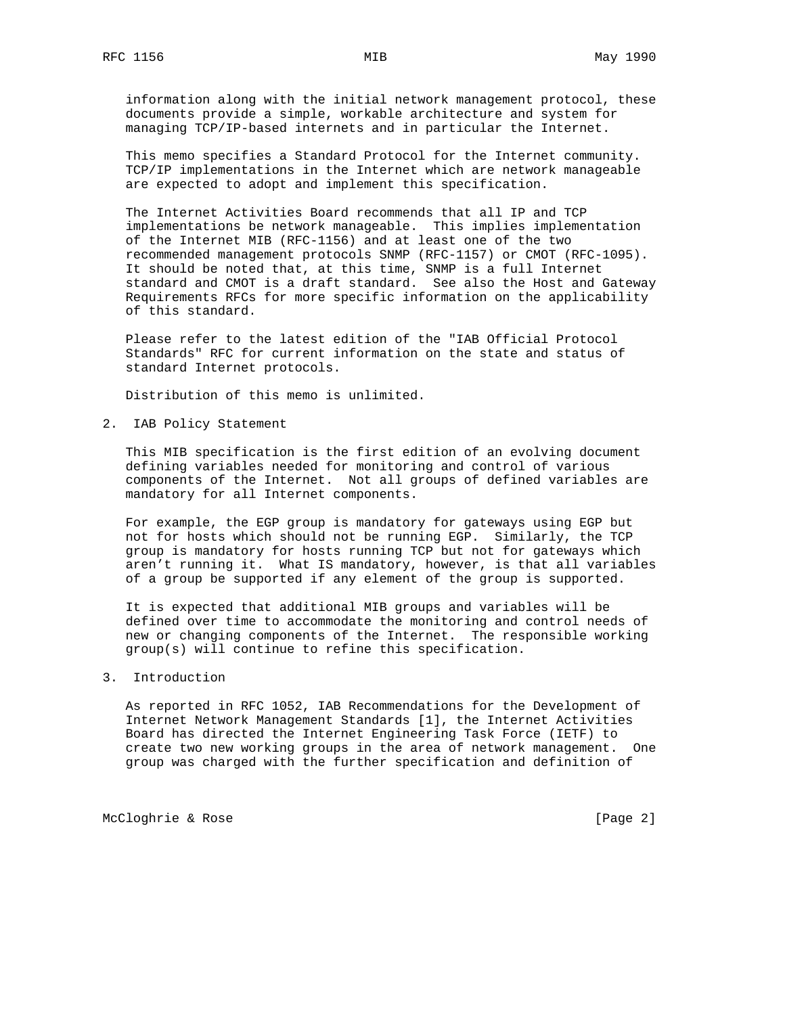information along with the initial network management protocol, these documents provide a simple, workable architecture and system for managing TCP/IP-based internets and in particular the Internet.

 This memo specifies a Standard Protocol for the Internet community. TCP/IP implementations in the Internet which are network manageable are expected to adopt and implement this specification.

 The Internet Activities Board recommends that all IP and TCP implementations be network manageable. This implies implementation of the Internet MIB (RFC-1156) and at least one of the two recommended management protocols SNMP (RFC-1157) or CMOT (RFC-1095). It should be noted that, at this time, SNMP is a full Internet standard and CMOT is a draft standard. See also the Host and Gateway Requirements RFCs for more specific information on the applicability of this standard.

 Please refer to the latest edition of the "IAB Official Protocol Standards" RFC for current information on the state and status of standard Internet protocols.

Distribution of this memo is unlimited.

2. IAB Policy Statement

 This MIB specification is the first edition of an evolving document defining variables needed for monitoring and control of various components of the Internet. Not all groups of defined variables are mandatory for all Internet components.

 For example, the EGP group is mandatory for gateways using EGP but not for hosts which should not be running EGP. Similarly, the TCP group is mandatory for hosts running TCP but not for gateways which aren't running it. What IS mandatory, however, is that all variables of a group be supported if any element of the group is supported.

 It is expected that additional MIB groups and variables will be defined over time to accommodate the monitoring and control needs of new or changing components of the Internet. The responsible working group(s) will continue to refine this specification.

## 3. Introduction

 As reported in RFC 1052, IAB Recommendations for the Development of Internet Network Management Standards [1], the Internet Activities Board has directed the Internet Engineering Task Force (IETF) to create two new working groups in the area of network management. One group was charged with the further specification and definition of

McCloghrie & Rose [Page 2]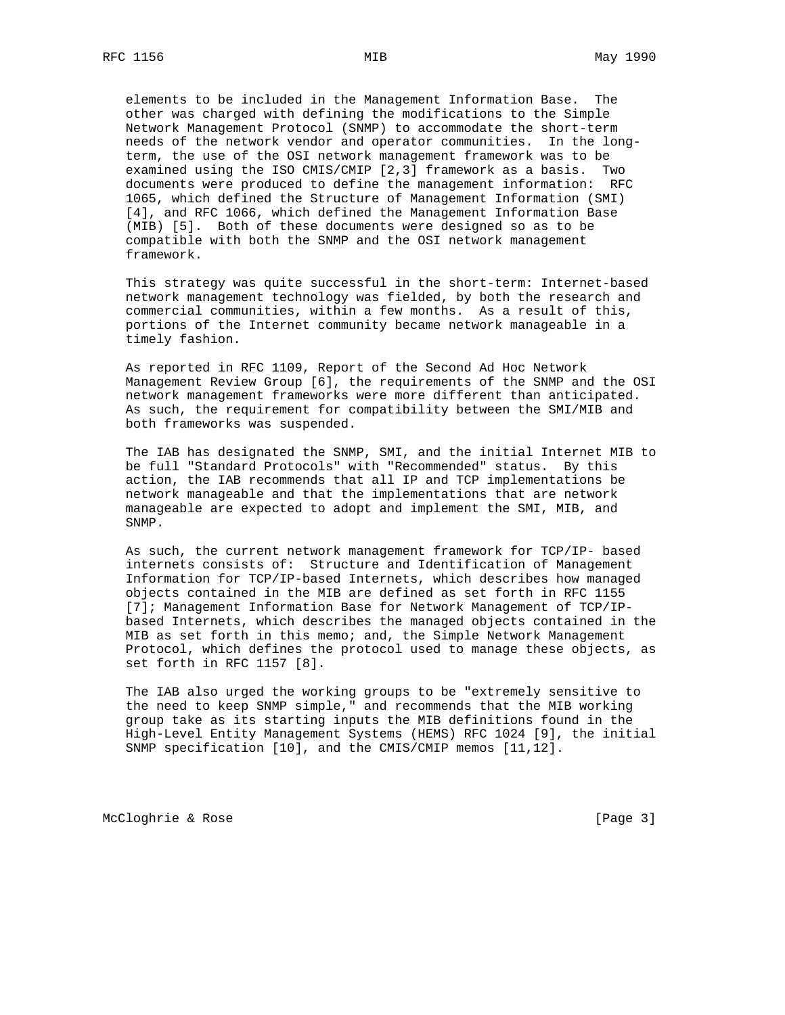elements to be included in the Management Information Base. The other was charged with defining the modifications to the Simple Network Management Protocol (SNMP) to accommodate the short-term needs of the network vendor and operator communities. In the long term, the use of the OSI network management framework was to be examined using the ISO CMIS/CMIP [2,3] framework as a basis. Two documents were produced to define the management information: RFC 1065, which defined the Structure of Management Information (SMI) [4], and RFC 1066, which defined the Management Information Base (MIB) [5]. Both of these documents were designed so as to be compatible with both the SNMP and the OSI network management framework.

 This strategy was quite successful in the short-term: Internet-based network management technology was fielded, by both the research and commercial communities, within a few months. As a result of this, portions of the Internet community became network manageable in a timely fashion.

 As reported in RFC 1109, Report of the Second Ad Hoc Network Management Review Group [6], the requirements of the SNMP and the OSI network management frameworks were more different than anticipated. As such, the requirement for compatibility between the SMI/MIB and both frameworks was suspended.

 The IAB has designated the SNMP, SMI, and the initial Internet MIB to be full "Standard Protocols" with "Recommended" status. By this action, the IAB recommends that all IP and TCP implementations be network manageable and that the implementations that are network manageable are expected to adopt and implement the SMI, MIB, and SNMP.

 As such, the current network management framework for TCP/IP- based internets consists of: Structure and Identification of Management Information for TCP/IP-based Internets, which describes how managed objects contained in the MIB are defined as set forth in RFC 1155 [7]; Management Information Base for Network Management of TCP/IP based Internets, which describes the managed objects contained in the MIB as set forth in this memo; and, the Simple Network Management Protocol, which defines the protocol used to manage these objects, as set forth in RFC 1157 [8].

 The IAB also urged the working groups to be "extremely sensitive to the need to keep SNMP simple," and recommends that the MIB working group take as its starting inputs the MIB definitions found in the High-Level Entity Management Systems (HEMS) RFC 1024 [9], the initial SNMP specification [10], and the CMIS/CMIP memos [11,12].

McCloghrie & Rose [Page 3]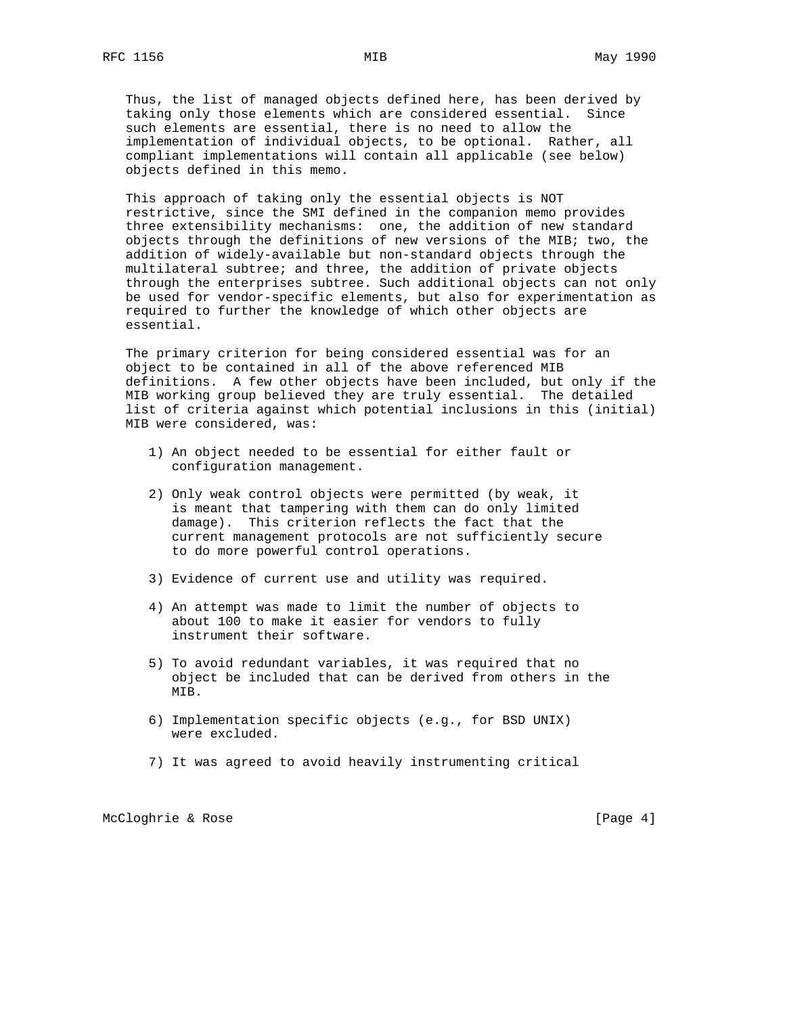Thus, the list of managed objects defined here, has been derived by taking only those elements which are considered essential. Since such elements are essential, there is no need to allow the implementation of individual objects, to be optional. Rather, all compliant implementations will contain all applicable (see below) objects defined in this memo.

 This approach of taking only the essential objects is NOT restrictive, since the SMI defined in the companion memo provides three extensibility mechanisms: one, the addition of new standard objects through the definitions of new versions of the MIB; two, the addition of widely-available but non-standard objects through the multilateral subtree; and three, the addition of private objects through the enterprises subtree. Such additional objects can not only be used for vendor-specific elements, but also for experimentation as required to further the knowledge of which other objects are essential.

 The primary criterion for being considered essential was for an object to be contained in all of the above referenced MIB definitions. A few other objects have been included, but only if the MIB working group believed they are truly essential. The detailed list of criteria against which potential inclusions in this (initial) MIB were considered, was:

- 1) An object needed to be essential for either fault or configuration management.
- 2) Only weak control objects were permitted (by weak, it is meant that tampering with them can do only limited damage). This criterion reflects the fact that the current management protocols are not sufficiently secure to do more powerful control operations.
- 3) Evidence of current use and utility was required.
- 4) An attempt was made to limit the number of objects to about 100 to make it easier for vendors to fully instrument their software.
- 5) To avoid redundant variables, it was required that no object be included that can be derived from others in the MIB.
- 6) Implementation specific objects (e.g., for BSD UNIX) were excluded.
- 7) It was agreed to avoid heavily instrumenting critical

McCloghrie & Rose [Page 4]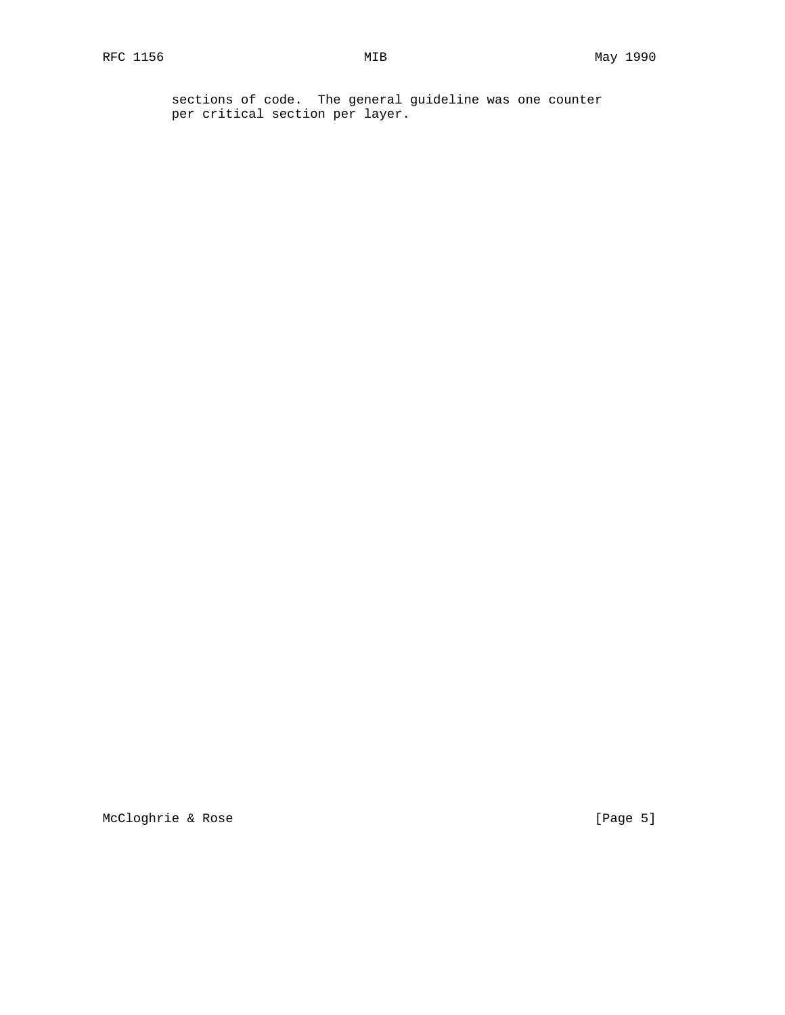sections of code. The general guideline was one counter per critical section per layer.

McCloghrie & Rose [Page 5]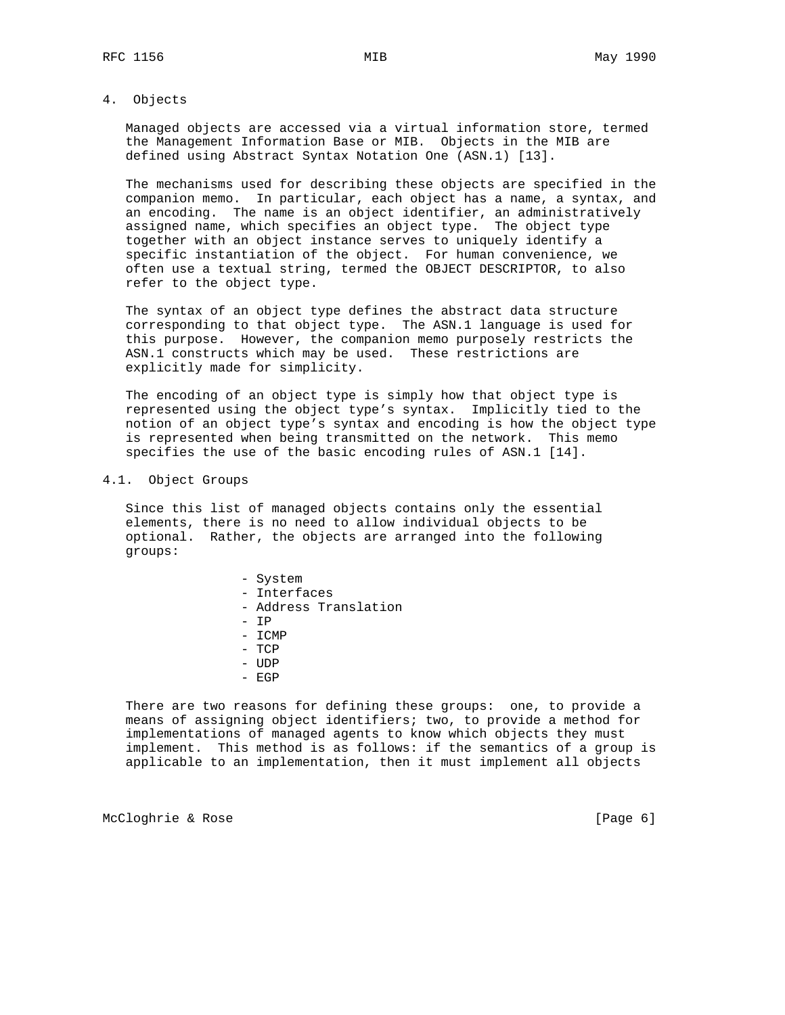### 4. Objects

 Managed objects are accessed via a virtual information store, termed the Management Information Base or MIB. Objects in the MIB are defined using Abstract Syntax Notation One (ASN.1) [13].

 The mechanisms used for describing these objects are specified in the companion memo. In particular, each object has a name, a syntax, and an encoding. The name is an object identifier, an administratively assigned name, which specifies an object type. The object type together with an object instance serves to uniquely identify a specific instantiation of the object. For human convenience, we often use a textual string, termed the OBJECT DESCRIPTOR, to also refer to the object type.

 The syntax of an object type defines the abstract data structure corresponding to that object type. The ASN.1 language is used for this purpose. However, the companion memo purposely restricts the ASN.1 constructs which may be used. These restrictions are explicitly made for simplicity.

 The encoding of an object type is simply how that object type is represented using the object type's syntax. Implicitly tied to the notion of an object type's syntax and encoding is how the object type is represented when being transmitted on the network. This memo specifies the use of the basic encoding rules of ASN.1 [14].

### 4.1. Object Groups

 Since this list of managed objects contains only the essential elements, there is no need to allow individual objects to be optional. Rather, the objects are arranged into the following groups:

> - System - Interfaces - Address Translation - IP - ICMP - TCP - UDP - EGP

 There are two reasons for defining these groups: one, to provide a means of assigning object identifiers; two, to provide a method for implementations of managed agents to know which objects they must implement. This method is as follows: if the semantics of a group is applicable to an implementation, then it must implement all objects

McCloghrie & Rose [Page 6]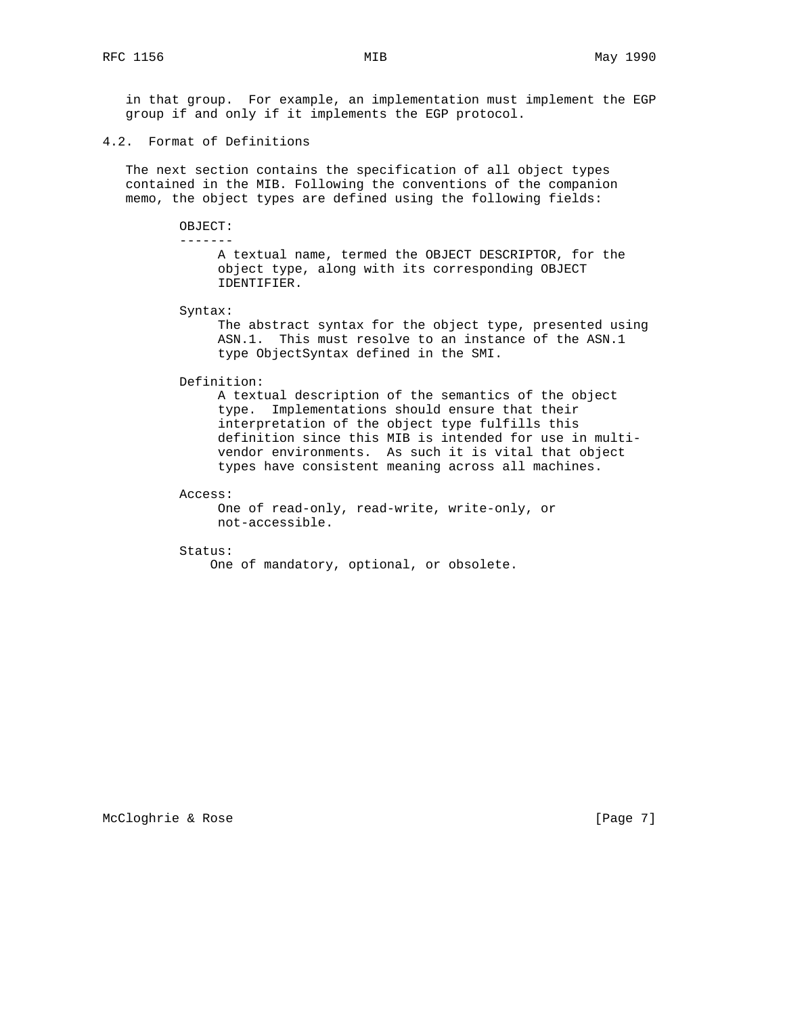in that group. For example, an implementation must implement the EGP group if and only if it implements the EGP protocol.

# 4.2. Format of Definitions

 The next section contains the specification of all object types contained in the MIB. Following the conventions of the companion memo, the object types are defined using the following fields:

#### OBJECT: -------

 A textual name, termed the OBJECT DESCRIPTOR, for the object type, along with its corresponding OBJECT IDENTIFIER.

Syntax:

 The abstract syntax for the object type, presented using ASN.1. This must resolve to an instance of the ASN.1 type ObjectSyntax defined in the SMI.

Definition:

 A textual description of the semantics of the object type. Implementations should ensure that their interpretation of the object type fulfills this definition since this MIB is intended for use in multi vendor environments. As such it is vital that object types have consistent meaning across all machines.

Access:

 One of read-only, read-write, write-only, or not-accessible.

Status:

One of mandatory, optional, or obsolete.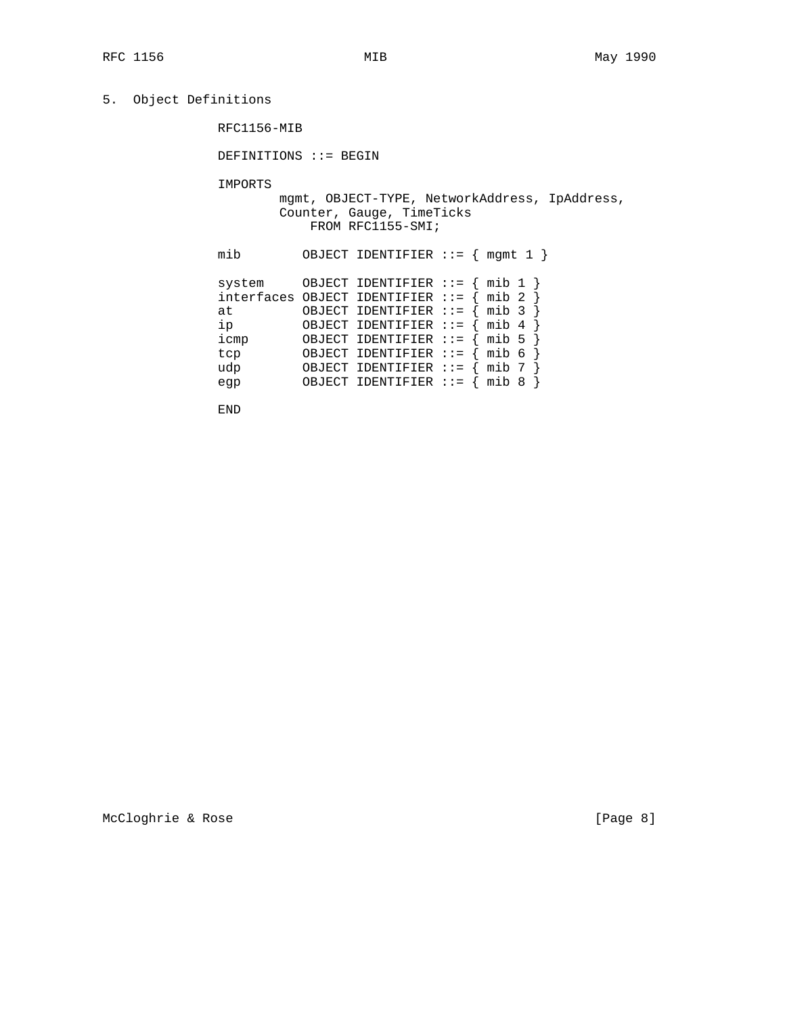# 5. Object Definitions

RFC1156-MIB

DEFINITIONS ::= BEGIN

IMPORTS

 mgmt, OBJECT-TYPE, NetworkAddress, IpAddress, Counter, Gauge, TimeTicks FROM RFC1155-SMI;

| mib                | OBJECT IDENTIFIER ::= $\{$                                                                                        |                    | mgmt 1                           |
|--------------------|-------------------------------------------------------------------------------------------------------------------|--------------------|----------------------------------|
| system<br>at<br>ip | OBJECT IDENTIFIER $::=$<br>$interfaces$ OBJECT IDENTIFIER $::=$<br>OBJECT IDENTIFIER ::=<br>OBJECT IDENTIFIER ::= |                    | mib 1<br>mib 2<br>mib 3<br>mib 4 |
| icmp               | OBJECT IDENTIFIER ::=                                                                                             |                    | mib 5                            |
| tcp                | OBJECT IDENTIFIER                                                                                                 | $\therefore$ : $=$ | mib 6                            |
| udp                | OBJECT IDENTIFIER                                                                                                 | $\therefore$ : $=$ | mib 7                            |
| egp                | OBJECT IDENTIFIER ::=                                                                                             |                    | mib                              |

END

McCloghrie & Rose [Page 8]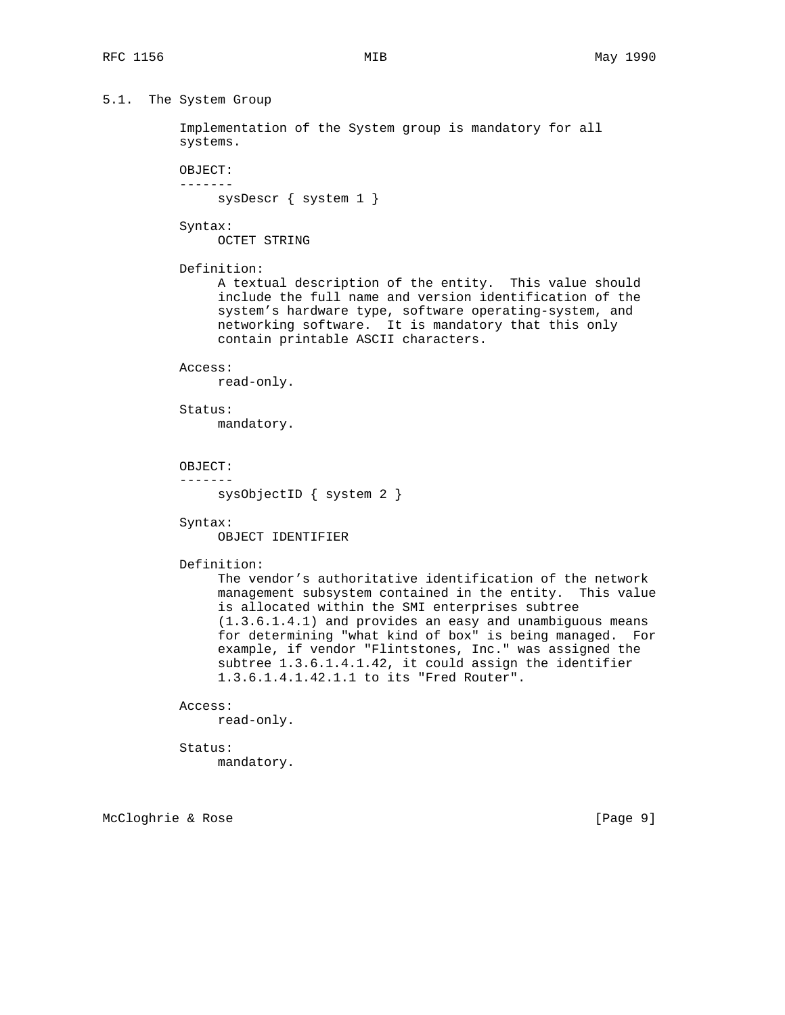```
5.1. The System Group
```
 Implementation of the System group is mandatory for all systems.

 OBJECT: -------

sysDescr { system 1 }

Syntax:

OCTET STRING

Definition:

 A textual description of the entity. This value should include the full name and version identification of the system's hardware type, software operating-system, and networking software. It is mandatory that this only contain printable ASCII characters.

#### Access:

read-only.

Status:

mandatory.

```
 OBJECT:
```
-------

sysObjectID { system 2 }

Syntax:

OBJECT IDENTIFIER

Definition:

 The vendor's authoritative identification of the network management subsystem contained in the entity. This value is allocated within the SMI enterprises subtree (1.3.6.1.4.1) and provides an easy and unambiguous means for determining "what kind of box" is being managed. For example, if vendor "Flintstones, Inc." was assigned the subtree 1.3.6.1.4.1.42, it could assign the identifier 1.3.6.1.4.1.42.1.1 to its "Fred Router".

#### Access:

read-only.

 Status: mandatory.

McCloghrie & Rose [Page 9]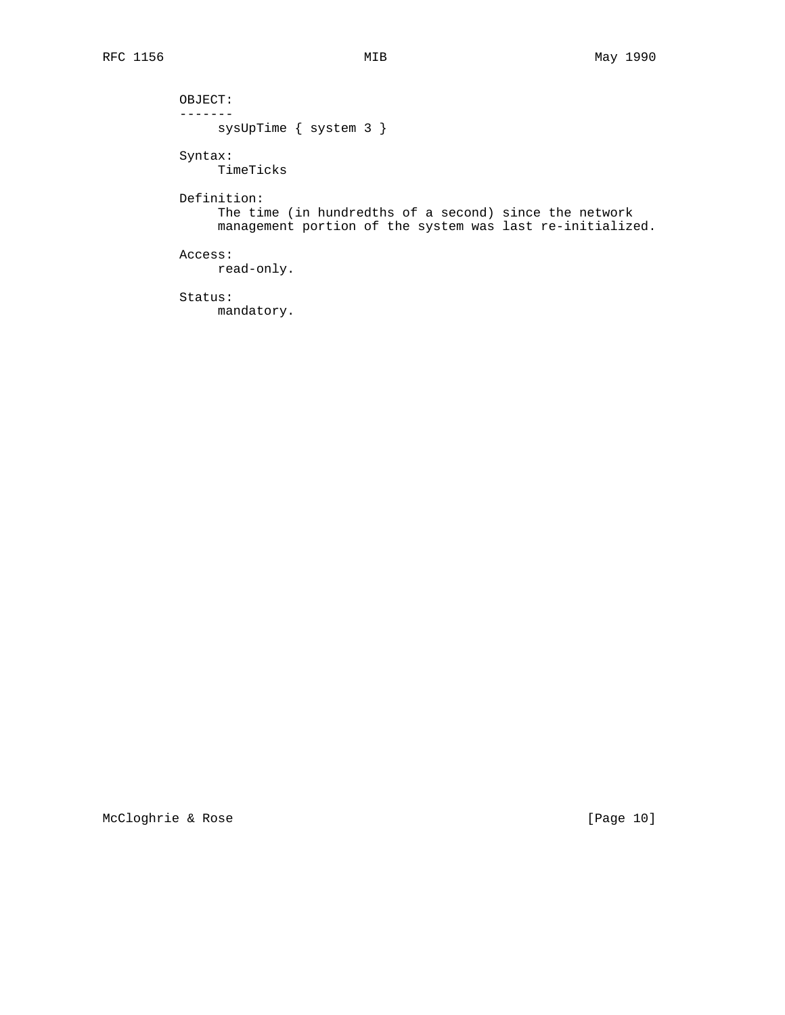sysUpTime { system 3 }

 Syntax: TimeTicks

 OBJECT:  $--------$ 

 Definition: The time (in hundredths of a second) since the network management portion of the system was last re-initialized.

 Access: read-only.

 Status: mandatory.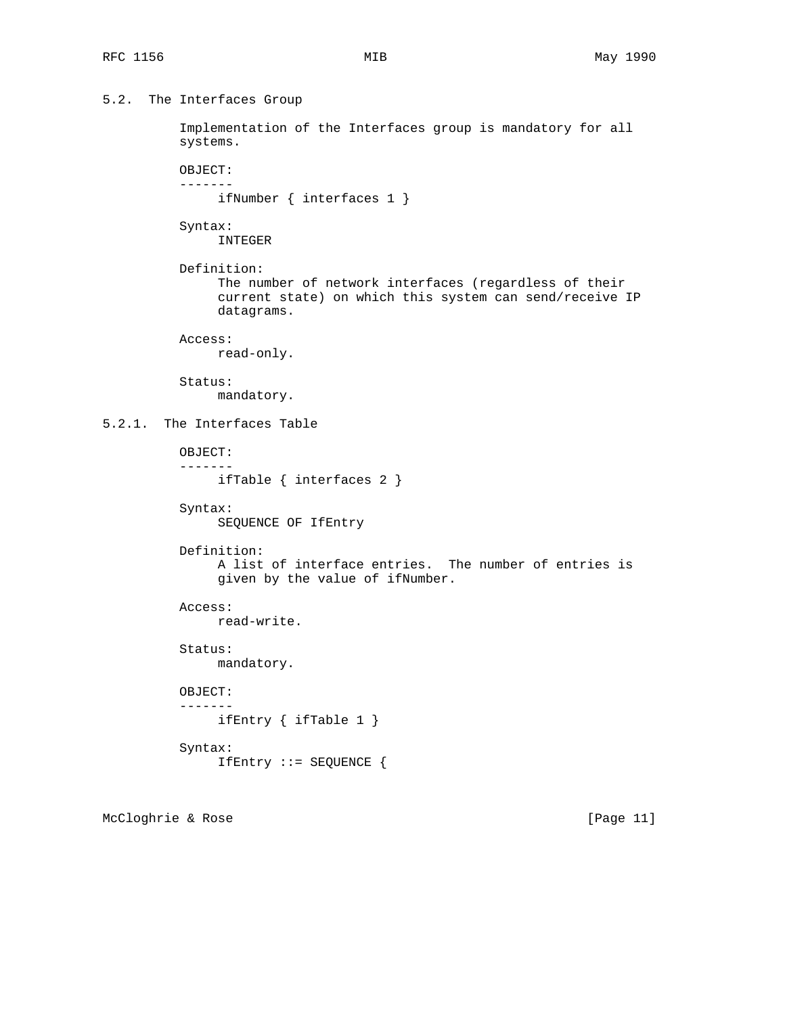```
5.2. The Interfaces Group
```
 Implementation of the Interfaces group is mandatory for all systems.

 OBJECT: -------

ifNumber { interfaces 1 }

Syntax:

INTEGER

 Definition: The number of network interfaces (regardless of their current state) on which this system can send/receive IP datagrams.

Access:

read-only.

 Status: mandatory.

# 5.2.1. The Interfaces Table

 OBJECT: ------ ifTable { interfaces 2 }

 Syntax: SEQUENCE OF IfEntry

Definition:

 A list of interface entries. The number of entries is given by the value of ifNumber.

 Access: read-write.

 Status: mandatory.

 OBJECT: ------ ifEntry { ifTable 1 } Syntax:

```
 IfEntry ::= SEQUENCE {
```
McCloghrie & Rose [Page 11]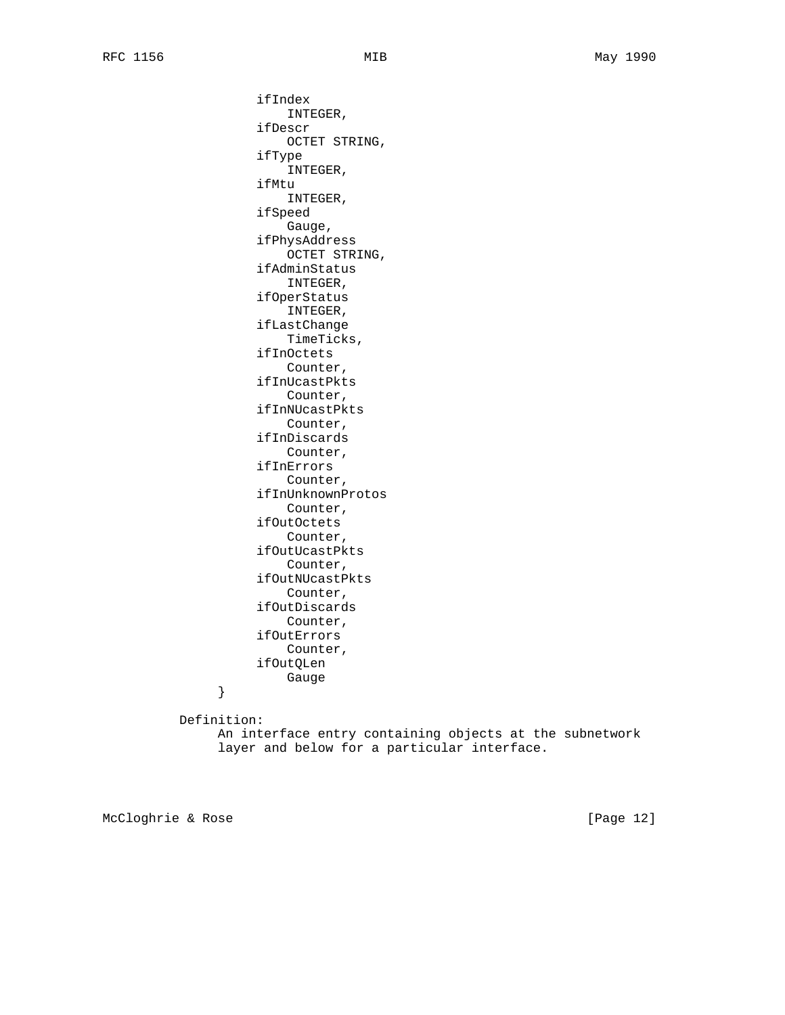ifIndex INTEGER, ifDescr OCTET STRING, ifType INTEGER, ifMtu INTEGER, ifSpeed Gauge, ifPhysAddress OCTET STRING, ifAdminStatus INTEGER, ifOperStatus INTEGER, ifLastChange TimeTicks, ifInOctets Counter, ifInUcastPkts Counter, ifInNUcastPkts Counter, ifInDiscards Counter, ifInErrors Counter, ifInUnknownProtos Counter, ifOutOctets Counter, ifOutUcastPkts Counter, ifOutNUcastPkts Counter, ifOutDiscards Counter, ifOutErrors Counter, ifOutQLen }<br>}<br>}

Definition:

 An interface entry containing objects at the subnetwork layer and below for a particular interface.

McCloghrie & Rose [Page 12]

}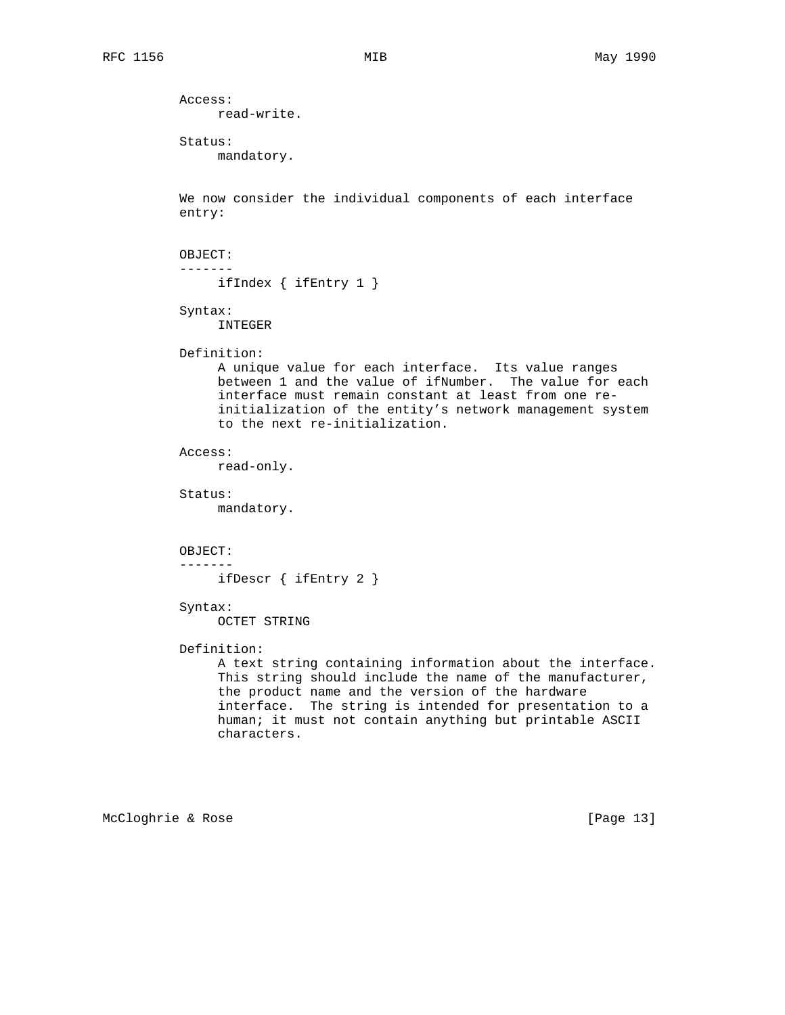```
 Access:
     read-write.
 Status:
      mandatory.
 We now consider the individual components of each interface
 entry:
 OBJECT:
 -------
      ifIndex { ifEntry 1 }
 Syntax:
      INTEGER
 Definition:
      A unique value for each interface. Its value ranges
      between 1 and the value of ifNumber. The value for each
      interface must remain constant at least from one re-
      initialization of the entity's network management system
      to the next re-initialization.
 Access:
      read-only.
 Status:
      mandatory.
 OBJECT:
 -------
      ifDescr { ifEntry 2 }
 Syntax:
      OCTET STRING
 Definition:
      A text string containing information about the interface.
      This string should include the name of the manufacturer,
      the product name and the version of the hardware
      interface. The string is intended for presentation to a
      human; it must not contain anything but printable ASCII
      characters.
```
McCloghrie & Rose [Page 13]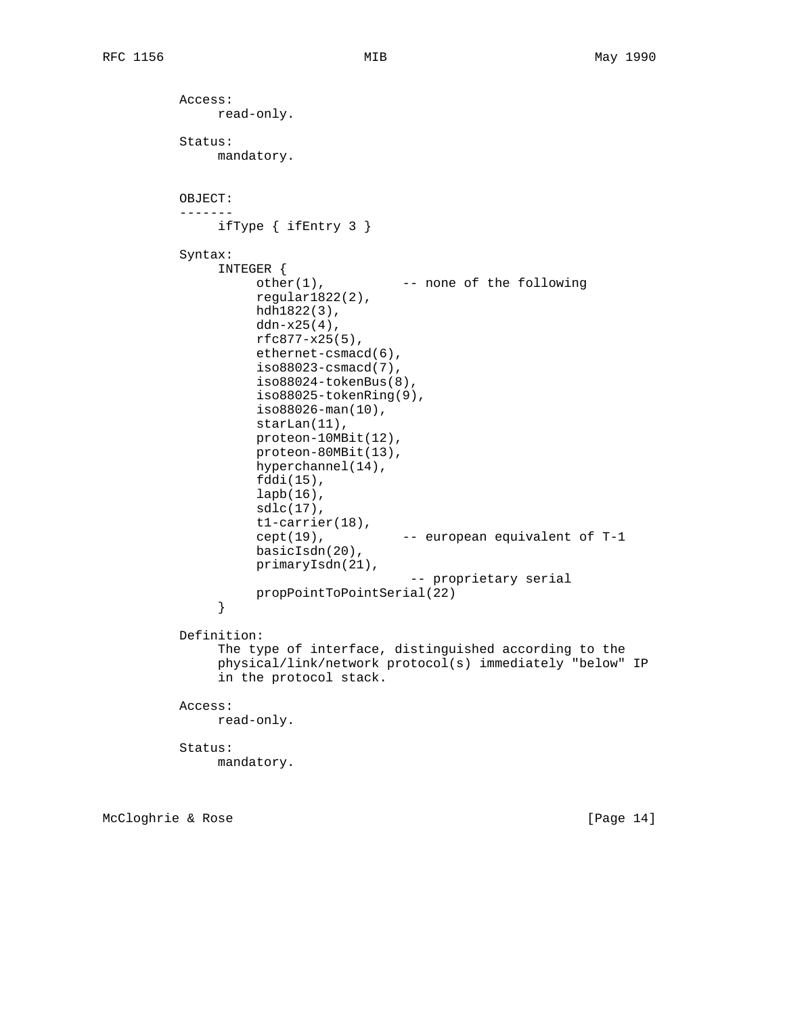```
 Access:
                read-only.
          Status:
                mandatory.
          OBJECT:
           -------
               ifType { ifEntry 3 }
          Syntax:
                INTEGER {
                    other(1), -- none of the following
                     regular1822(2),
                     hdh1822(3),
                    ddn-x25(4),
                     rfc877-x25(5),
                     ethernet-csmacd(6),
                     iso88023-csmacd(7),
                     iso88024-tokenBus(8),
                     iso88025-tokenRing(9),
                     iso88026-man(10),
                     starLan(11),
                     proteon-10MBit(12),
                     proteon-80MBit(13),
                     hyperchannel(14),
                     fddi(15),
                     lapb(16),
                    sdlc(17),
                     t1-carrier(18),
                     cept(19), -- european equivalent of T-1
                     basicIsdn(20),
                     primaryIsdn(21),
                                         -- proprietary serial
               propPointToPointSerial(22)<br>}
 }
          Definition:
                The type of interface, distinguished according to the
                physical/link/network protocol(s) immediately "below" IP
                in the protocol stack.
          Access:
               read-only.
          Status:
               mandatory.
```
McCloghrie & Rose [Page 14]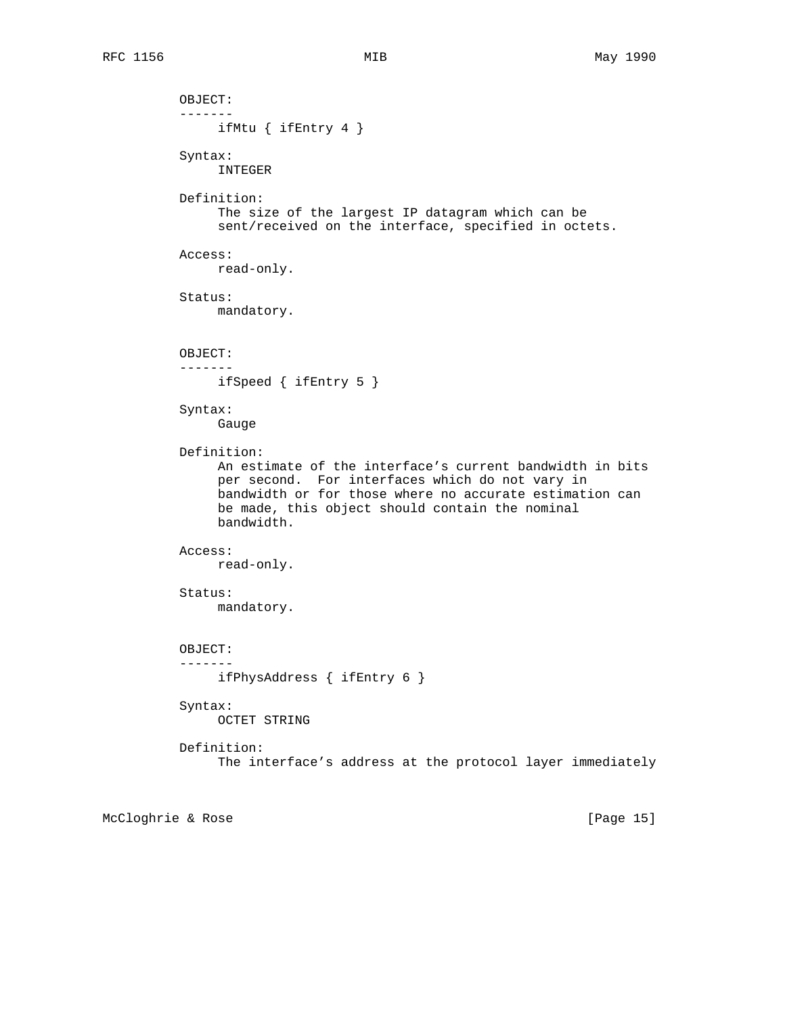```
 OBJECT:
 -------
      ifMtu { ifEntry 4 }
 Syntax:
      INTEGER
 Definition:
      The size of the largest IP datagram which can be
      sent/received on the interface, specified in octets.
 Access:
      read-only.
 Status:
     mandatory.
 OBJECT:
 -------
     ifSpeed { ifEntry 5 }
 Syntax:
      Gauge
 Definition:
      An estimate of the interface's current bandwidth in bits
      per second. For interfaces which do not vary in
      bandwidth or for those where no accurate estimation can
      be made, this object should contain the nominal
      bandwidth.
 Access:
      read-only.
 Status:
     mandatory.
 OBJECT:
 -------
      ifPhysAddress { ifEntry 6 }
 Syntax:
      OCTET STRING
 Definition:
      The interface's address at the protocol layer immediately
```
McCloghrie & Rose [Page 15]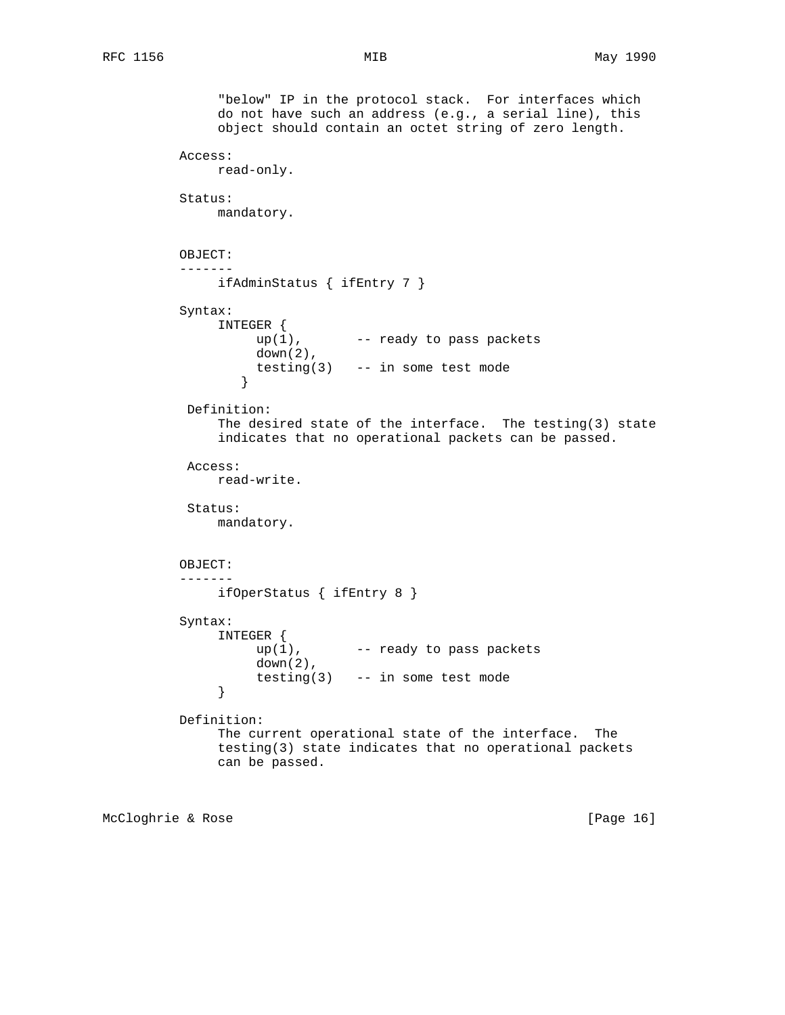```
 "below" IP in the protocol stack. For interfaces which
               do not have such an address (e.g., a serial line), this
               object should contain an octet string of zero length.
          Access:
               read-only.
          Status:
               mandatory.
          OBJECT:
          -------
               ifAdminStatus { ifEntry 7 }
          Syntax:
               INTEGER {
                  up(1), - ready to pass packets
                    down(2),
                 testing(3) -- in some test mode \} }
           Definition:
               The desired state of the interface. The testing(3) state
               indicates that no operational packets can be passed.
           Access:
               read-write.
           Status:
               mandatory.
          OBJECT:
          -------
               ifOperStatus { ifEntry 8 }
          Syntax:
               INTEGER {
                   up(1), -- ready to pass packets
                    down(2),
              testing(3) -- in some test mode }
 }
          Definition:
               The current operational state of the interface. The
               testing(3) state indicates that no operational packets
               can be passed.
```
McCloghrie & Rose [Page 16]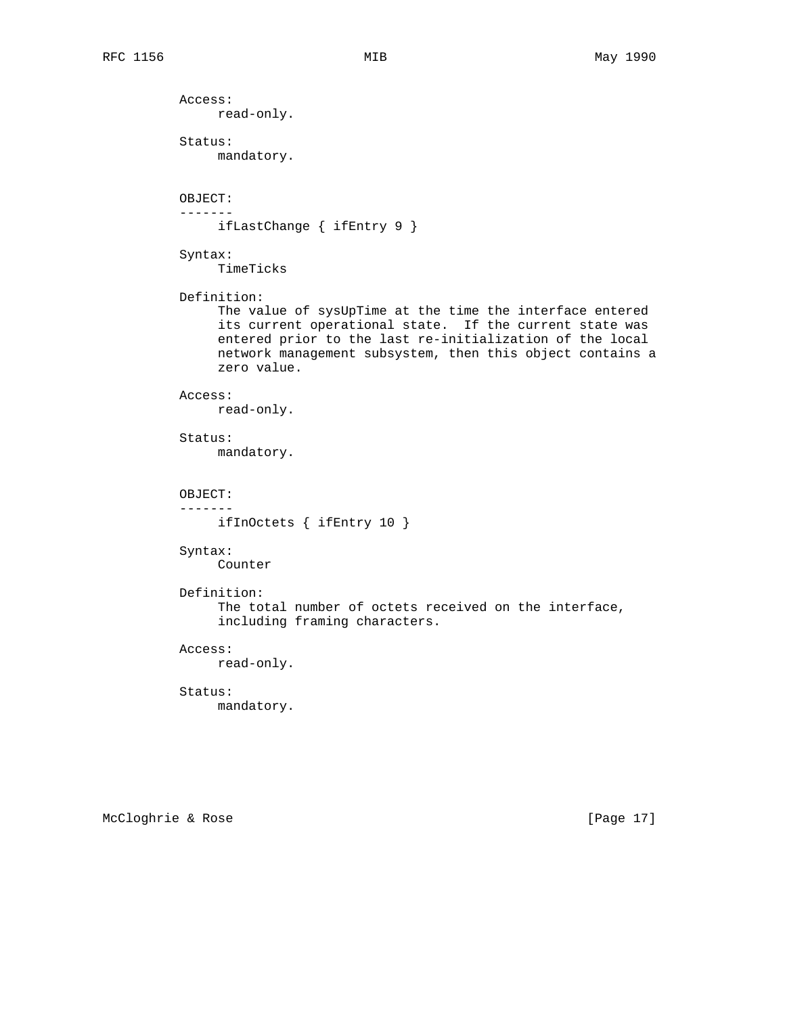Access: read-only. Status: mandatory. OBJECT: ------ ifLastChange { ifEntry 9 } Syntax: TimeTicks Definition: The value of sysUpTime at the time the interface entered its current operational state. If the current state was entered prior to the last re-initialization of the local network management subsystem, then this object contains a zero value. Access: read-only. Status: mandatory. OBJECT: ------ ifInOctets { ifEntry 10 } Syntax: Counter Definition: The total number of octets received on the interface, including framing characters. Access: read-only. Status: mandatory.

McCloghrie & Rose [Page 17]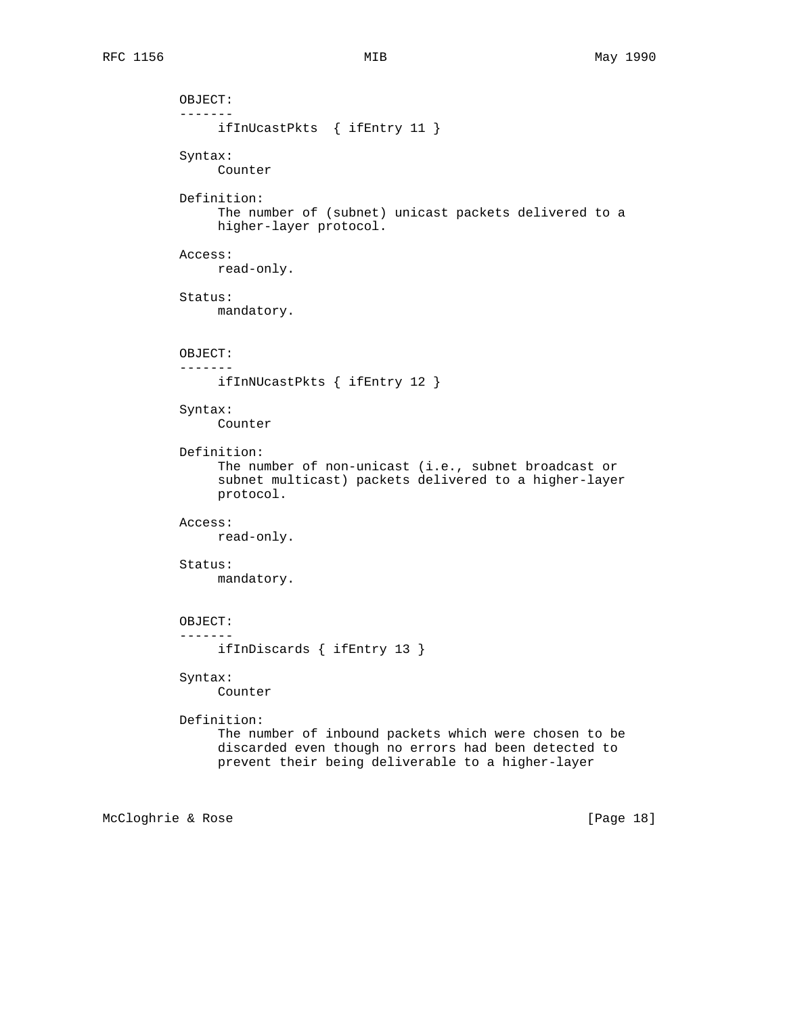```
 OBJECT:
 -------
      ifInUcastPkts { ifEntry 11 }
 Syntax:
      Counter
 Definition:
      The number of (subnet) unicast packets delivered to a
      higher-layer protocol.
 Access:
      read-only.
 Status:
      mandatory.
 OBJECT:
 -------
     ifInNUcastPkts { ifEntry 12 }
 Syntax:
      Counter
 Definition:
      The number of non-unicast (i.e., subnet broadcast or
      subnet multicast) packets delivered to a higher-layer
      protocol.
 Access:
      read-only.
 Status:
      mandatory.
 OBJECT:
 -------
      ifInDiscards { ifEntry 13 }
 Syntax:
      Counter
 Definition:
      The number of inbound packets which were chosen to be
      discarded even though no errors had been detected to
      prevent their being deliverable to a higher-layer
```
McCloghrie & Rose [Page 18]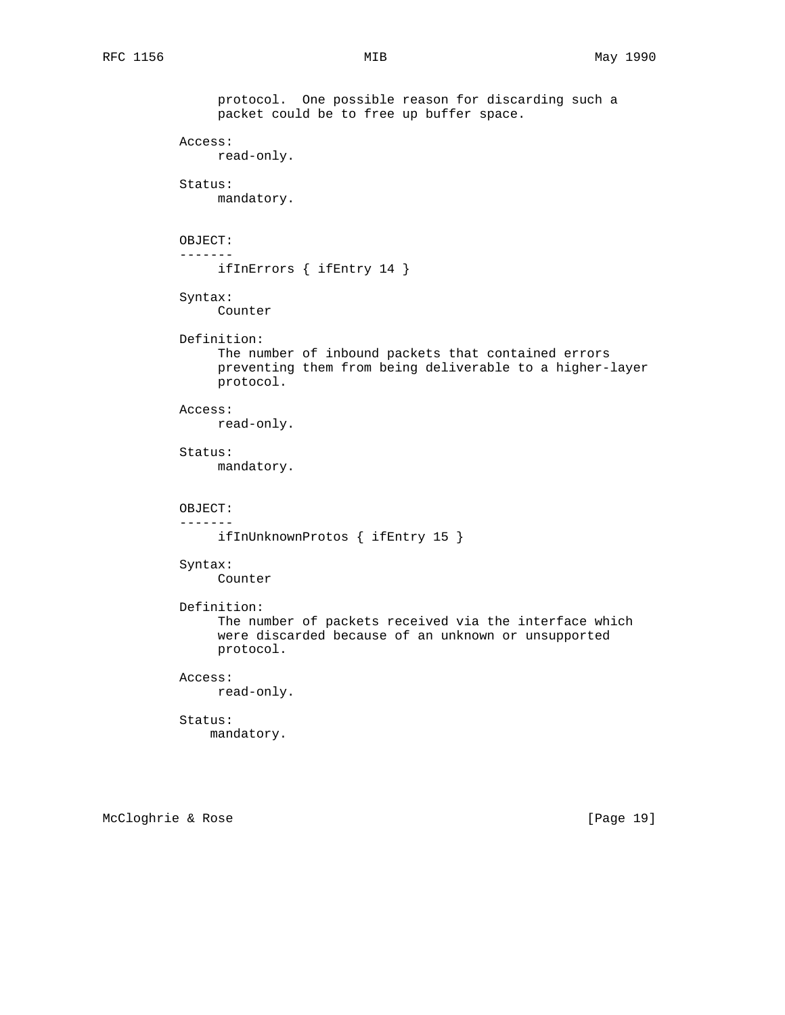protocol. One possible reason for discarding such a packet could be to free up buffer space. Access: read-only. Status: mandatory. OBJECT: ------ ifInErrors { ifEntry 14 } Syntax: Counter Definition: The number of inbound packets that contained errors preventing them from being deliverable to a higher-layer protocol. Access: read-only. Status: mandatory. OBJECT: ------ ifInUnknownProtos { ifEntry 15 } Syntax: Counter Definition: The number of packets received via the interface which were discarded because of an unknown or unsupported protocol. Access: read-only. Status: mandatory.

McCloghrie & Rose [Page 19]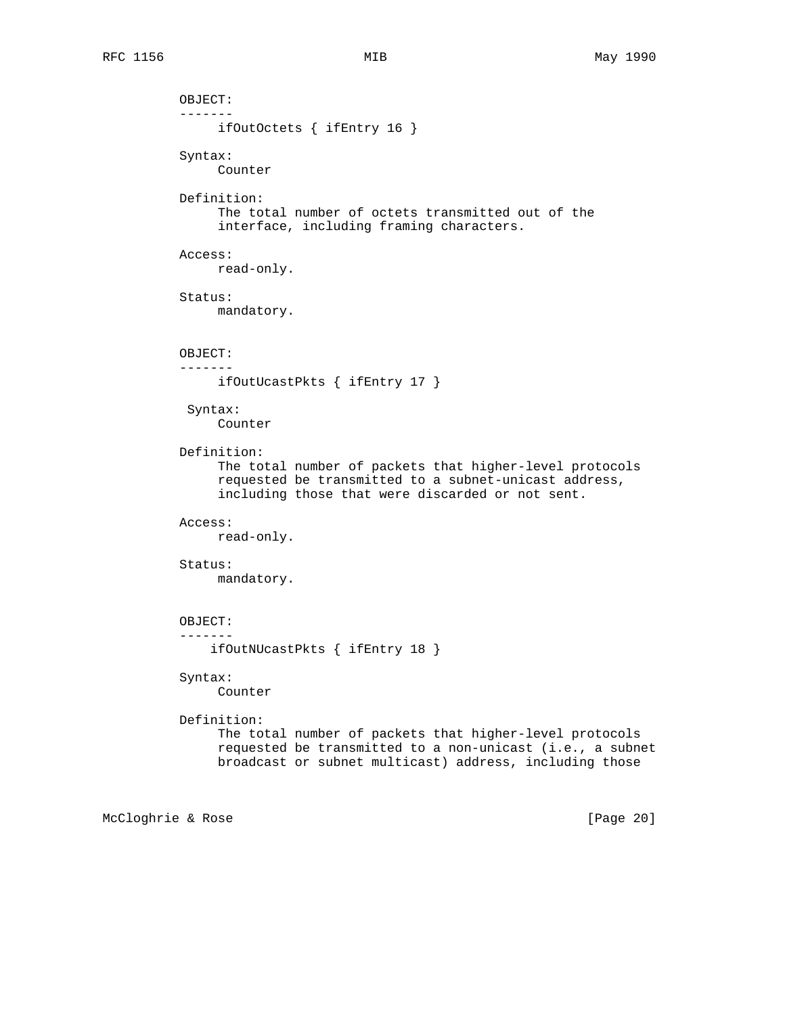OBJECT: ------ ifOutOctets { ifEntry 16 } Syntax: Counter Definition: The total number of octets transmitted out of the interface, including framing characters. Access: read-only. Status: mandatory. OBJECT: ------ ifOutUcastPkts { ifEntry 17 } Syntax: Counter Definition: The total number of packets that higher-level protocols requested be transmitted to a subnet-unicast address, including those that were discarded or not sent. Access: read-only. Status: mandatory. OBJECT: ------ ifOutNUcastPkts { ifEntry 18 } Syntax: Counter Definition: The total number of packets that higher-level protocols requested be transmitted to a non-unicast (i.e., a subnet broadcast or subnet multicast) address, including those

McCloghrie & Rose [Page 20]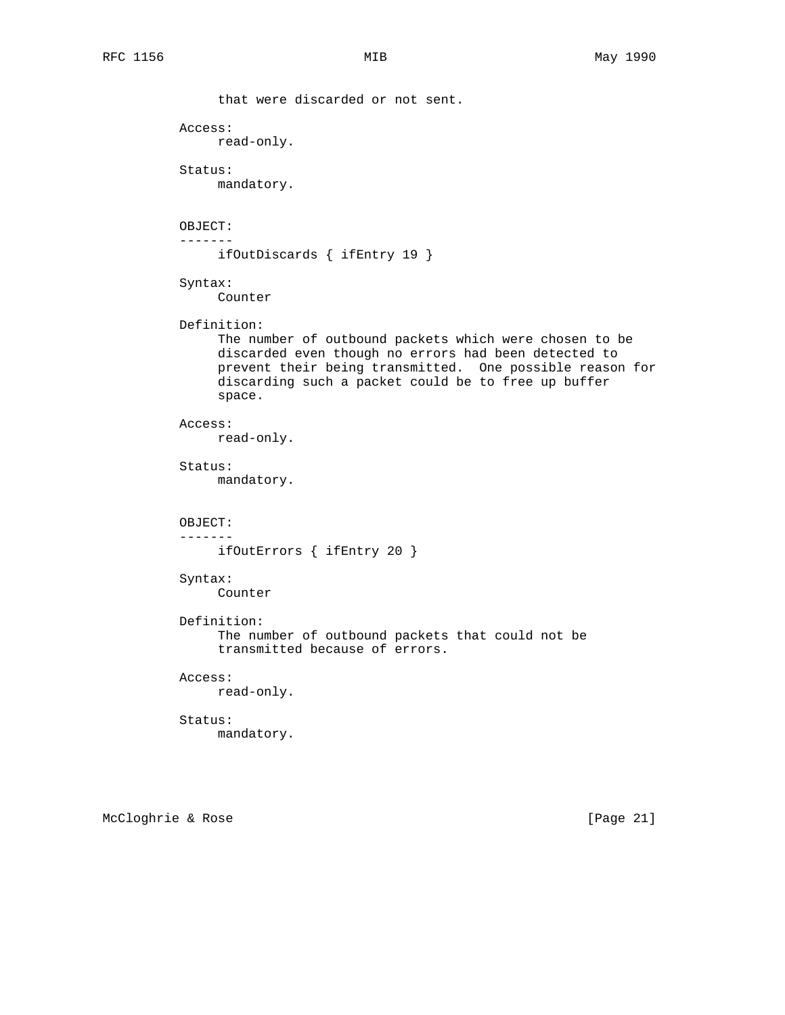```
 that were discarded or not sent.
 Access:
     read-only.
 Status:
     mandatory.
 OBJECT:
 -------
     ifOutDiscards { ifEntry 19 }
 Syntax:
      Counter
 Definition:
      The number of outbound packets which were chosen to be
      discarded even though no errors had been detected to
      prevent their being transmitted. One possible reason for
      discarding such a packet could be to free up buffer
      space.
 Access:
     read-only.
 Status:
      mandatory.
 OBJECT:
 -------
     ifOutErrors { ifEntry 20 }
 Syntax:
      Counter
 Definition:
      The number of outbound packets that could not be
      transmitted because of errors.
 Access:
     read-only.
 Status:
     mandatory.
```
McCloghrie & Rose [Page 21]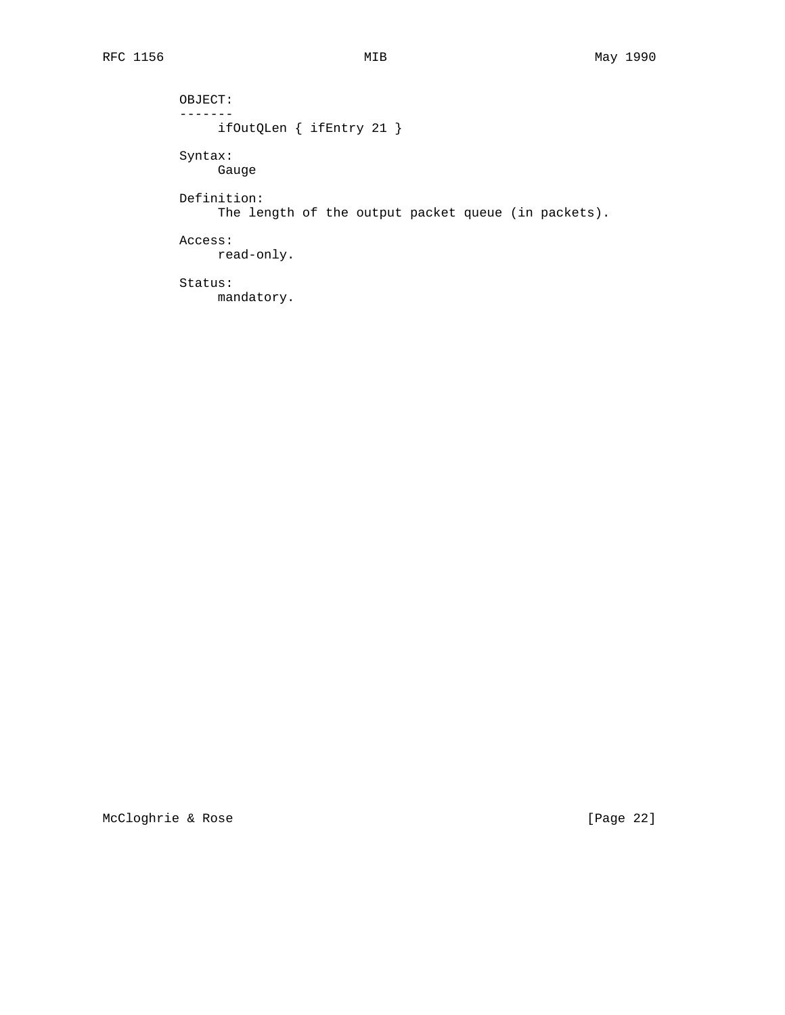OBJECT:  $-------$  ifOutQLen { ifEntry 21 } Syntax: Gauge Definition: The length of the output packet queue (in packets). Access: read-only. Status: mandatory.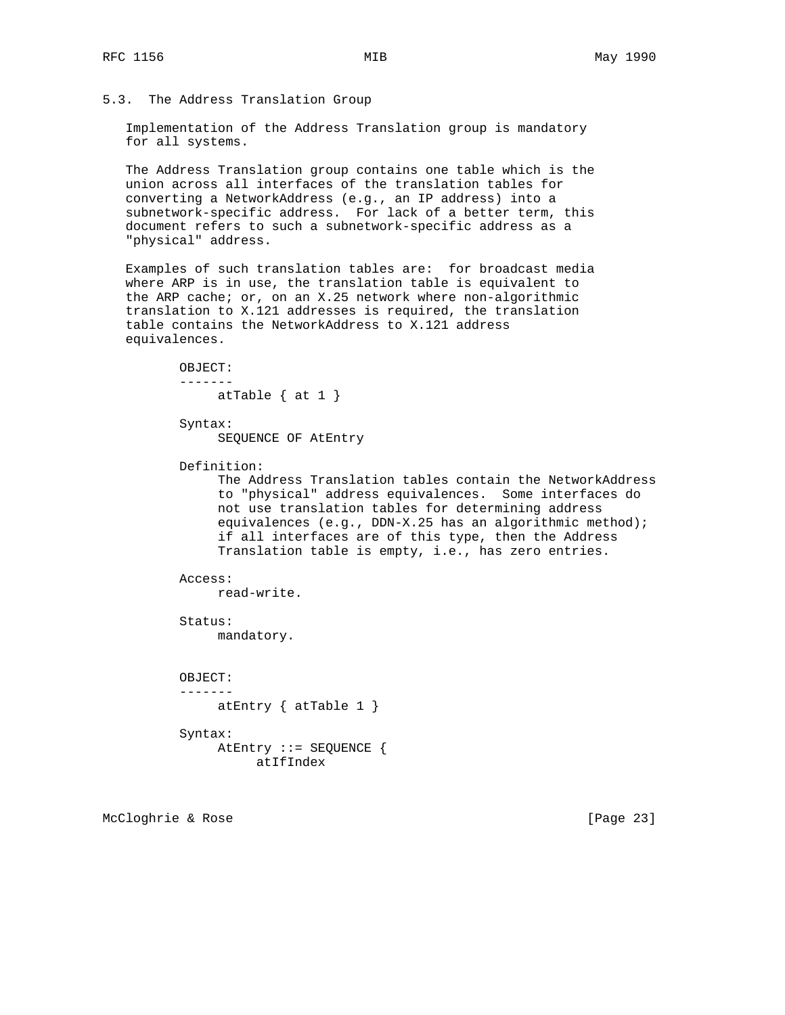## 5.3. The Address Translation Group

 Implementation of the Address Translation group is mandatory for all systems.

 The Address Translation group contains one table which is the union across all interfaces of the translation tables for converting a NetworkAddress (e.g., an IP address) into a subnetwork-specific address. For lack of a better term, this document refers to such a subnetwork-specific address as a "physical" address.

 Examples of such translation tables are: for broadcast media where ARP is in use, the translation table is equivalent to the ARP cache; or, on an X.25 network where non-algorithmic translation to X.121 addresses is required, the translation table contains the NetworkAddress to X.121 address equivalences.

> OBJECT: ------ atTable  $\{$  at  $1 \}$

 Syntax: SEQUENCE OF AtEntry

Definition:

 The Address Translation tables contain the NetworkAddress to "physical" address equivalences. Some interfaces do not use translation tables for determining address equivalences (e.g., DDN-X.25 has an algorithmic method); if all interfaces are of this type, then the Address Translation table is empty, i.e., has zero entries.

 Access: read-write.

 Status: mandatory.

OBJECT:

```
 -------
```
atEntry  $\{$  atTable 1  $\}$ 

Syntax:

```
 AtEntry ::= SEQUENCE {
     atIfIndex
```
McCloghrie & Rose [Page 23]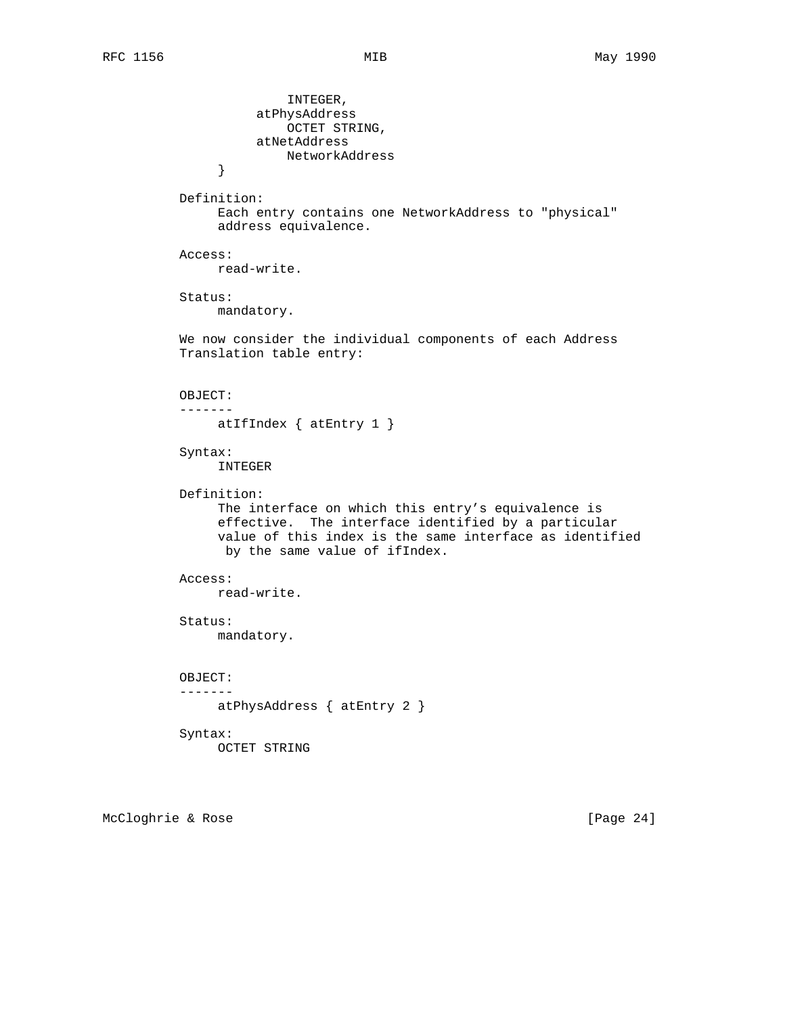INTEGER, atPhysAddress OCTET STRING, atNetAddress NetworkAddress } Definition: Each entry contains one NetworkAddress to "physical" address equivalence. Access: read-write. Status: mandatory. We now consider the individual components of each Address Translation table entry: OBJECT: ------ atIfIndex { atEntry 1 } Syntax: INTEGER Definition: The interface on which this entry's equivalence is effective. The interface identified by a particular value of this index is the same interface as identified by the same value of ifIndex. Access: read-write. Status: mandatory. OBJECT: ------ atPhysAddress { atEntry 2 } Syntax: OCTET STRING

McCloghrie & Rose [Page 24]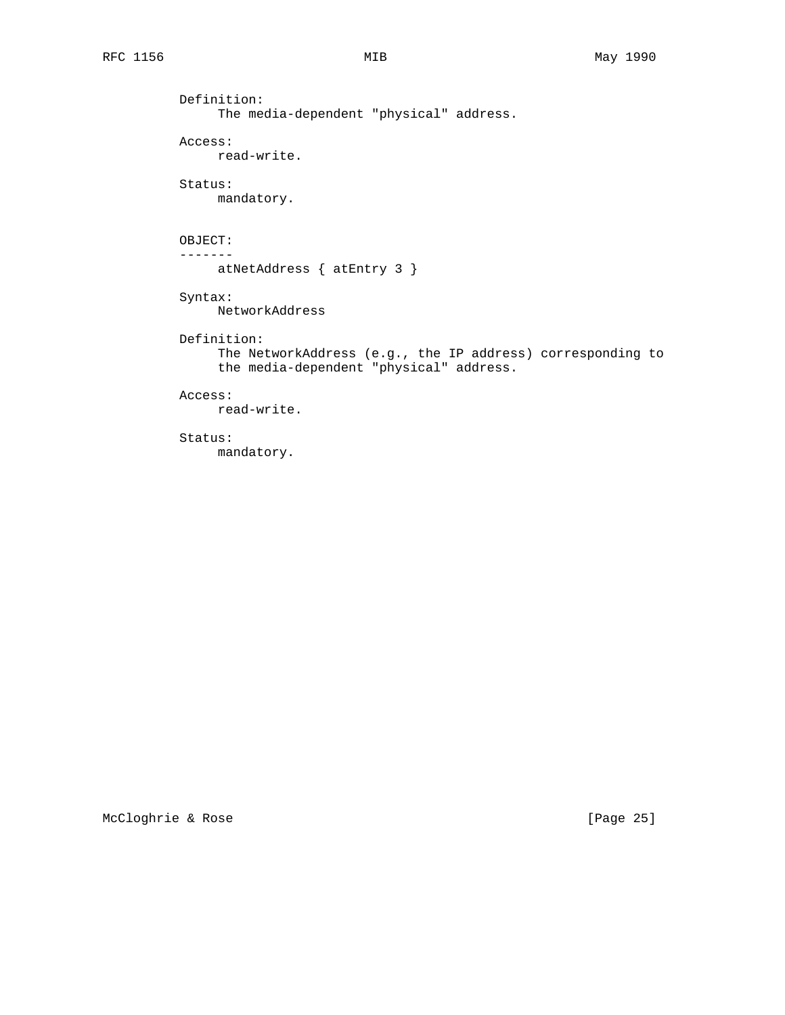Definition: The media-dependent "physical" address. Access: read-write. Status: mandatory. OBJECT: ------ atNetAddress { atEntry 3 } Syntax: NetworkAddress Definition: The NetworkAddress (e.g., the IP address) corresponding to the media-dependent "physical" address. Access: read-write.

# Status:

mandatory.

McCloghrie & Rose [Page 25]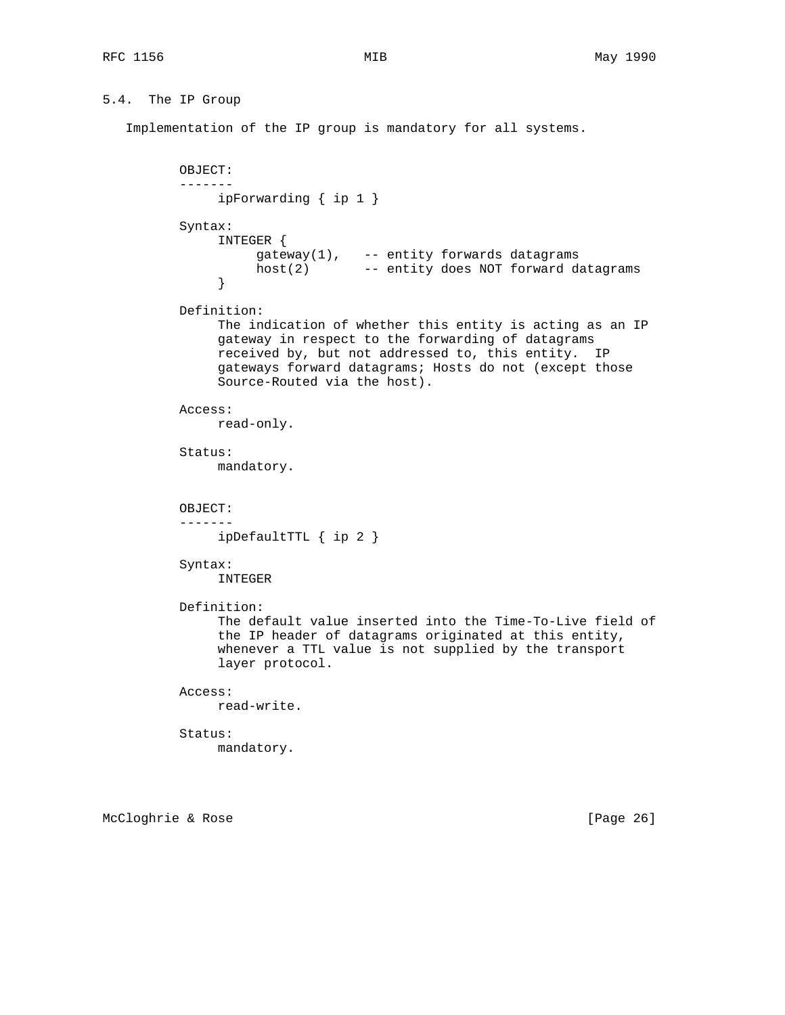# 5.4. The IP Group

Implementation of the IP group is mandatory for all systems.

```
 OBJECT:
          -------
               ipForwarding { ip 1 }
          Syntax:
               INTEGER {
 gateway(1), -- entity forwards datagrams
 host(2) -- entity does NOT forward datagrams
 }
          Definition:
               The indication of whether this entity is acting as an IP
               gateway in respect to the forwarding of datagrams
               received by, but not addressed to, this entity. IP
               gateways forward datagrams; Hosts do not (except those
               Source-Routed via the host).
          Access:
               read-only.
          Status:
               mandatory.
          OBJECT:
          -------
               ipDefaultTTL { ip 2 }
          Syntax:
               INTEGER
          Definition:
               The default value inserted into the Time-To-Live field of
               the IP header of datagrams originated at this entity,
               whenever a TTL value is not supplied by the transport
               layer protocol.
          Access:
              read-write.
          Status:
               mandatory.
```
McCloghrie & Rose [Page 26]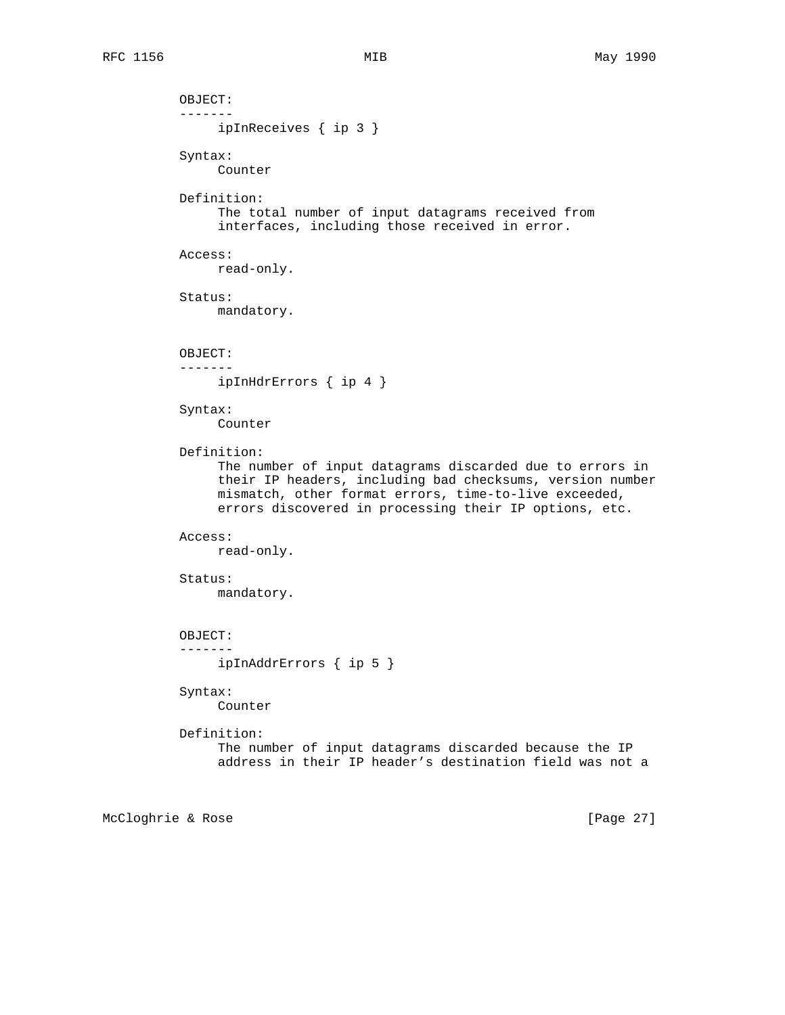OBJECT: ------ ipInReceives { ip 3 } Syntax: Counter Definition: The total number of input datagrams received from interfaces, including those received in error. Access: read-only. Status: mandatory. OBJECT: ------ ipInHdrErrors { ip 4 } Syntax: Counter Definition: The number of input datagrams discarded due to errors in their IP headers, including bad checksums, version number mismatch, other format errors, time-to-live exceeded, errors discovered in processing their IP options, etc. Access: read-only. Status: mandatory. OBJECT: ------ ipInAddrErrors { ip 5 } Syntax: Counter Definition: The number of input datagrams discarded because the IP address in their IP header's destination field was not a

McCloghrie & Rose [Page 27]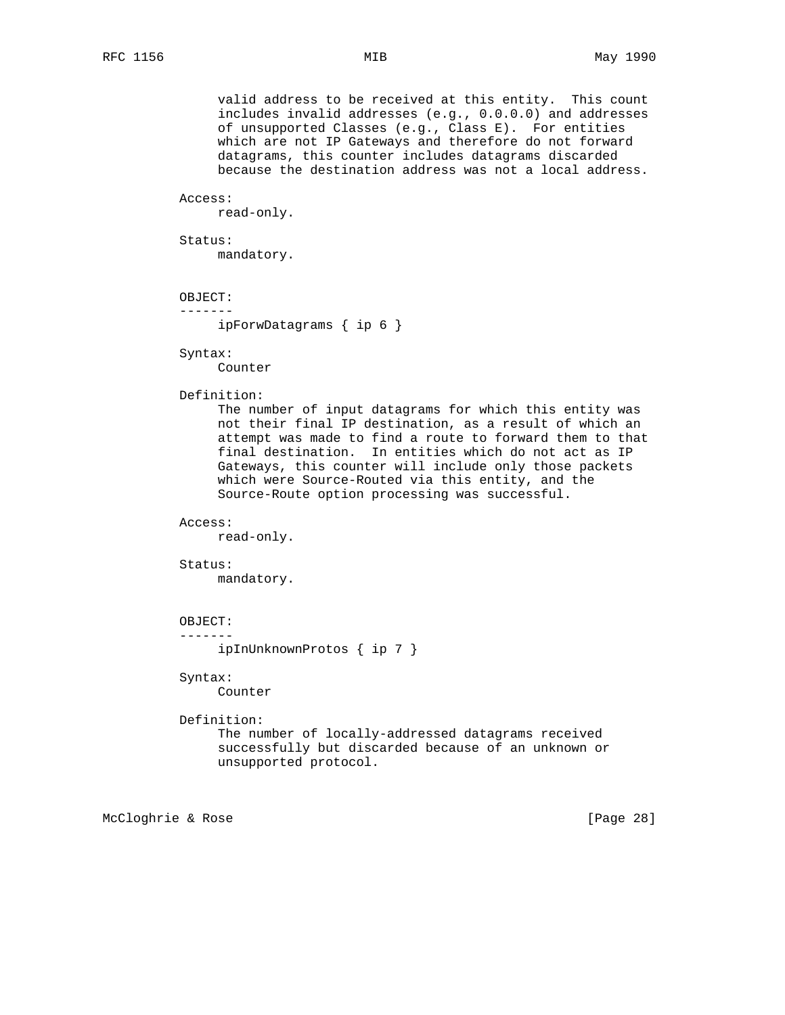valid address to be received at this entity. This count includes invalid addresses (e.g., 0.0.0.0) and addresses of unsupported Classes (e.g., Class E). For entities which are not IP Gateways and therefore do not forward datagrams, this counter includes datagrams discarded because the destination address was not a local address.

#### Access:

read-only.

Status:

mandatory.

OBJECT:

-------

ipForwDatagrams { ip 6 }

Syntax:

Counter

## Definition:

 The number of input datagrams for which this entity was not their final IP destination, as a result of which an attempt was made to find a route to forward them to that final destination. In entities which do not act as IP Gateways, this counter will include only those packets which were Source-Routed via this entity, and the Source-Route option processing was successful.

### Access:

read-only.

### Status:

mandatory.

## OBJECT:

-------

ipInUnknownProtos { ip 7 }

## Syntax:

Counter

# Definition:

 The number of locally-addressed datagrams received successfully but discarded because of an unknown or unsupported protocol.

McCloghrie & Rose [Page 28]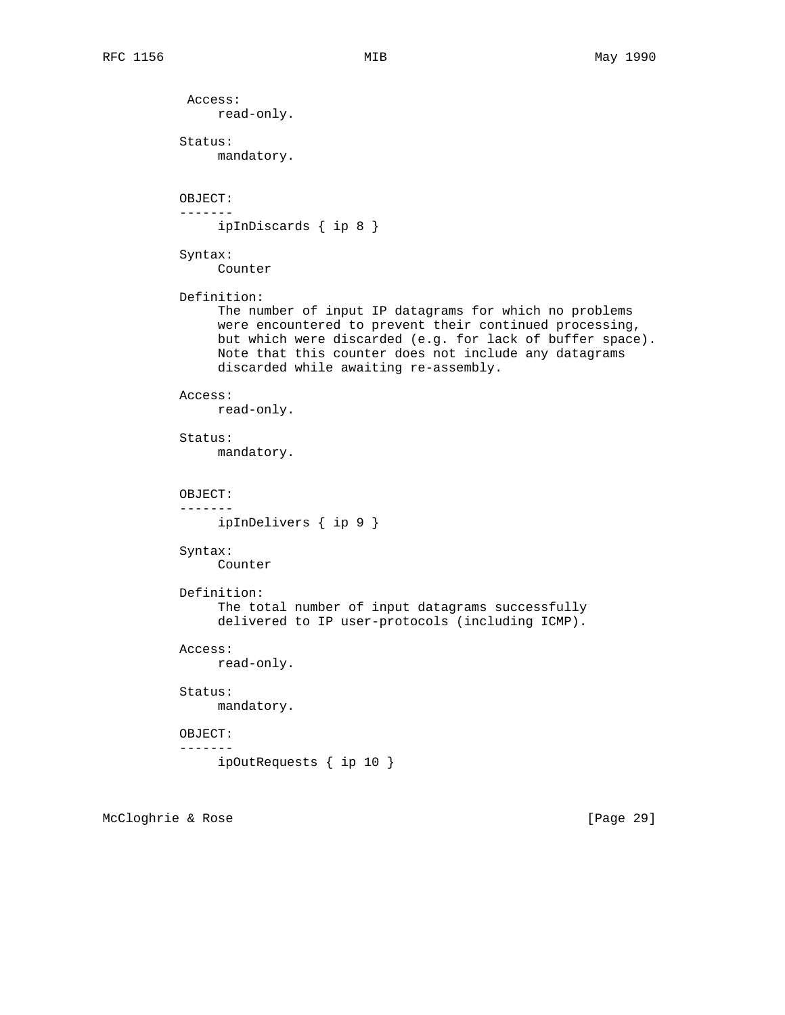Access: read-only. Status: mandatory. OBJECT: ------ ipInDiscards { ip 8 } Syntax: Counter Definition: The number of input IP datagrams for which no problems were encountered to prevent their continued processing, but which were discarded (e.g. for lack of buffer space). Note that this counter does not include any datagrams discarded while awaiting re-assembly. Access: read-only. Status: mandatory. OBJECT: ------ ipInDelivers { ip 9 } Syntax: Counter Definition: The total number of input datagrams successfully delivered to IP user-protocols (including ICMP). Access: read-only. Status: mandatory. OBJECT: ------ ipOutRequests { ip 10 }

McCloghrie & Rose [Page 29]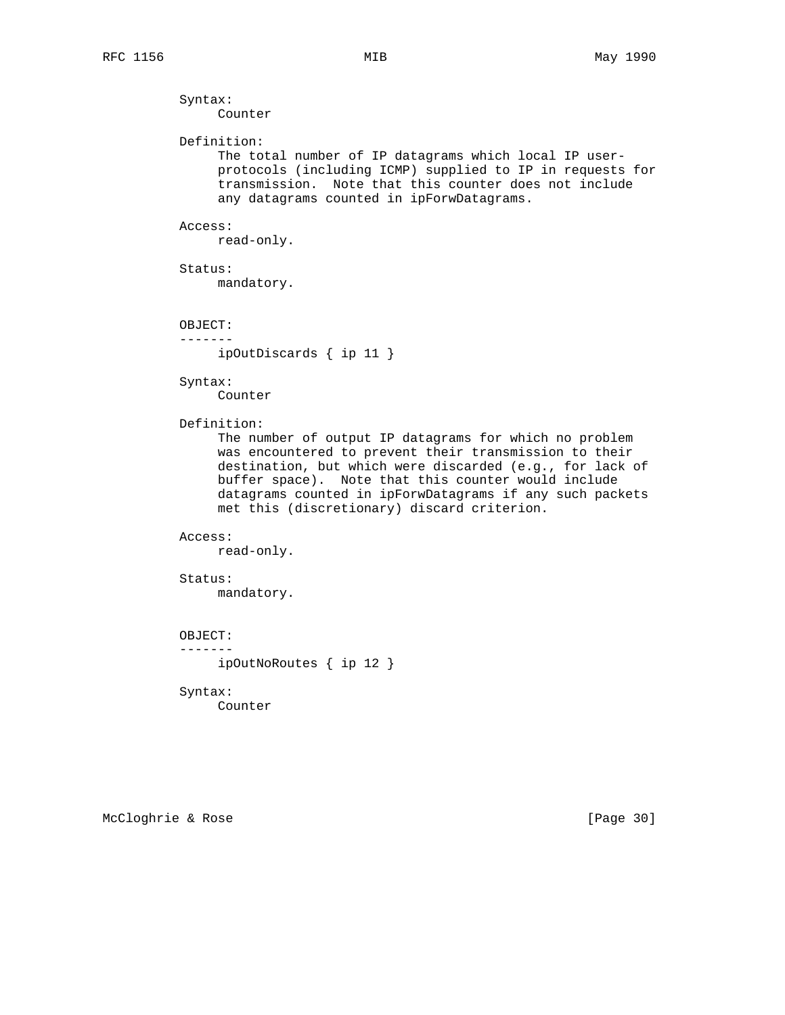Syntax: Counter

Definition:

 The total number of IP datagrams which local IP user protocols (including ICMP) supplied to IP in requests for transmission. Note that this counter does not include any datagrams counted in ipForwDatagrams.

### Access:

read-only.

Status:

mandatory.

OBJECT:

-------

ipOutDiscards { ip 11 }

Syntax:

Counter

Definition:

 The number of output IP datagrams for which no problem was encountered to prevent their transmission to their destination, but which were discarded (e.g., for lack of buffer space). Note that this counter would include datagrams counted in ipForwDatagrams if any such packets met this (discretionary) discard criterion.

### Access:

read-only.

# Status:

mandatory.

OBJECT:

-------

ipOutNoRoutes { ip 12 }

# Syntax:

Counter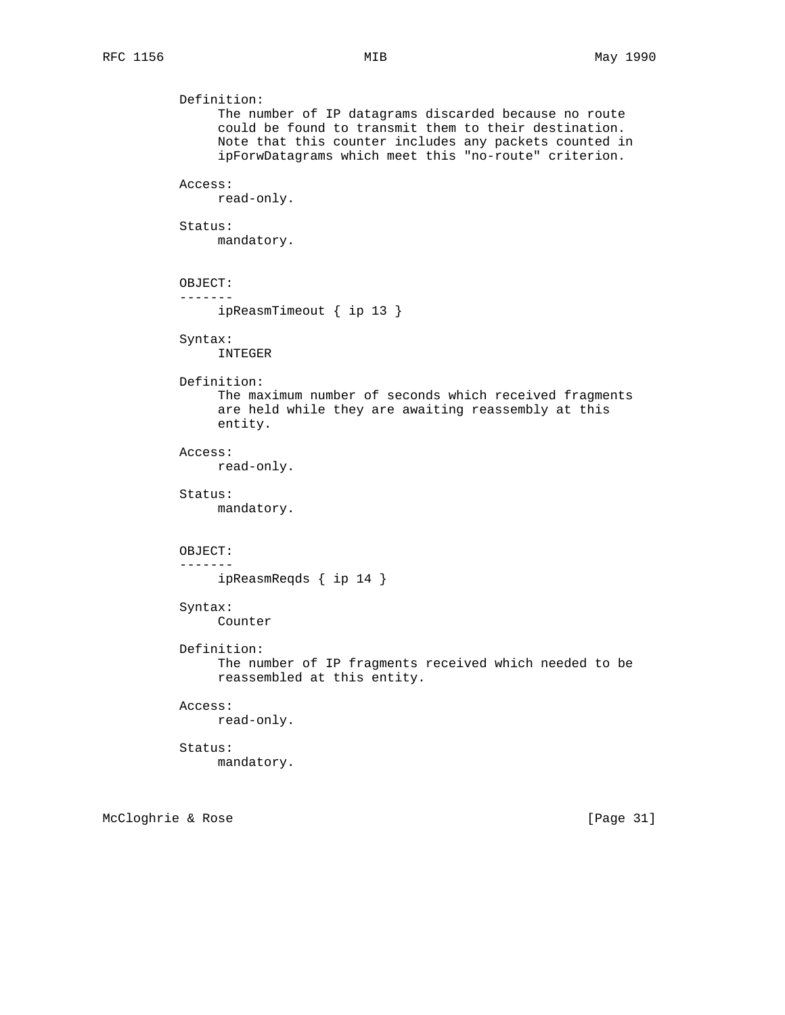```
 Definition:
      The number of IP datagrams discarded because no route
      could be found to transmit them to their destination.
      Note that this counter includes any packets counted in
      ipForwDatagrams which meet this "no-route" criterion.
 Access:
      read-only.
 Status:
      mandatory.
 OBJECT:
 -------
      ipReasmTimeout { ip 13 }
 Syntax:
      INTEGER
 Definition:
      The maximum number of seconds which received fragments
      are held while they are awaiting reassembly at this
      entity.
 Access:
      read-only.
 Status:
      mandatory.
 OBJECT:
 -------
      ipReasmReqds { ip 14 }
 Syntax:
      Counter
 Definition:
      The number of IP fragments received which needed to be
      reassembled at this entity.
 Access:
      read-only.
 Status:
     mandatory.
```
McCloghrie & Rose [Page 31]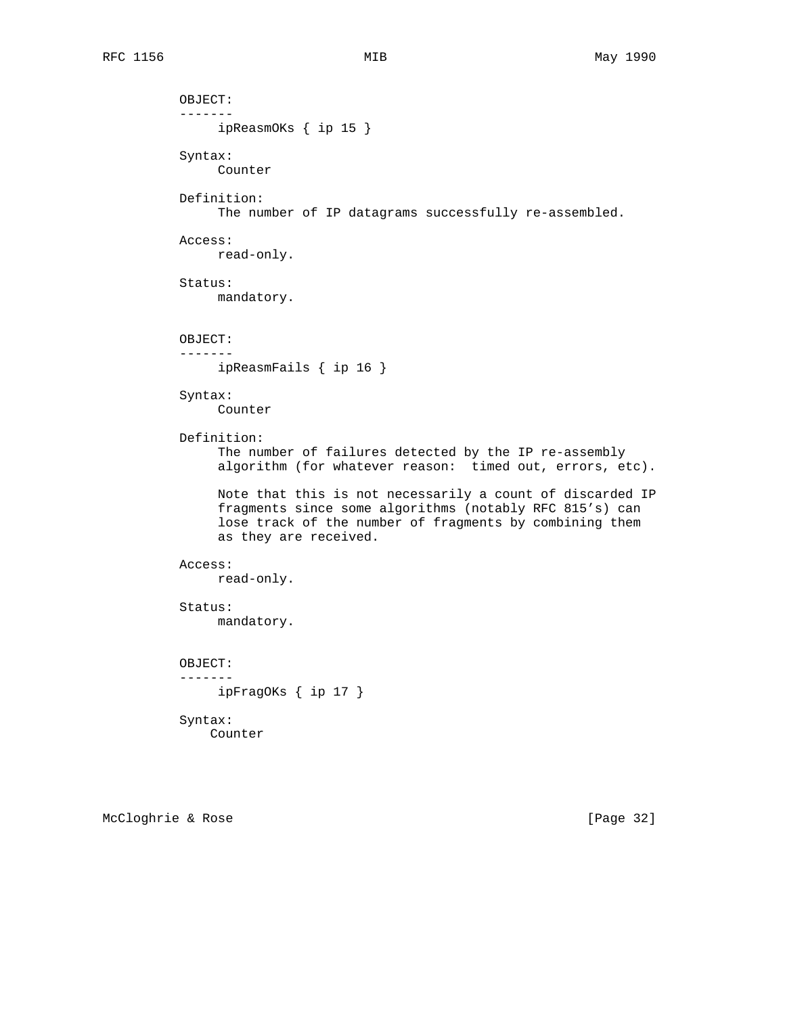OBJECT: ------ ipReasmOKs { ip 15 } Syntax: Counter Definition: The number of IP datagrams successfully re-assembled. Access: read-only. Status: mandatory. OBJECT: ------ ipReasmFails { ip 16 } Syntax: Counter Definition: The number of failures detected by the IP re-assembly algorithm (for whatever reason: timed out, errors, etc). Note that this is not necessarily a count of discarded IP fragments since some algorithms (notably RFC 815's) can lose track of the number of fragments by combining them as they are received. Access: read-only. Status: mandatory. OBJECT: ------ ipFragOKs { ip 17 } Syntax: Counter

McCloghrie & Rose [Page 32]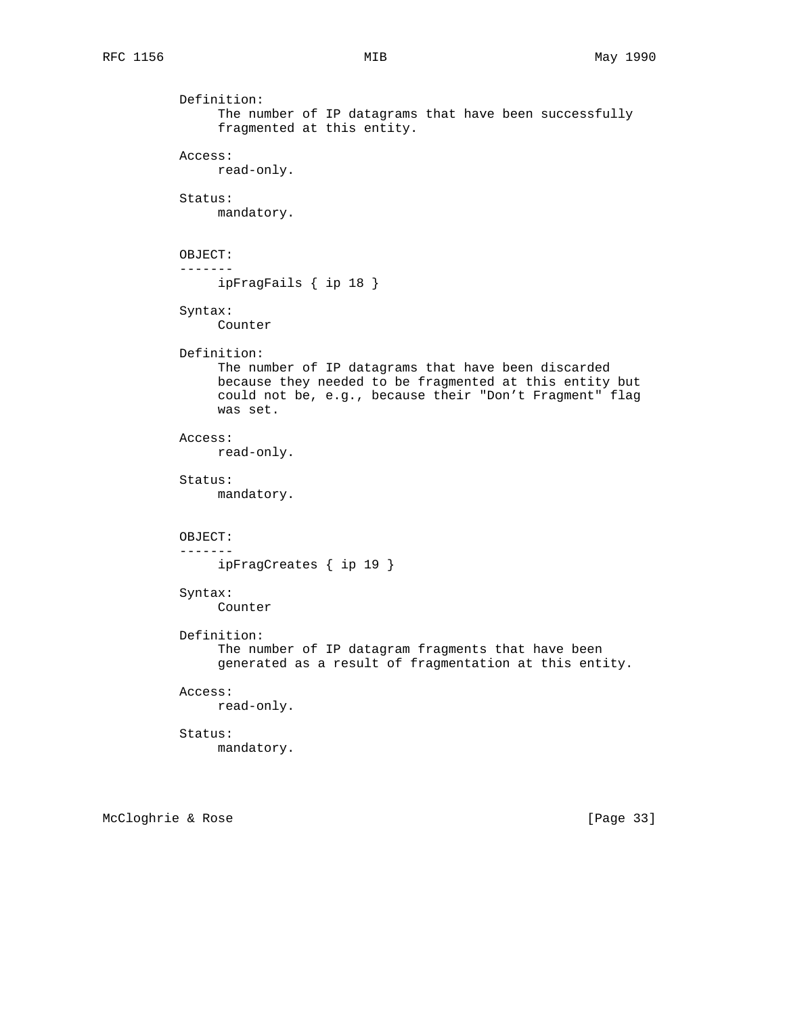```
 Definition:
      The number of IP datagrams that have been successfully
      fragmented at this entity.
 Access:
      read-only.
 Status:
      mandatory.
 OBJECT:
 -------
      ipFragFails { ip 18 }
 Syntax:
      Counter
 Definition:
      The number of IP datagrams that have been discarded
      because they needed to be fragmented at this entity but
      could not be, e.g., because their "Don't Fragment" flag
      was set.
 Access:
      read-only.
 Status:
      mandatory.
 OBJECT:
 -------
      ipFragCreates { ip 19 }
 Syntax:
      Counter
 Definition:
      The number of IP datagram fragments that have been
      generated as a result of fragmentation at this entity.
 Access:
      read-only.
 Status:
      mandatory.
```
McCloghrie & Rose [Page 33]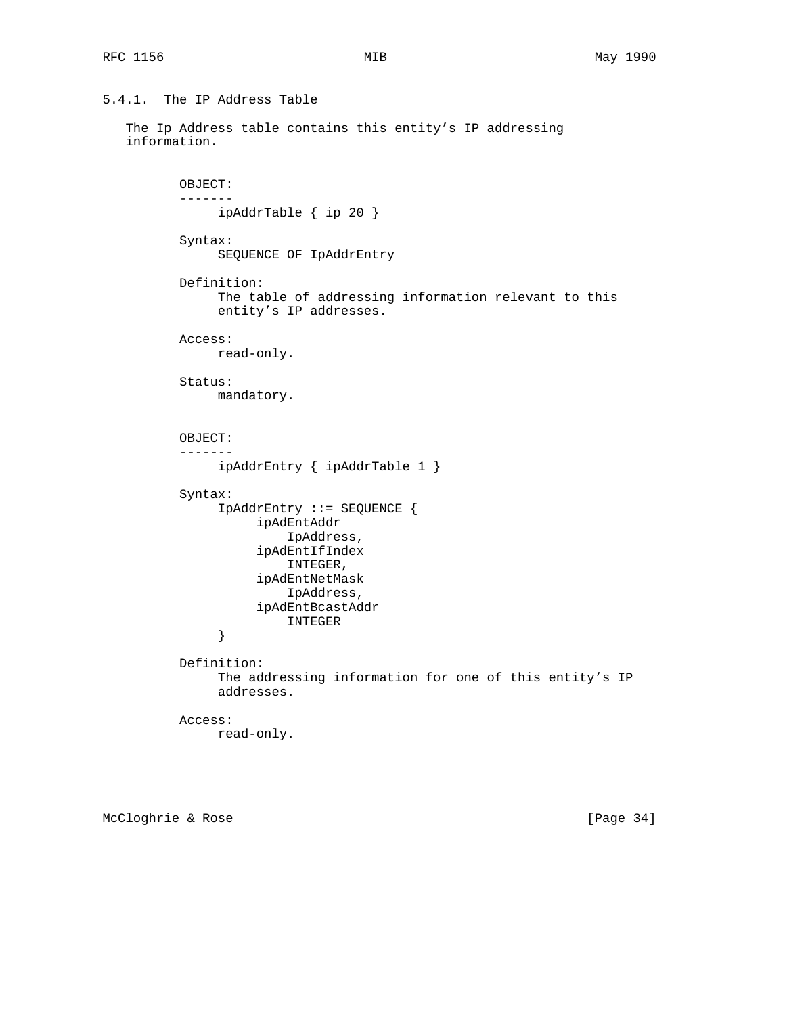# 5.4.1. The IP Address Table

```
 The Ip Address table contains this entity's IP addressing
 information.
```

```
 OBJECT:
           -------
                ipAddrTable { ip 20 }
           Syntax:
                SEQUENCE OF IpAddrEntry
           Definition:
                The table of addressing information relevant to this
                entity's IP addresses.
           Access:
               read-only.
           Status:
               mandatory.
           OBJECT:
           -------
                ipAddrEntry { ipAddrTable 1 }
           Syntax:
                IpAddrEntry ::= SEQUENCE {
                     ipAdEntAddr
                         IpAddress,
                     ipAdEntIfIndex
                         INTEGER,
                     ipAdEntNetMask
                         IpAddress,
                     ipAdEntBcastAddr
                INTEGER
 }
           Definition:
                The addressing information for one of this entity's IP
                addresses.
           Access:
               read-only.
```
McCloghrie & Rose [Page 34]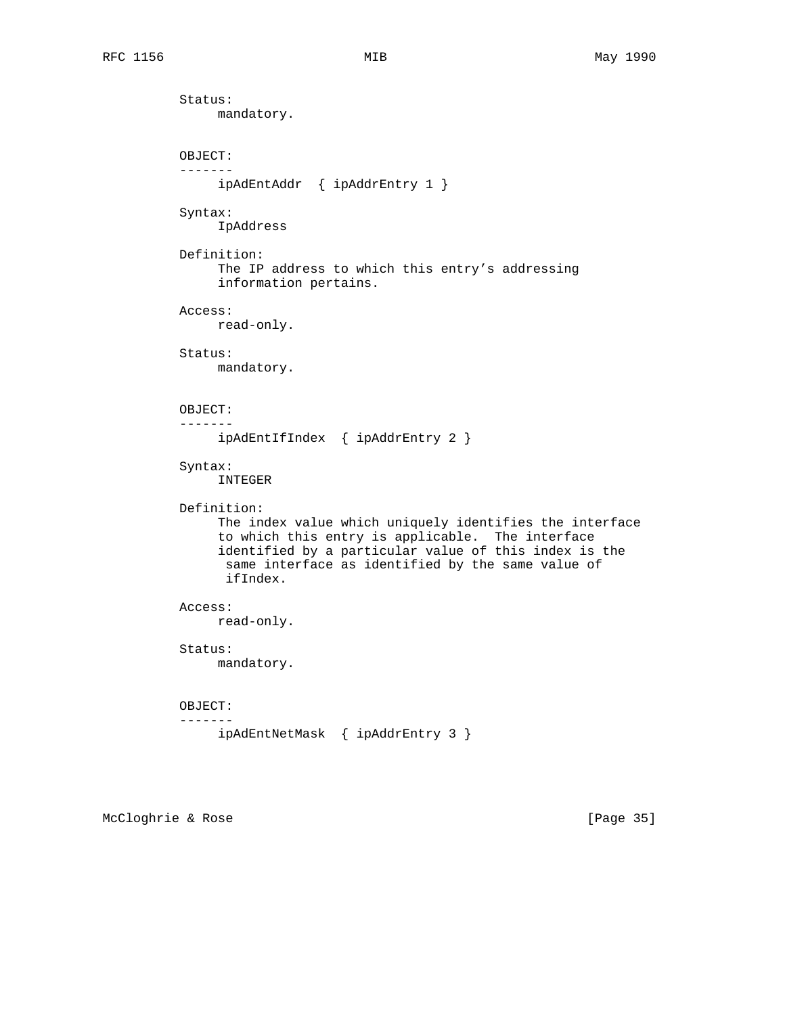Status: mandatory. OBJECT: ------ ipAdEntAddr { ipAddrEntry 1 } Syntax: IpAddress Definition: The IP address to which this entry's addressing information pertains. Access: read-only. Status: mandatory. OBJECT: ------ ipAdEntIfIndex { ipAddrEntry 2 } Syntax: INTEGER Definition: The index value which uniquely identifies the interface to which this entry is applicable. The interface identified by a particular value of this index is the same interface as identified by the same value of ifIndex. Access: read-only. Status: mandatory. OBJECT: ------ ipAdEntNetMask { ipAddrEntry 3 }

McCloghrie & Rose [Page 35]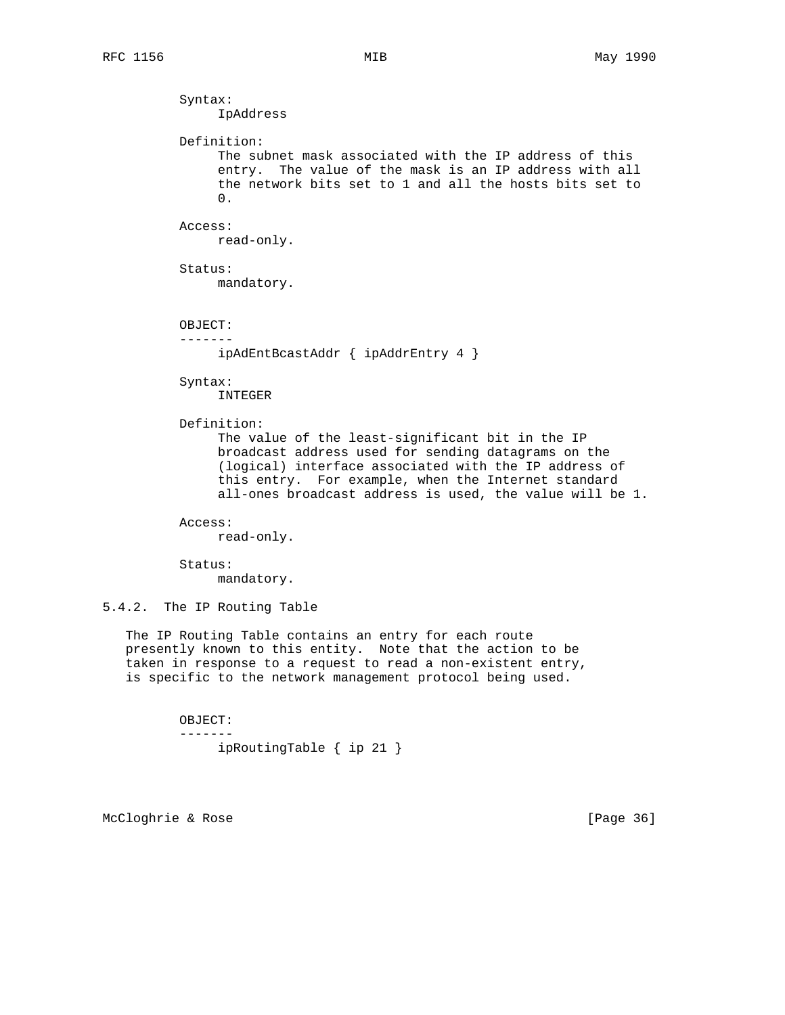Syntax: IpAddress Definition: The subnet mask associated with the IP address of this entry. The value of the mask is an IP address with all the network bits set to 1 and all the hosts bits set to 0. Access: read-only. Status: mandatory. OBJECT: ------ ipAdEntBcastAddr { ipAddrEntry 4 } Syntax: INTEGER Definition: The value of the least-significant bit in the IP broadcast address used for sending datagrams on the (logical) interface associated with the IP address of this entry. For example, when the Internet standard all-ones broadcast address is used, the value will be 1. Access: read-only. Status: mandatory. 5.4.2. The IP Routing Table The IP Routing Table contains an entry for each route

 presently known to this entity. Note that the action to be taken in response to a request to read a non-existent entry, is specific to the network management protocol being used.

> OBJECT: ------ ipRoutingTable { ip 21 }

McCloghrie & Rose [Page 36]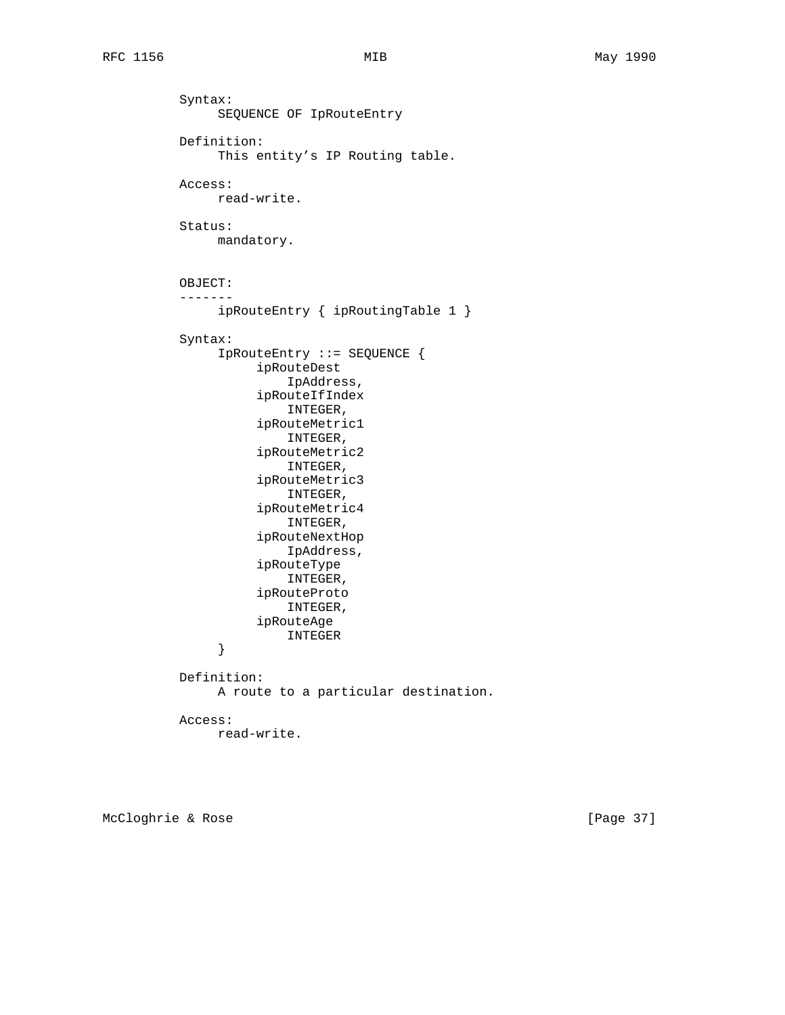Syntax: SEQUENCE OF IpRouteEntry Definition: This entity's IP Routing table. Access: read-write. Status: mandatory. OBJECT: ------ ipRouteEntry { ipRoutingTable 1 } Syntax: IpRouteEntry ::= SEQUENCE { ipRouteDest IpAddress, ipRouteIfIndex INTEGER, ipRouteMetric1 INTEGER, ipRouteMetric2 INTEGER, ipRouteMetric3 INTEGER, ipRouteMetric4 INTEGER, ipRouteNextHop IpAddress, ipRouteType INTEGER, ipRouteProto INTEGER, ipRouteAge INTEGER } Definition: A route to a particular destination. Access: read-write.

McCloghrie & Rose [Page 37]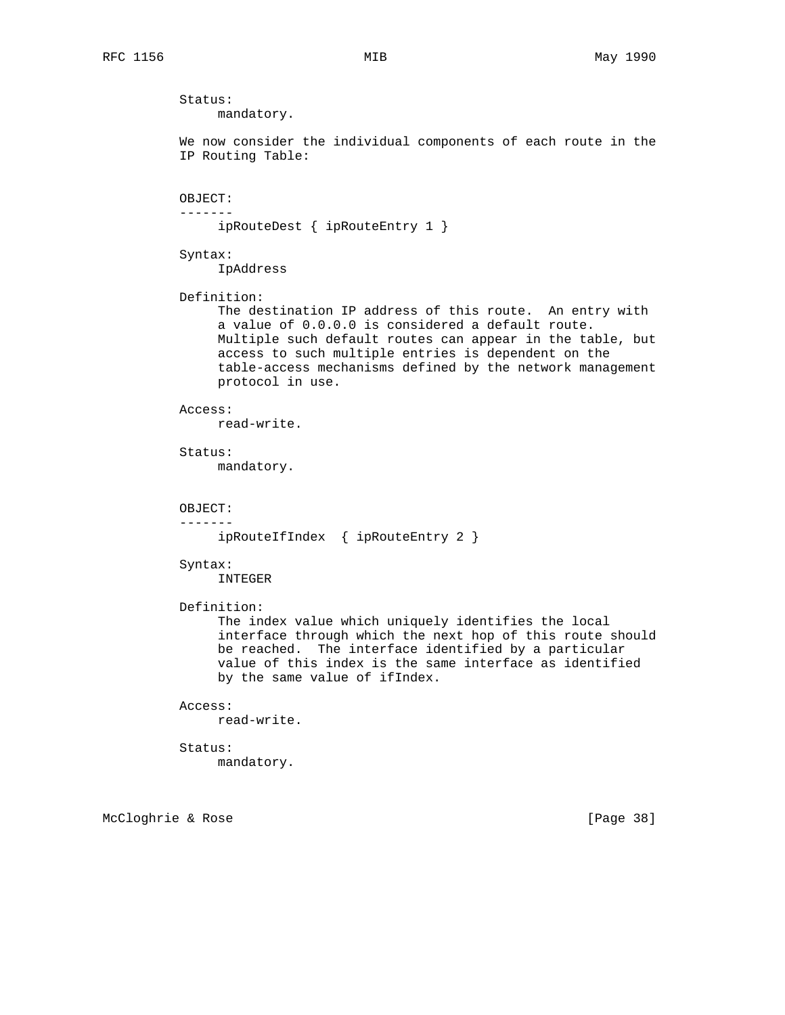Status: mandatory. We now consider the individual components of each route in the IP Routing Table: OBJECT: ------ ipRouteDest { ipRouteEntry 1 } Syntax: IpAddress Definition: The destination IP address of this route. An entry with a value of 0.0.0.0 is considered a default route. Multiple such default routes can appear in the table, but access to such multiple entries is dependent on the table-access mechanisms defined by the network management protocol in use. Access: read-write. Status: mandatory. OBJECT: ------ ipRouteIfIndex { ipRouteEntry 2 } Syntax: INTEGER Definition: The index value which uniquely identifies the local interface through which the next hop of this route should be reached. The interface identified by a particular value of this index is the same interface as identified by the same value of ifIndex. Access: read-write. Status: mandatory.

McCloghrie & Rose [Page 38]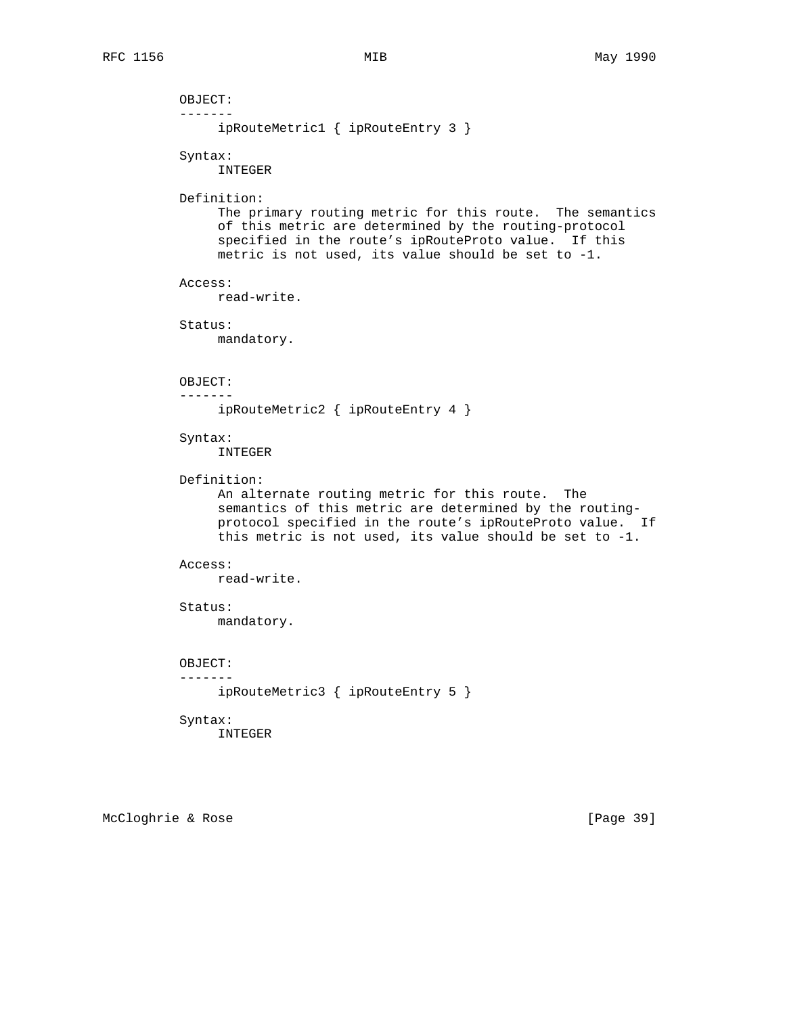```
 OBJECT:
 -------
      ipRouteMetric1 { ipRouteEntry 3 }
 Syntax:
      INTEGER
 Definition:
      The primary routing metric for this route. The semantics
      of this metric are determined by the routing-protocol
      specified in the route's ipRouteProto value. If this
      metric is not used, its value should be set to -1.
 Access:
      read-write.
 Status:
     mandatory.
 OBJECT:
 -------
      ipRouteMetric2 { ipRouteEntry 4 }
 Syntax:
      INTEGER
 Definition:
      An alternate routing metric for this route. The
      semantics of this metric are determined by the routing-
      protocol specified in the route's ipRouteProto value. If
      this metric is not used, its value should be set to -1.
 Access:
      read-write.
 Status:
      mandatory.
 OBJECT:
 -------
      ipRouteMetric3 { ipRouteEntry 5 }
 Syntax:
      INTEGER
```
McCloghrie & Rose [Page 39]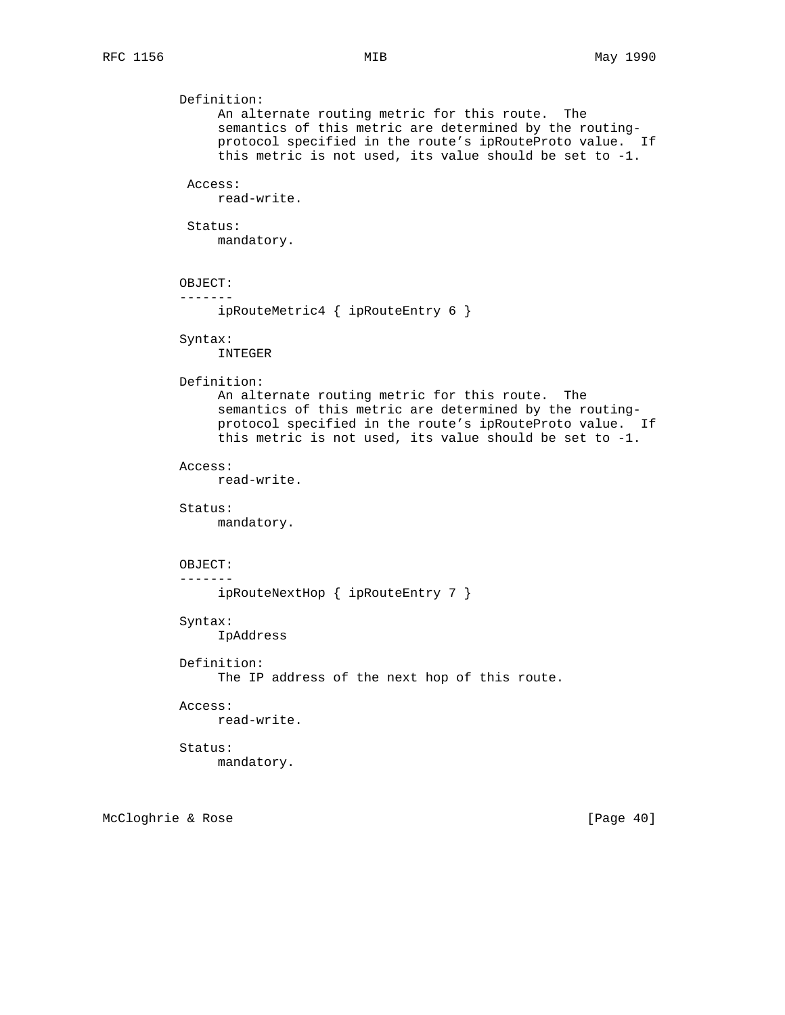```
 Definition:
      An alternate routing metric for this route. The
      semantics of this metric are determined by the routing-
      protocol specified in the route's ipRouteProto value. If
      this metric is not used, its value should be set to -1.
  Access:
      read-write.
  Status:
      mandatory.
 OBJECT:
 -------
      ipRouteMetric4 { ipRouteEntry 6 }
 Syntax:
      INTEGER
 Definition:
      An alternate routing metric for this route. The
      semantics of this metric are determined by the routing-
      protocol specified in the route's ipRouteProto value. If
      this metric is not used, its value should be set to -1.
 Access:
      read-write.
 Status:
     mandatory.
 OBJECT:
 -------
      ipRouteNextHop { ipRouteEntry 7 }
 Syntax:
      IpAddress
 Definition:
      The IP address of the next hop of this route.
 Access:
      read-write.
 Status:
     mandatory.
```
McCloghrie & Rose [Page 40]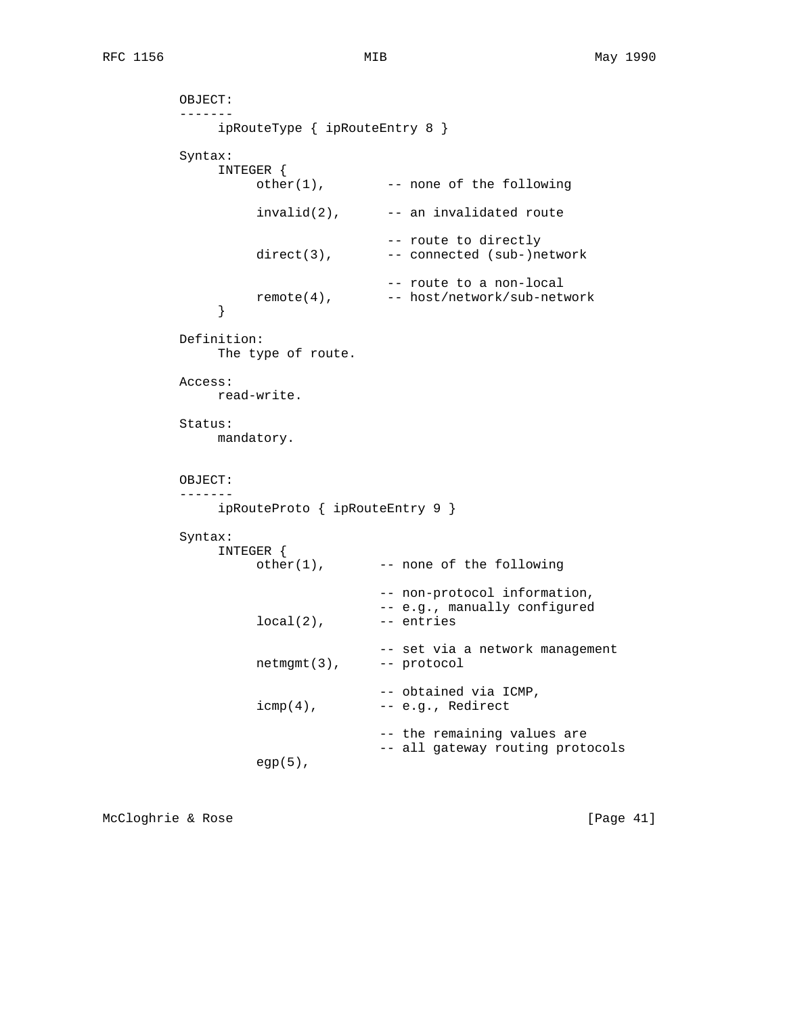```
 OBJECT:
          -------
               ipRouteType { ipRouteEntry 8 }
          Syntax:
               INTEGER {
                   other(1), --- none of the following
                   invalid(2), \qquad - an invalidated route
                                    -- route to directly
                   direct(3), -- connected (sub-)network
                                    -- route to a non-local
              remote(4), -- host/network/sub-network }
 }
          Definition:
               The type of route.
          Access:
               read-write.
          Status:
               mandatory.
          OBJECT:
          -------
               ipRouteProto { ipRouteEntry 9 }
          Syntax:
               INTEGER {
                    other(1), -- none of the following
                                   -- non-protocol information,
                                    -- e.g., manually configured
                   local(2), --- entries -- set via a network management
                    netmgmt(3), -- protocol
                                   -- obtained via ICMP,
                   icmp(4), -- e.g., Redirect -- the remaining values are
                                   -- all gateway routing protocols
                    egp(5),
```
McCloghrie & Rose [Page 41]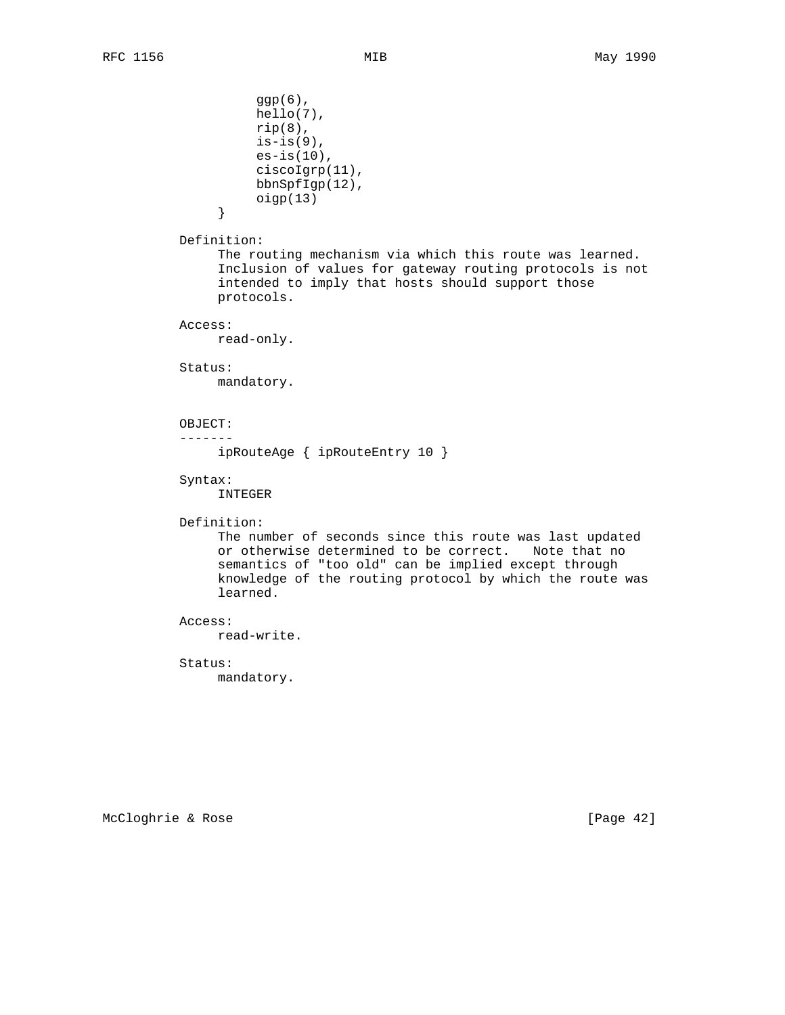$ggp(6)$ , hello(7),  $rip(8)$ ,  $is-is(9)$ , es-is(10), ciscoIgrp(11), bbnSpfIgp(12),  $\qquad \qquad \text{oigp(13)}$  } Definition: The routing mechanism via which this route was learned. Inclusion of values for gateway routing protocols is not intended to imply that hosts should support those protocols. Access: read-only. Status: mandatory. OBJECT: ------ ipRouteAge { ipRouteEntry 10 } Syntax: INTEGER Definition: The number of seconds since this route was last updated or otherwise determined to be correct. Note that no semantics of "too old" can be implied except through knowledge of the routing protocol by which the route was learned. Access: read-write. Status: mandatory.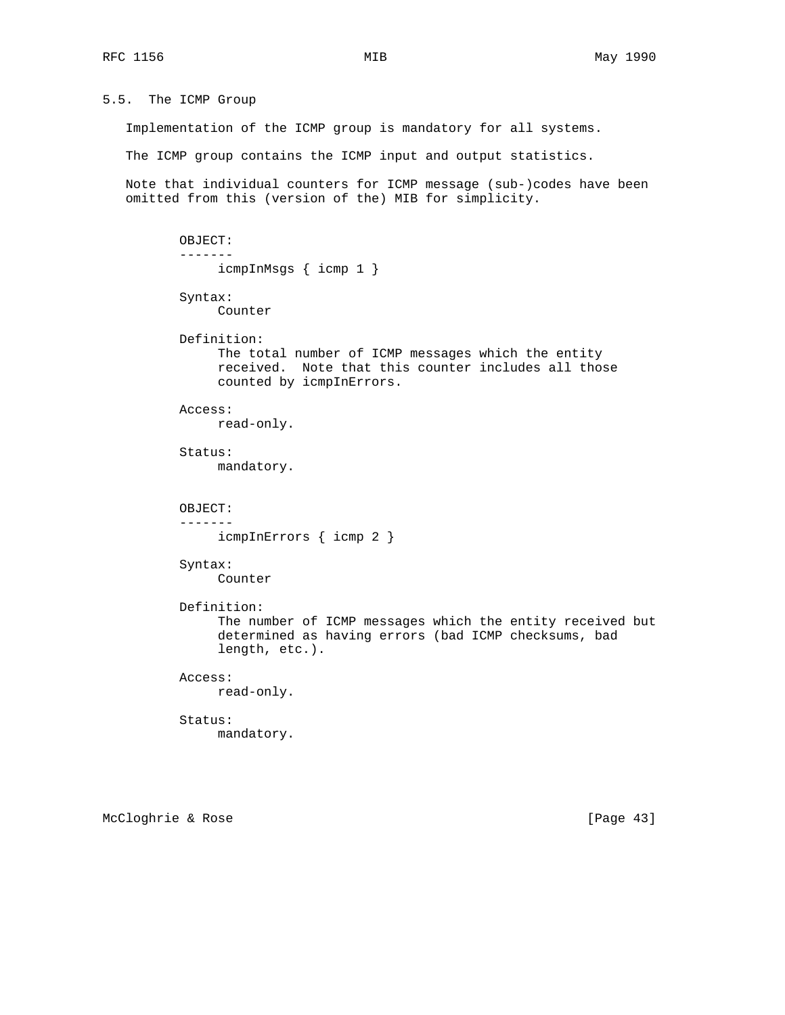5.5. The ICMP Group

Implementation of the ICMP group is mandatory for all systems.

The ICMP group contains the ICMP input and output statistics.

 Note that individual counters for ICMP message (sub-)codes have been omitted from this (version of the) MIB for simplicity.

```
 OBJECT:
 -------
      icmpInMsgs { icmp 1 }
 Syntax:
      Counter
 Definition:
      The total number of ICMP messages which the entity
      received. Note that this counter includes all those
      counted by icmpInErrors.
 Access:
      read-only.
 Status:
      mandatory.
 OBJECT:
 -------
      icmpInErrors { icmp 2 }
 Syntax:
      Counter
 Definition:
      The number of ICMP messages which the entity received but
      determined as having errors (bad ICMP checksums, bad
      length, etc.).
 Access:
      read-only.
 Status:
      mandatory.
```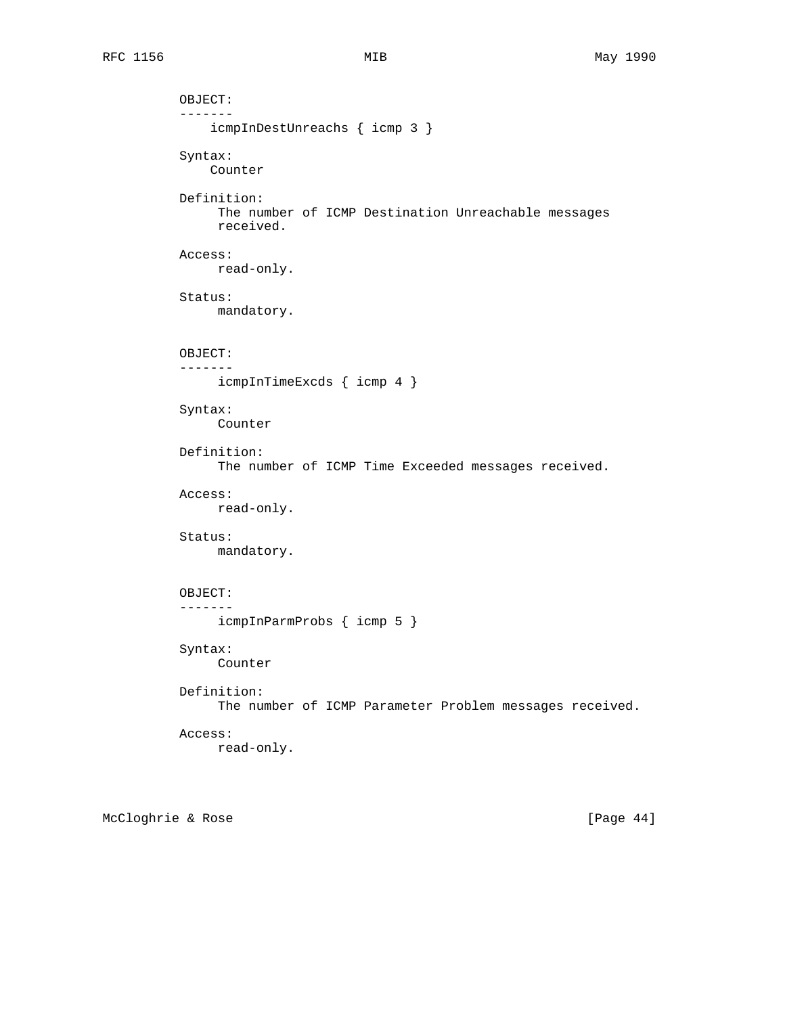```
 OBJECT:
 -------
     icmpInDestUnreachs { icmp 3 }
 Syntax:
    Counter
 Definition:
      The number of ICMP Destination Unreachable messages
      received.
 Access:
      read-only.
 Status:
      mandatory.
 OBJECT:
 -------
     icmpInTimeExcds { icmp 4 }
 Syntax:
      Counter
 Definition:
      The number of ICMP Time Exceeded messages received.
 Access:
      read-only.
 Status:
      mandatory.
 OBJECT:
 -------
      icmpInParmProbs { icmp 5 }
 Syntax:
      Counter
 Definition:
      The number of ICMP Parameter Problem messages received.
 Access:
      read-only.
```
McCloghrie & Rose [Page 44]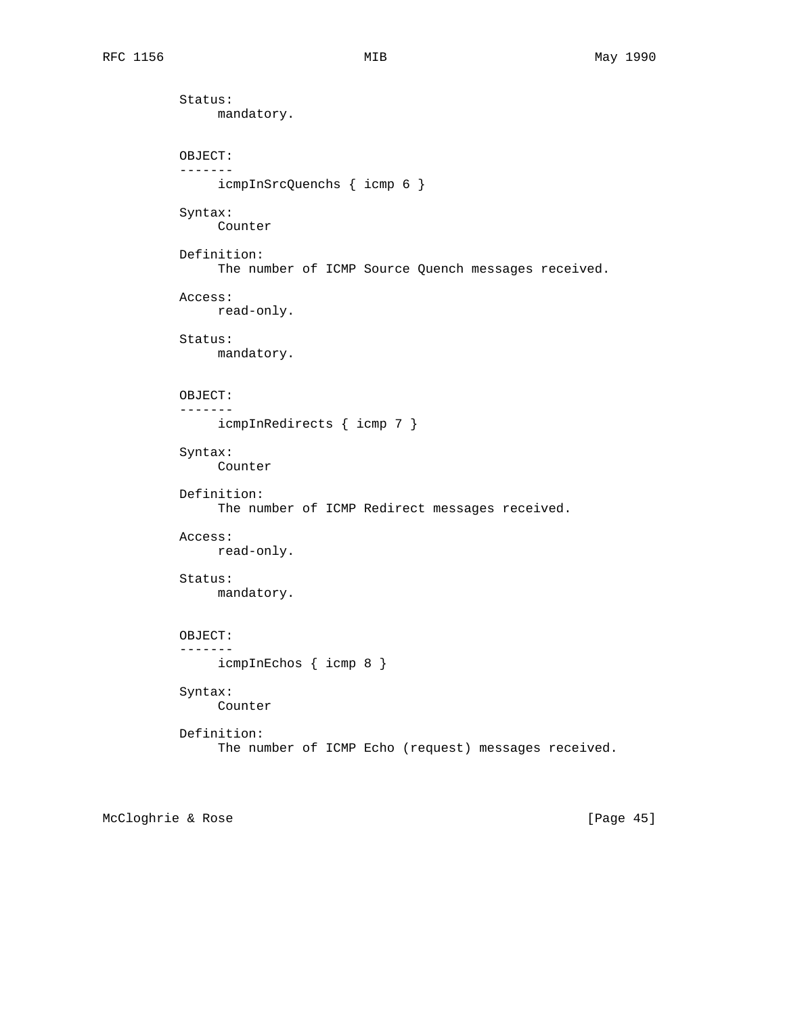Status: mandatory. OBJECT: ------ icmpInSrcQuenchs { icmp 6 } Syntax: Counter Definition: The number of ICMP Source Quench messages received. Access: read-only. Status: mandatory. OBJECT: ------ icmpInRedirects { icmp 7 } Syntax: Counter Definition: The number of ICMP Redirect messages received. Access: read-only. Status: mandatory. OBJECT: ------ icmpInEchos { icmp 8 } Syntax: Counter Definition: The number of ICMP Echo (request) messages received.

McCloghrie & Rose [Page 45]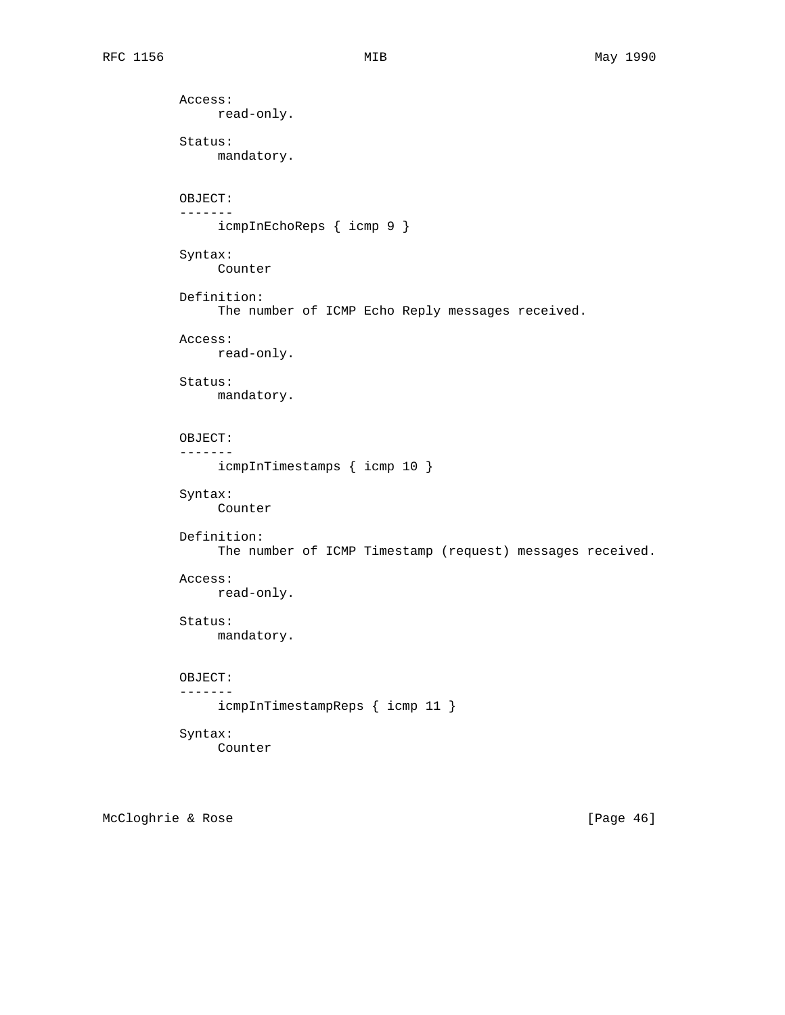Access: read-only. Status: mandatory. OBJECT: ------ icmpInEchoReps { icmp 9 } Syntax: Counter Definition: The number of ICMP Echo Reply messages received. Access: read-only. Status: mandatory. OBJECT: ------ icmpInTimestamps { icmp 10 } Syntax: Counter Definition: The number of ICMP Timestamp (request) messages received. Access: read-only. Status: mandatory. OBJECT: ------ icmpInTimestampReps { icmp 11 } Syntax: Counter

McCloghrie & Rose [Page 46]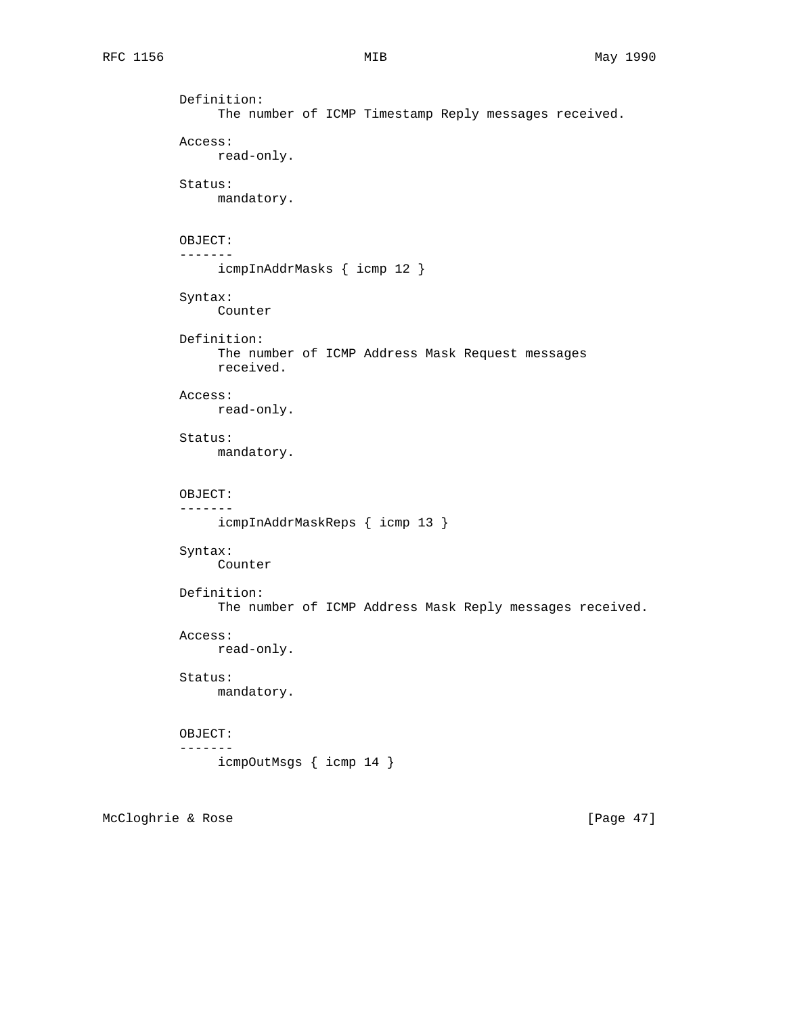```
 Definition:
      The number of ICMP Timestamp Reply messages received.
 Access:
      read-only.
 Status:
      mandatory.
 OBJECT:
 -------
      icmpInAddrMasks { icmp 12 }
 Syntax:
      Counter
 Definition:
      The number of ICMP Address Mask Request messages
      received.
 Access:
      read-only.
 Status:
      mandatory.
 OBJECT:
 -------
      icmpInAddrMaskReps { icmp 13 }
 Syntax:
      Counter
 Definition:
      The number of ICMP Address Mask Reply messages received.
 Access:
     read-only.
 Status:
     mandatory.
 OBJECT:
 -------
     icmpOutMsgs { icmp 14 }
```
McCloghrie & Rose [Page 47]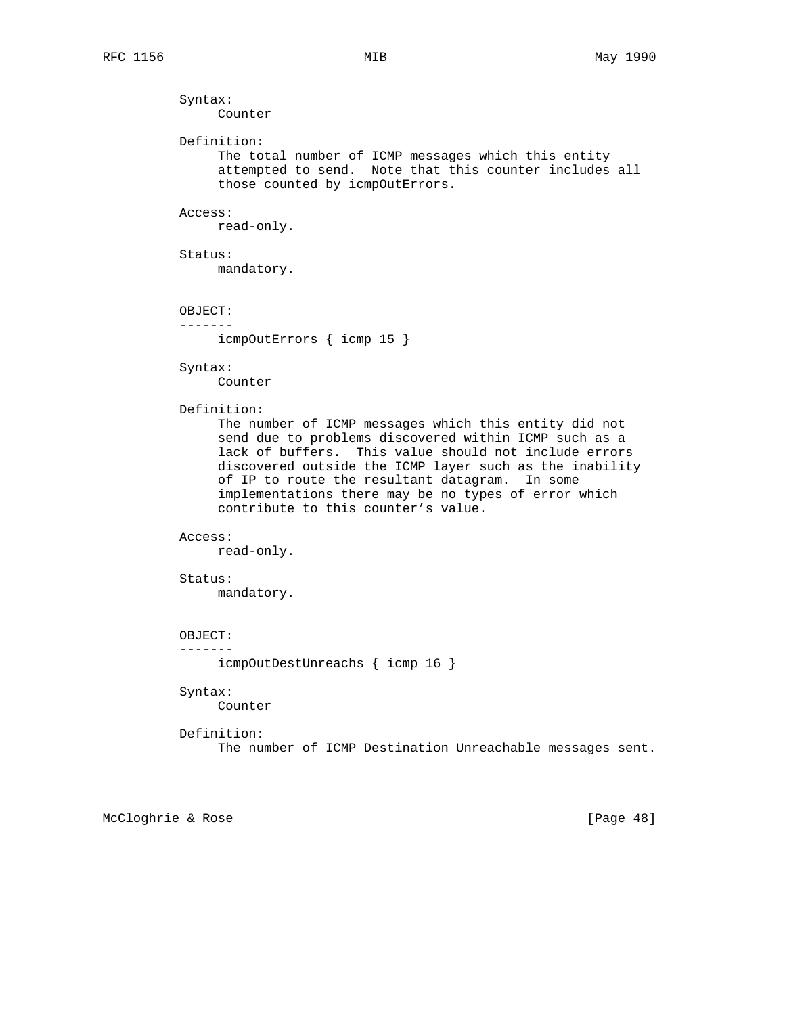Syntax: Counter Definition: The total number of ICMP messages which this entity attempted to send. Note that this counter includes all those counted by icmpOutErrors. Access: read-only. Status: mandatory. OBJECT: ------ icmpOutErrors { icmp 15 } Syntax: Counter Definition: The number of ICMP messages which this entity did not send due to problems discovered within ICMP such as a lack of buffers. This value should not include errors discovered outside the ICMP layer such as the inability of IP to route the resultant datagram. In some implementations there may be no types of error which contribute to this counter's value. Access: read-only. Status: mandatory. OBJECT: ------ icmpOutDestUnreachs { icmp 16 } Syntax: Counter Definition: The number of ICMP Destination Unreachable messages sent.

McCloghrie & Rose [Page 48]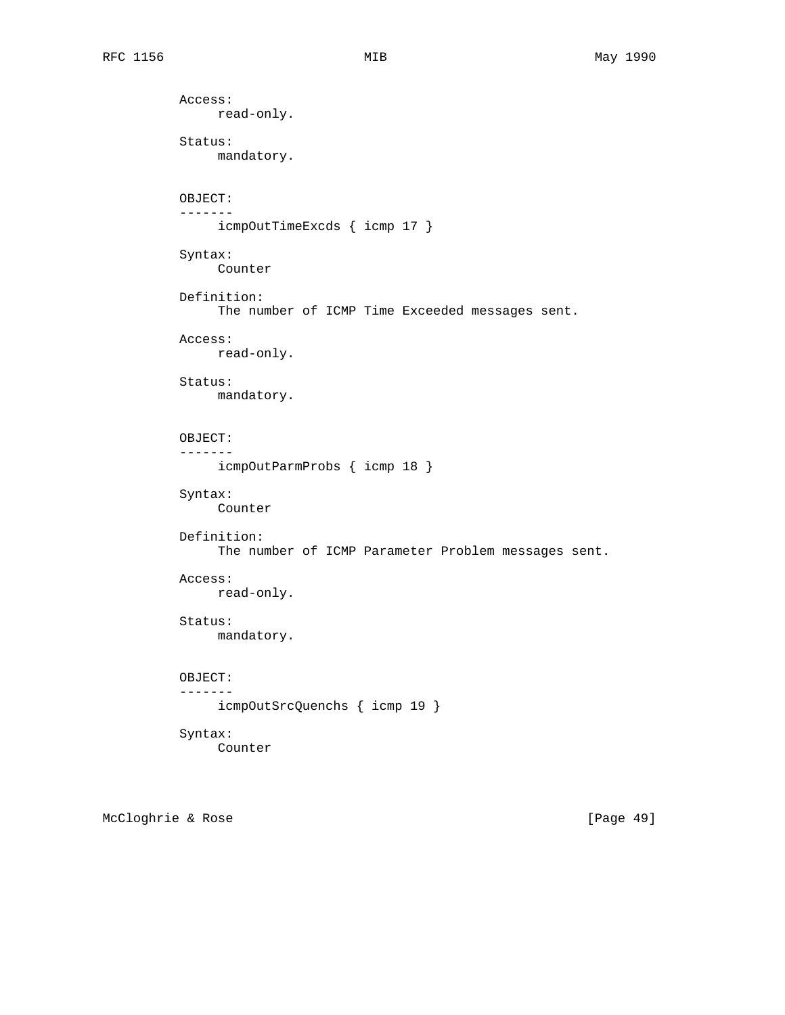Access: read-only. Status: mandatory. OBJECT: ------ icmpOutTimeExcds { icmp 17 } Syntax: Counter Definition: The number of ICMP Time Exceeded messages sent. Access: read-only. Status: mandatory. OBJECT: ------ icmpOutParmProbs { icmp 18 } Syntax: Counter Definition: The number of ICMP Parameter Problem messages sent. Access: read-only. Status: mandatory. OBJECT: ------ icmpOutSrcQuenchs { icmp 19 } Syntax: Counter

McCloghrie & Rose [Page 49]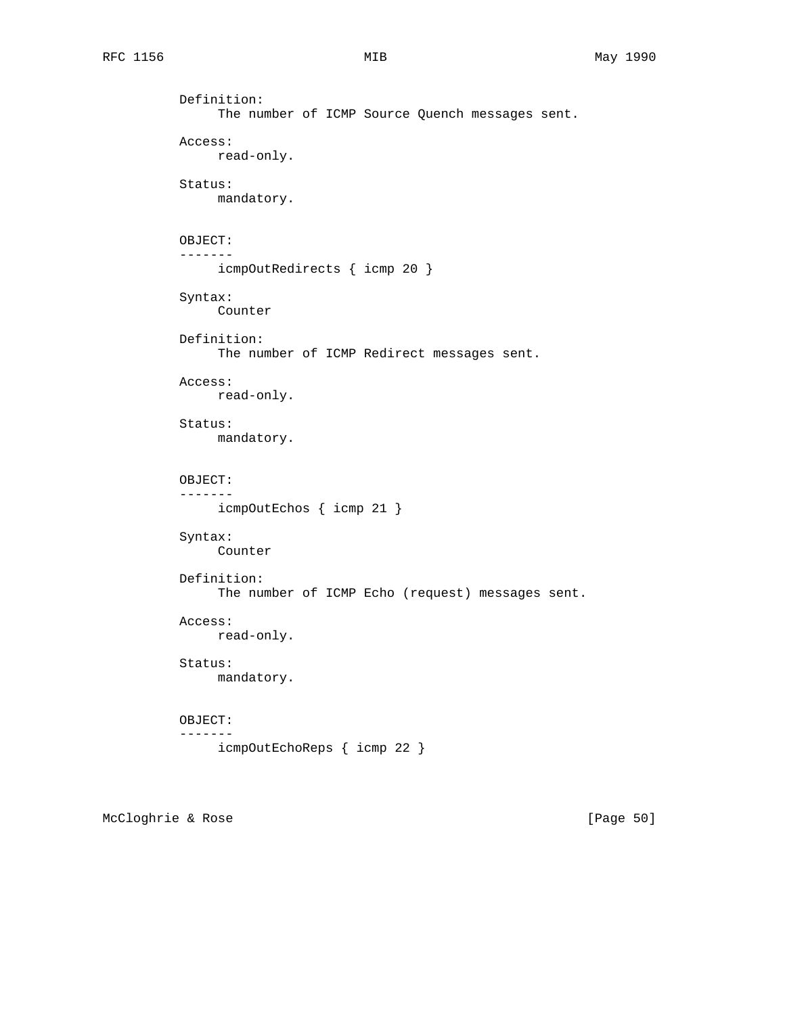```
 Definition:
      The number of ICMP Source Quench messages sent.
 Access:
      read-only.
 Status:
      mandatory.
 OBJECT:
 -------
      icmpOutRedirects { icmp 20 }
 Syntax:
      Counter
 Definition:
      The number of ICMP Redirect messages sent.
 Access:
      read-only.
 Status:
      mandatory.
 OBJECT:
 -------
      icmpOutEchos { icmp 21 }
 Syntax:
      Counter
 Definition:
      The number of ICMP Echo (request) messages sent.
 Access:
      read-only.
 Status:
     mandatory.
 OBJECT:
 -------
      icmpOutEchoReps { icmp 22 }
```
McCloghrie & Rose [Page 50]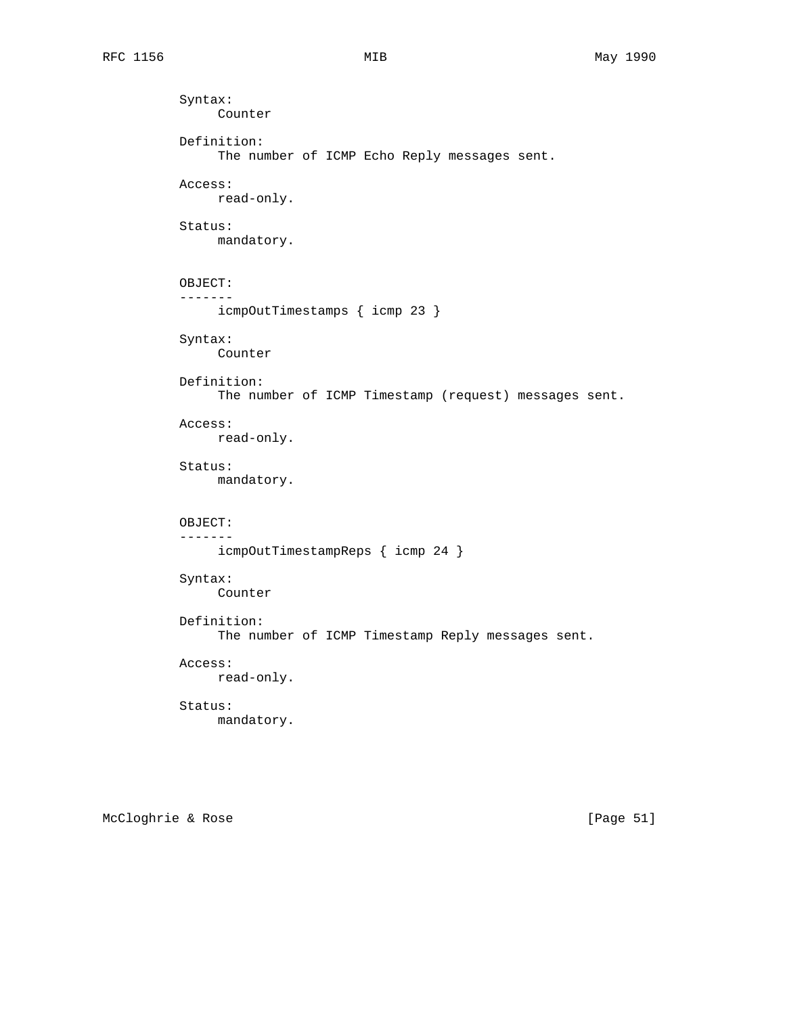```
 Syntax:
      Counter
 Definition:
      The number of ICMP Echo Reply messages sent.
 Access:
      read-only.
 Status:
      mandatory.
 OBJECT:
 -------
      icmpOutTimestamps { icmp 23 }
 Syntax:
     Counter
 Definition:
      The number of ICMP Timestamp (request) messages sent.
 Access:
     read-only.
 Status:
      mandatory.
 OBJECT:
 -------
      icmpOutTimestampReps { icmp 24 }
 Syntax:
      Counter
 Definition:
      The number of ICMP Timestamp Reply messages sent.
 Access:
     read-only.
 Status:
      mandatory.
```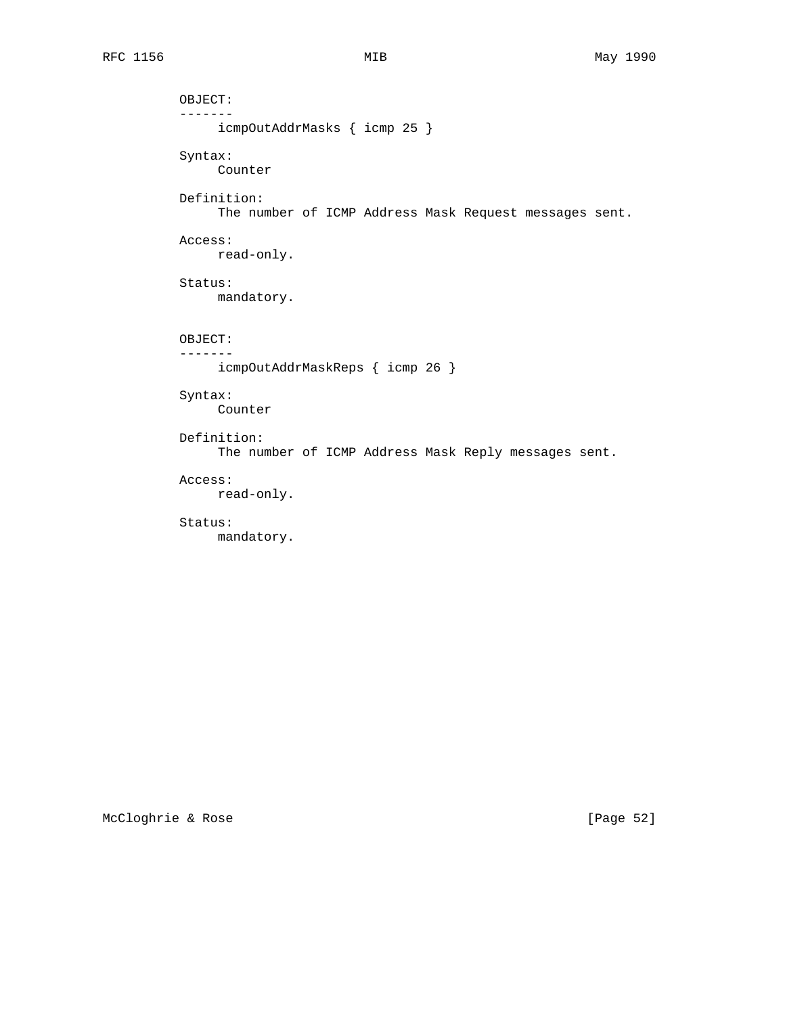```
 OBJECT:
 -------
      icmpOutAddrMasks { icmp 25 }
 Syntax:
     Counter
 Definition:
      The number of ICMP Address Mask Request messages sent.
 Access:
     read-only.
 Status:
     mandatory.
 OBJECT:
 -------
     icmpOutAddrMaskReps { icmp 26 }
 Syntax:
      Counter
 Definition:
      The number of ICMP Address Mask Reply messages sent.
 Access:
      read-only.
 Status:
```
mandatory.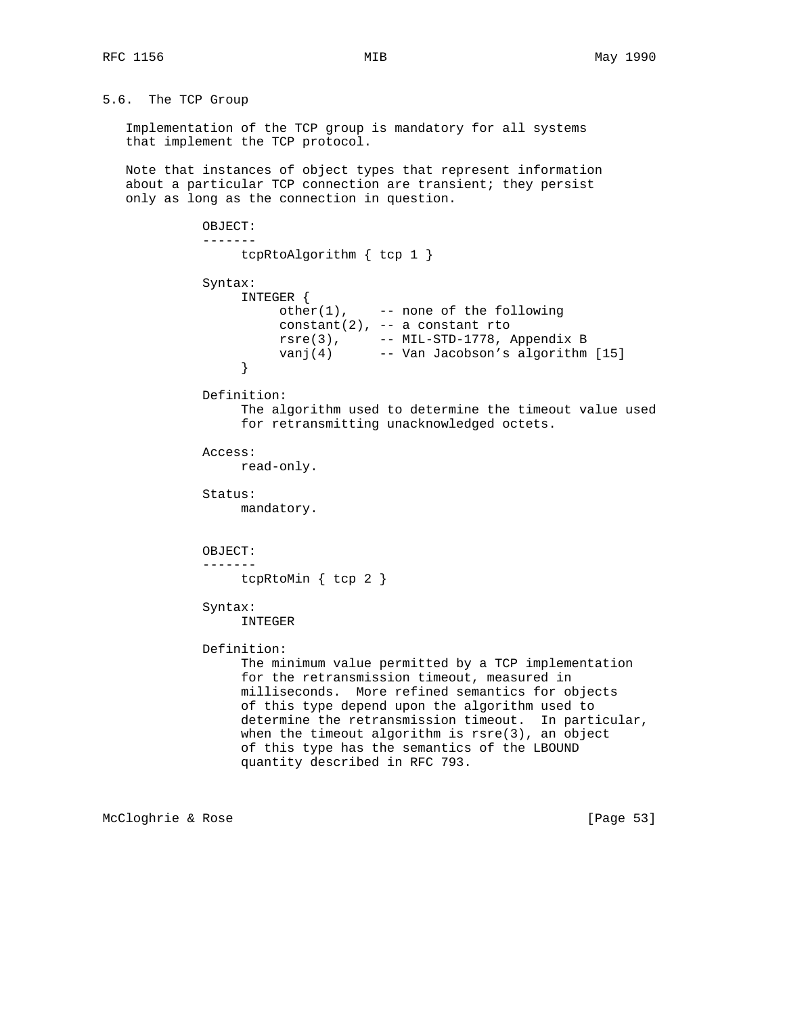## 5.6. The TCP Group

 Implementation of the TCP group is mandatory for all systems that implement the TCP protocol.

 Note that instances of object types that represent information about a particular TCP connection are transient; they persist only as long as the connection in question.

```
 OBJECT:
             -------
                 tcpRtoAlgorithm { tcp 1 }
             Syntax:
                  INTEGER {
                      other(1), -- none of the following
                      constant(2), -- a constant rto
 rsre(3), -- MIL-STD-1778, Appendix B
 vanj(4) -- Van Jacobson's algorithm [15]
 }
             Definition:
                  The algorithm used to determine the timeout value used
                  for retransmitting unacknowledged octets.
             Access:
                 read-only.
             Status:
                 mandatory.
             OBJECT:
             -------
                tcpRtoMin { tcp 2 }
             Syntax:
                 INTEGER
             Definition:
                  The minimum value permitted by a TCP implementation
                  for the retransmission timeout, measured in
                  milliseconds. More refined semantics for objects
                  of this type depend upon the algorithm used to
                  determine the retransmission timeout. In particular,
                  when the timeout algorithm is rsre(3), an object
                  of this type has the semantics of the LBOUND
                  quantity described in RFC 793.
```
McCloghrie & Rose [Page 53]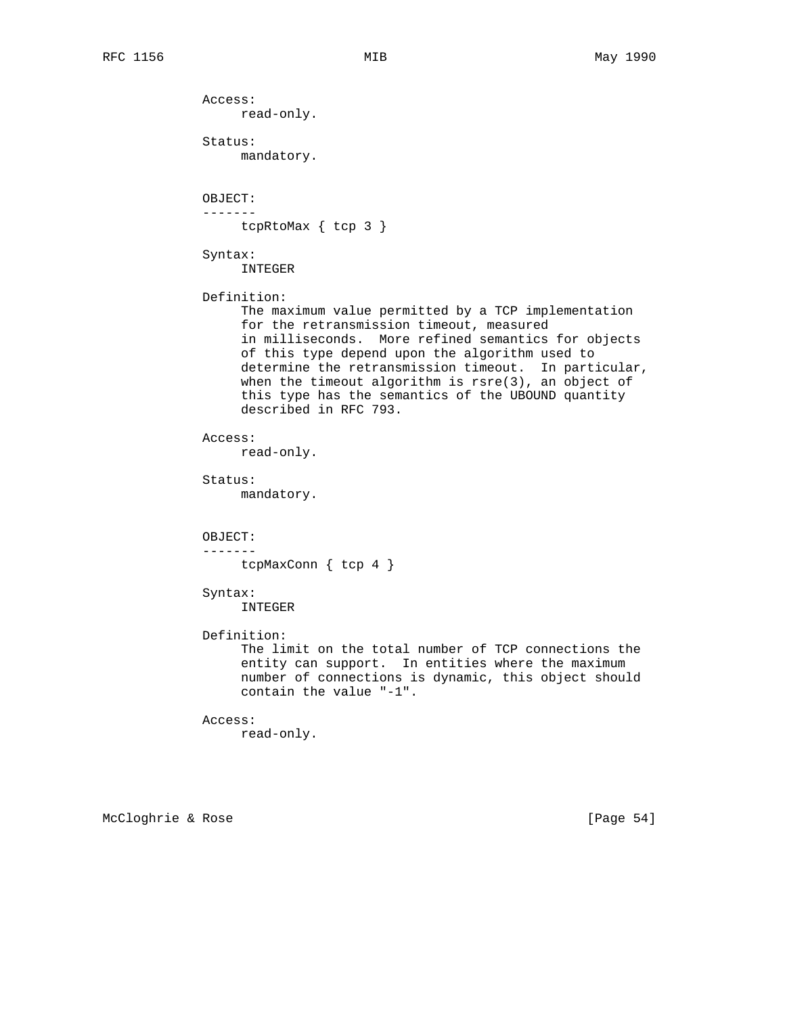Status: mandatory.

read-only.

OBJECT:

Access:

 ------ tcpRtoMax { tcp 3 }

 Syntax: INTEGER

## Definition:

 The maximum value permitted by a TCP implementation for the retransmission timeout, measured in milliseconds. More refined semantics for objects of this type depend upon the algorithm used to determine the retransmission timeout. In particular, when the timeout algorithm is rsre(3), an object of this type has the semantics of the UBOUND quantity described in RFC 793.

Access:

read-only.

Status:

mandatory.

 OBJECT: -------

tcpMaxConn { tcp 4 }

## Syntax:

INTEGER

Definition:

 The limit on the total number of TCP connections the entity can support. In entities where the maximum number of connections is dynamic, this object should contain the value "-1".

```
 Access:
      read-only.
```
McCloghrie & Rose [Page 54]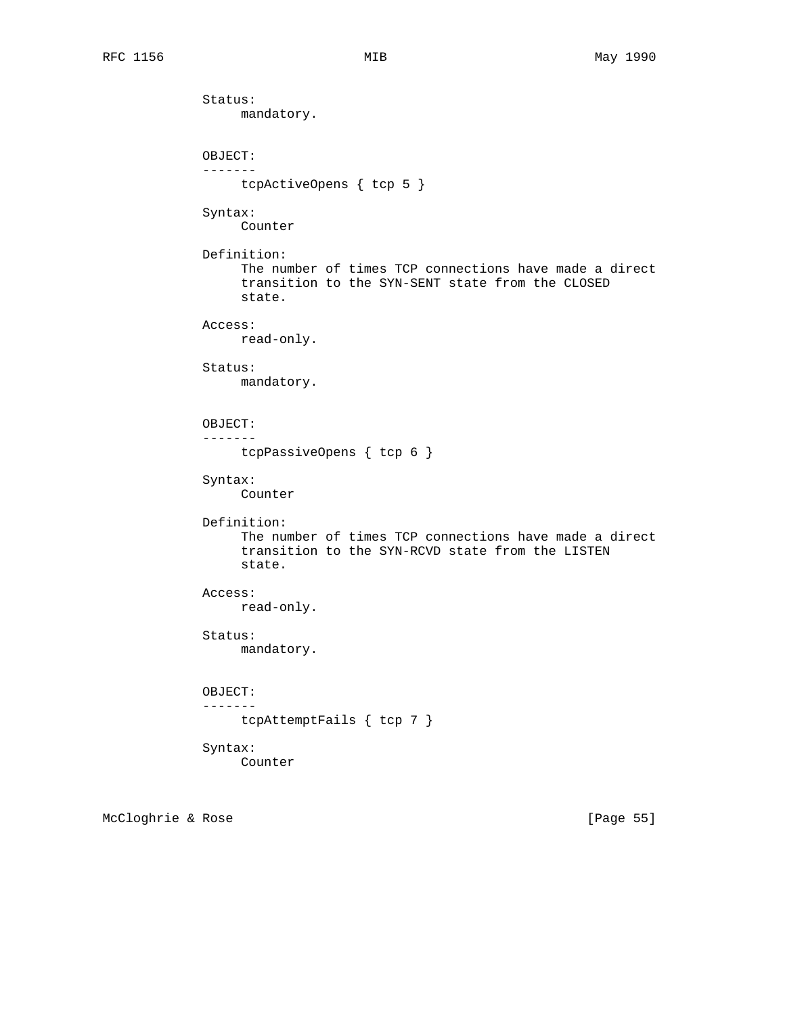```
 Status:
      mandatory.
 OBJECT:
 -------
     tcpActiveOpens { tcp 5 }
 Syntax:
     Counter
 Definition:
      The number of times TCP connections have made a direct
      transition to the SYN-SENT state from the CLOSED
      state.
 Access:
    read-only.
 Status:
     mandatory.
 OBJECT:
 -------
     tcpPassiveOpens { tcp 6 }
 Syntax:
      Counter
 Definition:
      The number of times TCP connections have made a direct
      transition to the SYN-RCVD state from the LISTEN
      state.
 Access:
     read-only.
 Status:
     mandatory.
 OBJECT:
 -------
     tcpAttemptFails { tcp 7 }
 Syntax:
     Counter
```
McCloghrie & Rose [Page 55]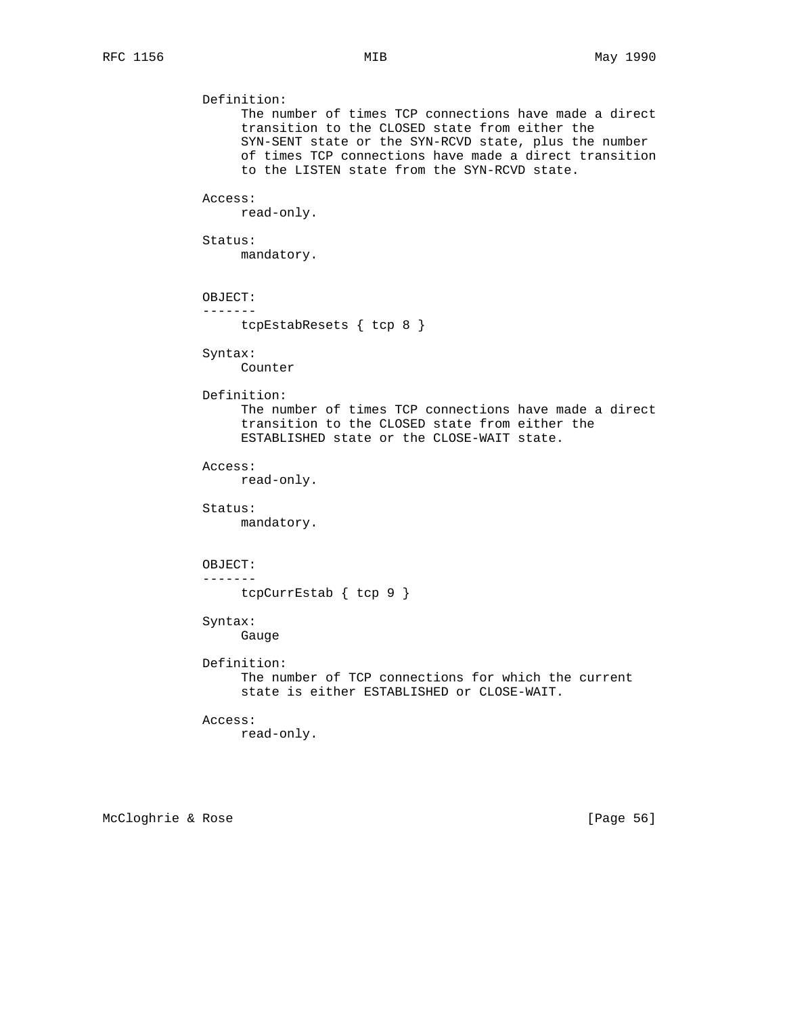```
 Definition:
      The number of times TCP connections have made a direct
      transition to the CLOSED state from either the
      SYN-SENT state or the SYN-RCVD state, plus the number
      of times TCP connections have made a direct transition
      to the LISTEN state from the SYN-RCVD state.
 Access:
     read-only.
 Status:
     mandatory.
 OBJECT:
 -------
    tcpEstabResets { tcp 8 }
 Syntax:
     Counter
 Definition:
      The number of times TCP connections have made a direct
      transition to the CLOSED state from either the
      ESTABLISHED state or the CLOSE-WAIT state.
 Access:
     read-only.
 Status:
     mandatory.
 OBJECT:
 -------
     tcpCurrEstab { tcp 9 }
 Syntax:
     Gauge
 Definition:
      The number of TCP connections for which the current
      state is either ESTABLISHED or CLOSE-WAIT.
 Access:
     read-only.
```
McCloghrie & Rose [Page 56]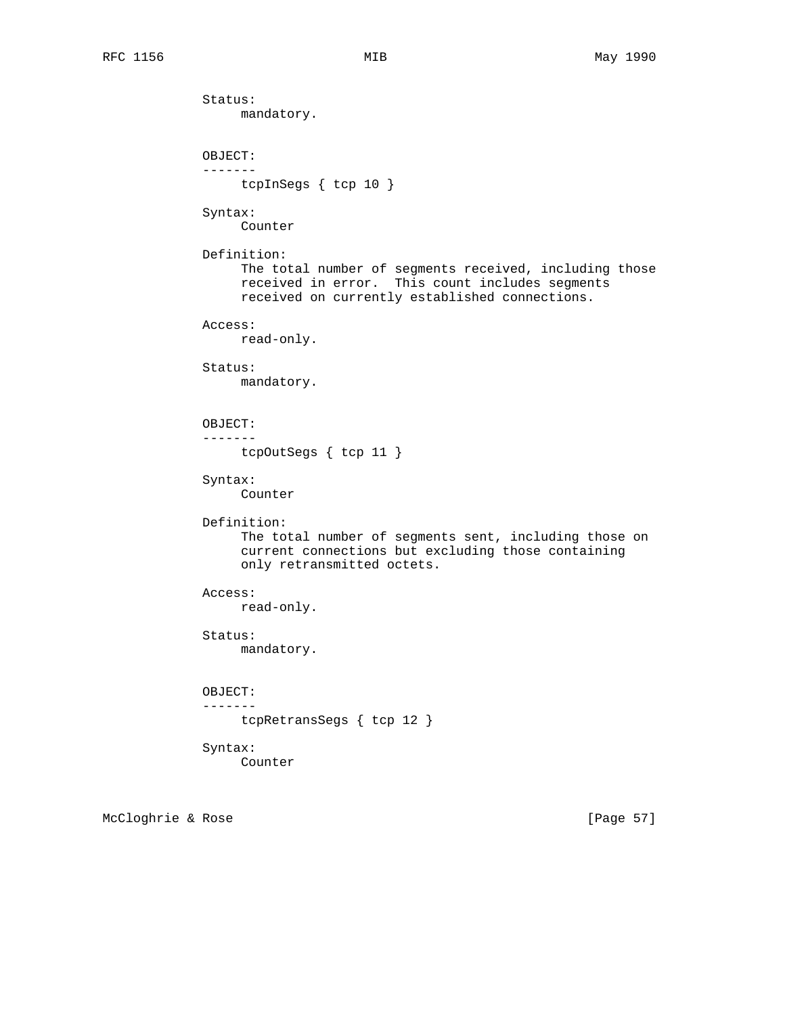```
 Status:
      mandatory.
 OBJECT:
 -------
     tcpInSegs { tcp 10 }
 Syntax:
      Counter
 Definition:
      The total number of segments received, including those
      received in error. This count includes segments
      received on currently established connections.
 Access:
     read-only.
 Status:
     mandatory.
 OBJECT:
 -------
     tcpOutSegs { tcp 11 }
 Syntax:
      Counter
 Definition:
      The total number of segments sent, including those on
      current connections but excluding those containing
      only retransmitted octets.
 Access:
     read-only.
 Status:
     mandatory.
 OBJECT:
 -------
     tcpRetransSegs { tcp 12 }
 Syntax:
     Counter
```
McCloghrie & Rose [Page 57]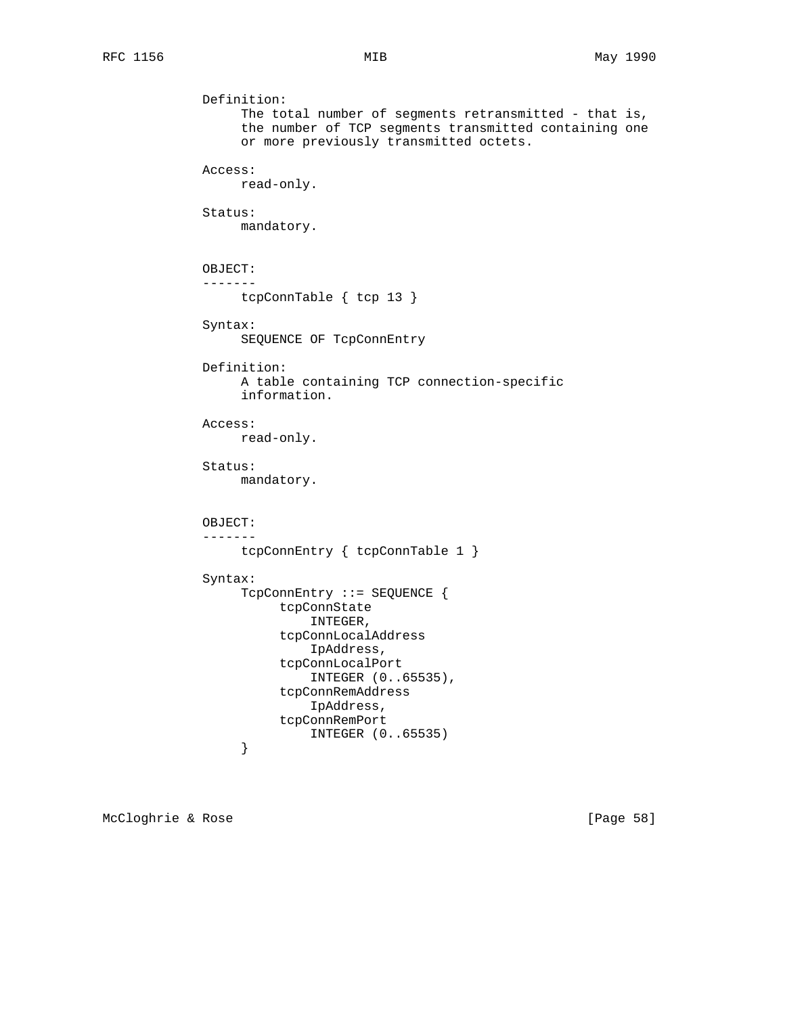```
 Definition:
                  The total number of segments retransmitted - that is,
                   the number of TCP segments transmitted containing one
                   or more previously transmitted octets.
              Access:
                  read-only.
              Status:
                  mandatory.
              OBJECT:
              -------
                  tcpConnTable { tcp 13 }
              Syntax:
                  SEQUENCE OF TcpConnEntry
              Definition:
                   A table containing TCP connection-specific
                   information.
              Access:
                   read-only.
              Status:
                   mandatory.
              OBJECT:
              -------
                  tcpConnEntry { tcpConnTable 1 }
              Syntax:
                   TcpConnEntry ::= SEQUENCE {
                        tcpConnState
                            INTEGER,
                        tcpConnLocalAddress
                            IpAddress,
                        tcpConnLocalPort
                            INTEGER (0..65535),
                        tcpConnRemAddress
                            IpAddress,
                        tcpConnRemPort
                  INTEGER (0..65535)
 }
```
McCloghrie & Rose [Page 58]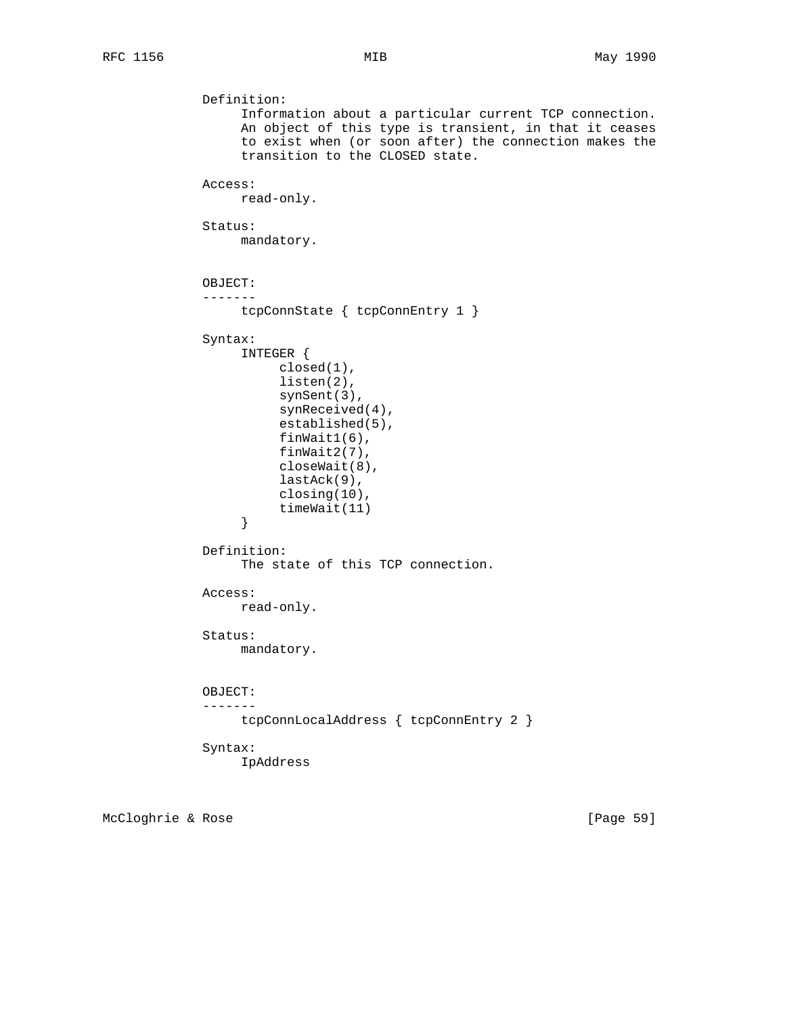```
 Definition:
                   Information about a particular current TCP connection.
                   An object of this type is transient, in that it ceases
                   to exist when (or soon after) the connection makes the
                   transition to the CLOSED state.
              Access:
                   read-only.
              Status:
                   mandatory.
              OBJECT:
              -------
                   tcpConnState { tcpConnEntry 1 }
              Syntax:
                   INTEGER {
                       closed(1),
                        listen(2),
                        synSent(3),
                        synReceived(4),
                        established(5),
                        finWait1(6),
                        finWait2(7),
                        closeWait(8),
                        lastAck(9),
                        closing(10),
                  timeWait(11)<br>}
 }
              Definition:
                   The state of this TCP connection.
              Access:
                   read-only.
              Status:
                   mandatory.
              OBJECT:
              -------
                  tcpConnLocalAddress { tcpConnEntry 2 }
              Syntax:
                   IpAddress
```
McCloghrie & Rose [Page 59]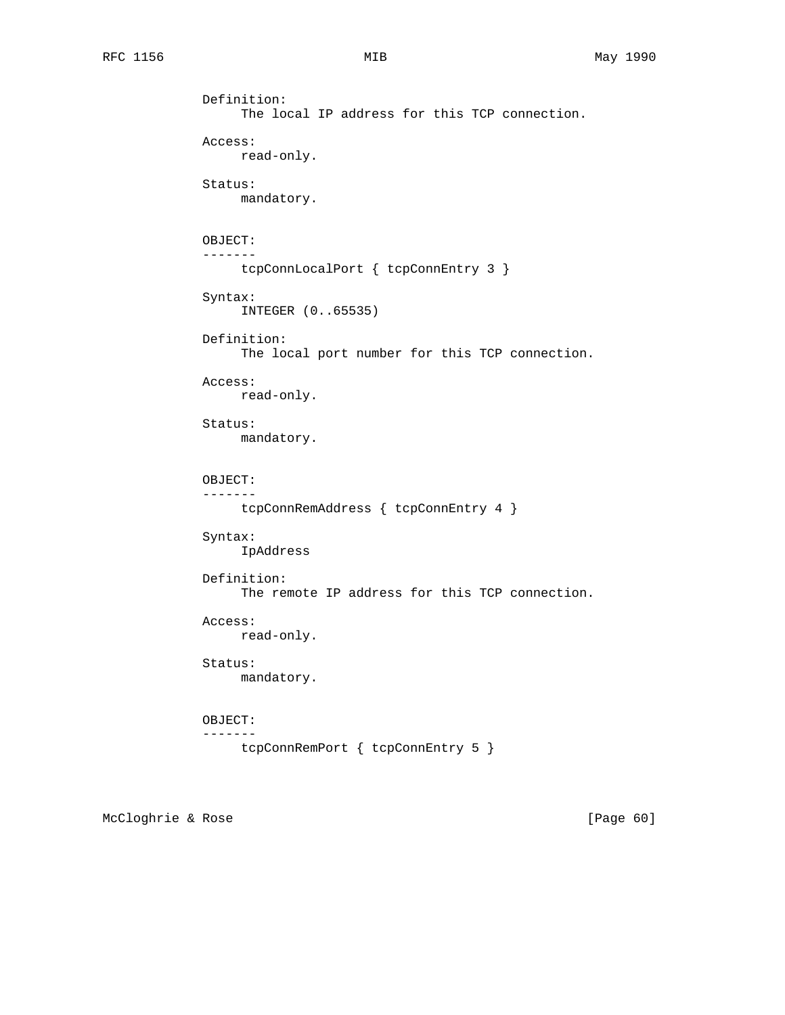```
 Definition:
      The local IP address for this TCP connection.
 Access:
     read-only.
 Status:
     mandatory.
 OBJECT:
 -------
     tcpConnLocalPort { tcpConnEntry 3 }
 Syntax:
     INTEGER (0..65535)
 Definition:
      The local port number for this TCP connection.
 Access:
      read-only.
 Status:
      mandatory.
 OBJECT:
 -------
     tcpConnRemAddress { tcpConnEntry 4 }
 Syntax:
      IpAddress
 Definition:
      The remote IP address for this TCP connection.
 Access:
     read-only.
 Status:
     mandatory.
 OBJECT:
 -------
    tcpConnRemPort { tcpConnEntry 5 }
```
McCloghrie & Rose [Page 60]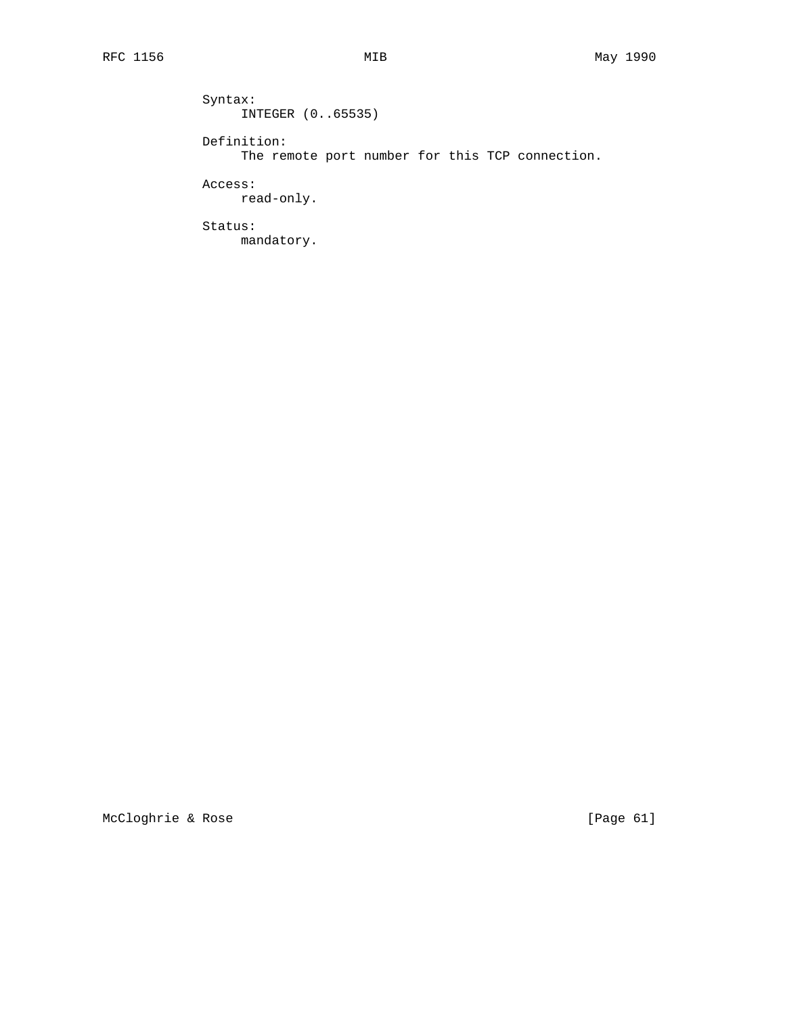Syntax: INTEGER (0..65535) Definition: The remote port number for this TCP connection. Access: read-only. Status: mandatory.

McCloghrie & Rose [Page 61]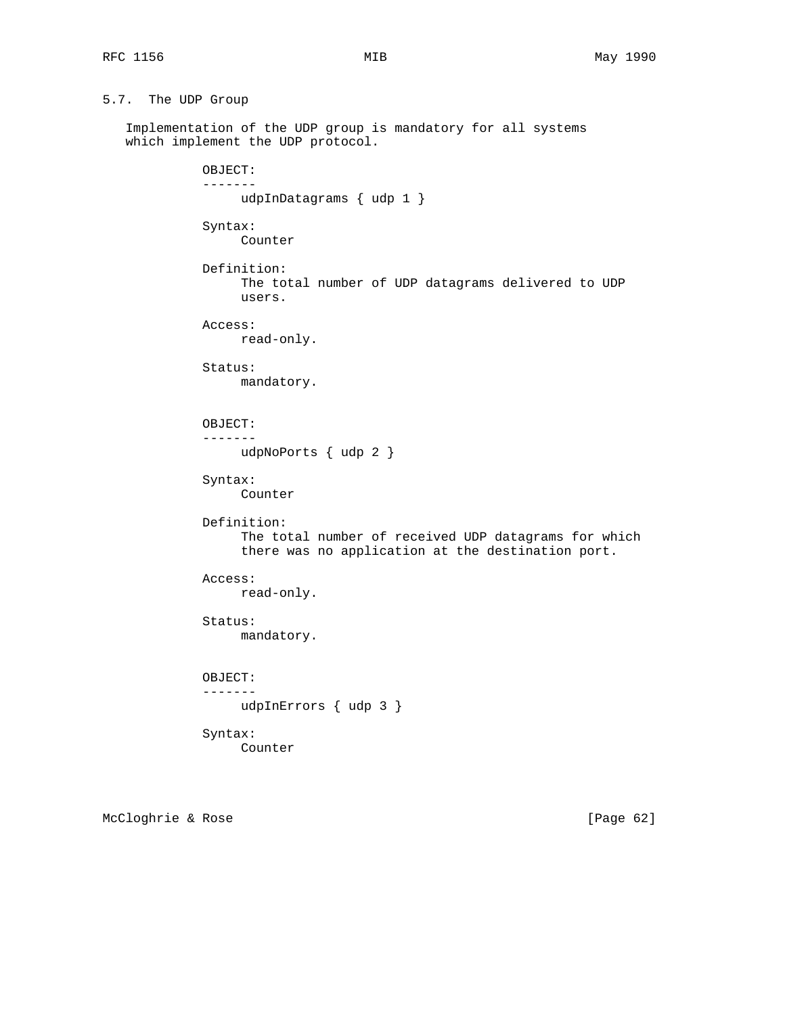```
5.7. The UDP Group
```
 Implementation of the UDP group is mandatory for all systems which implement the UDP protocol.

```
 OBJECT:
 -------
     udpInDatagrams { udp 1 }
 Syntax:
      Counter
 Definition:
      The total number of UDP datagrams delivered to UDP
      users.
 Access:
     read-only.
 Status:
     mandatory.
 OBJECT:
 -------
     udpNoPorts { udp 2 }
 Syntax:
      Counter
 Definition:
      The total number of received UDP datagrams for which
      there was no application at the destination port.
 Access:
     read-only.
 Status:
     mandatory.
 OBJECT:
 -------
     udpInErrors { udp 3 }
 Syntax:
      Counter
```
McCloghrie & Rose [Page 62]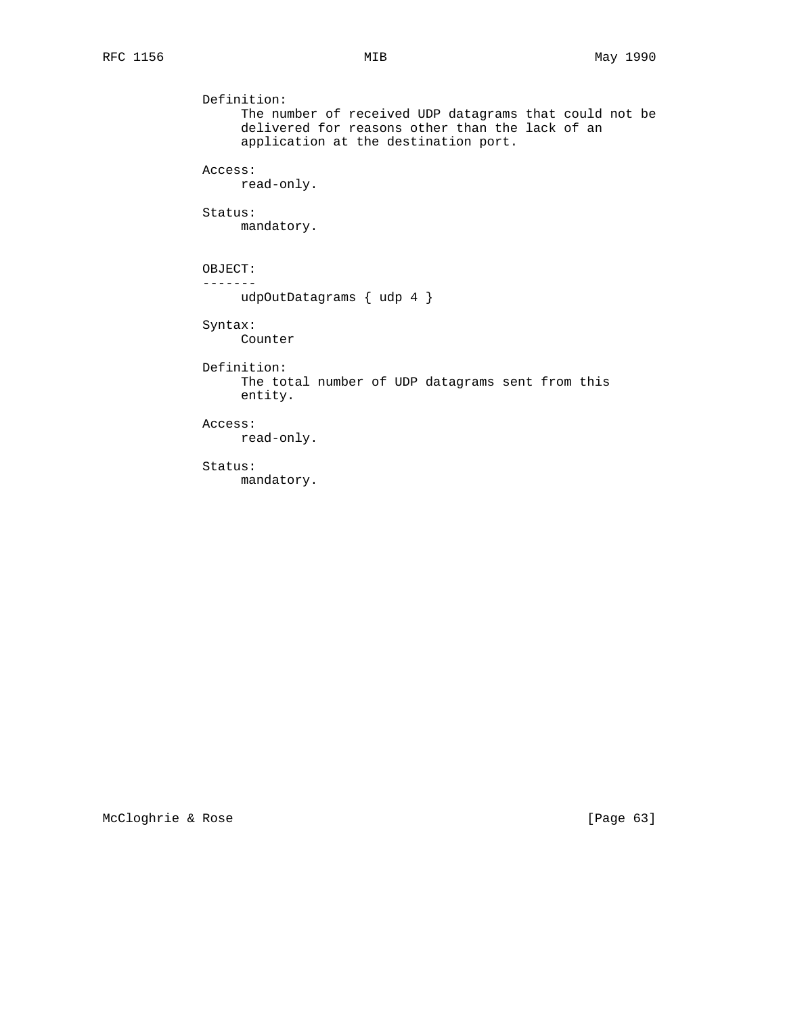```
 Definition:
      The number of received UDP datagrams that could not be
      delivered for reasons other than the lack of an
      application at the destination port.
 Access:
     read-only.
 Status:
     mandatory.
 OBJECT:
 -------
     udpOutDatagrams { udp 4 }
 Syntax:
     Counter
 Definition:
      The total number of UDP datagrams sent from this
      entity.
 Access:
      read-only.
 Status:
      mandatory.
```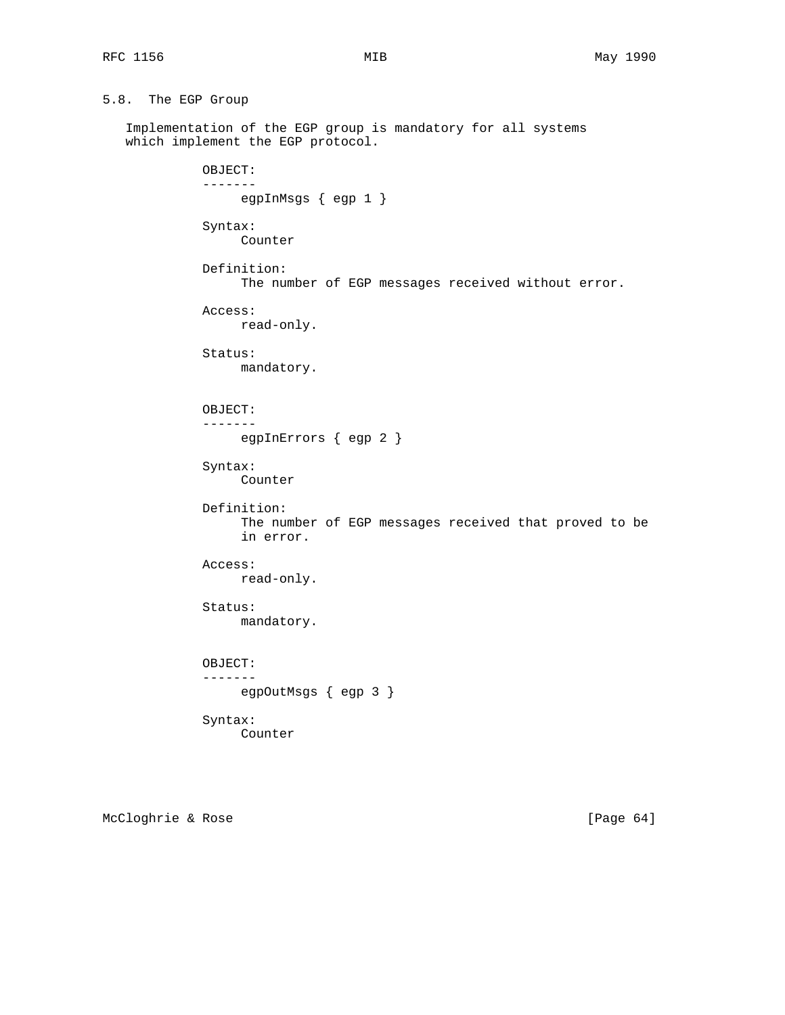```
5.8. The EGP Group
```
 Implementation of the EGP group is mandatory for all systems which implement the EGP protocol.

> OBJECT: ------ egpInMsgs { egp 1 } Syntax: Counter Definition: The number of EGP messages received without error. Access: read-only. Status: mandatory. OBJECT: ------ egpInErrors { egp 2 } Syntax: Counter Definition: The number of EGP messages received that proved to be in error. Access: read-only. Status: mandatory. OBJECT: ------ egpOutMsgs { egp 3 } Syntax: Counter

McCloghrie & Rose [Page 64]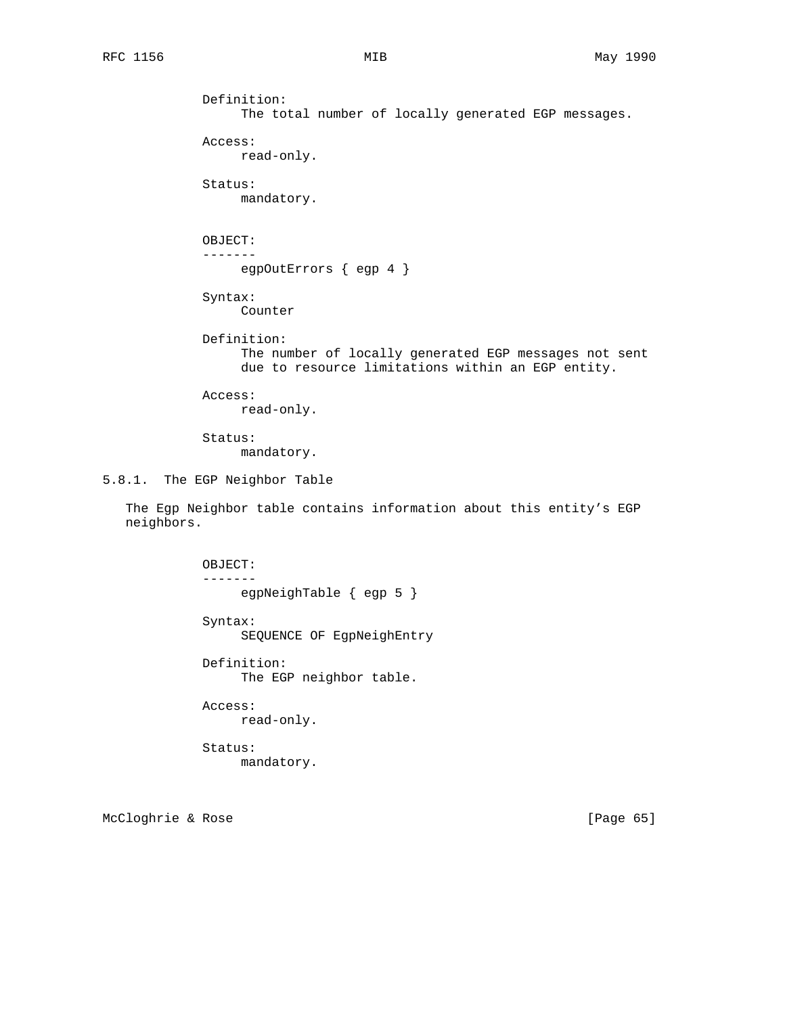```
 Definition:
                    The total number of locally generated EGP messages.
              Access:
                   read-only.
              Status:
                   mandatory.
              OBJECT:
              -------
                   egpOutErrors { egp 4 }
              Syntax:
                   Counter
              Definition:
                    The number of locally generated EGP messages not sent
                    due to resource limitations within an EGP entity.
              Access:
                   read-only.
              Status:
                    mandatory.
5.8.1. The EGP Neighbor Table
    The Egp Neighbor table contains information about this entity's EGP
   neighbors.
```
 OBJECT: ------ egpNeighTable { egp 5 } Syntax: SEQUENCE OF EgpNeighEntry Definition: The EGP neighbor table. Access: read-only. Status: mandatory.

McCloghrie & Rose [Page 65]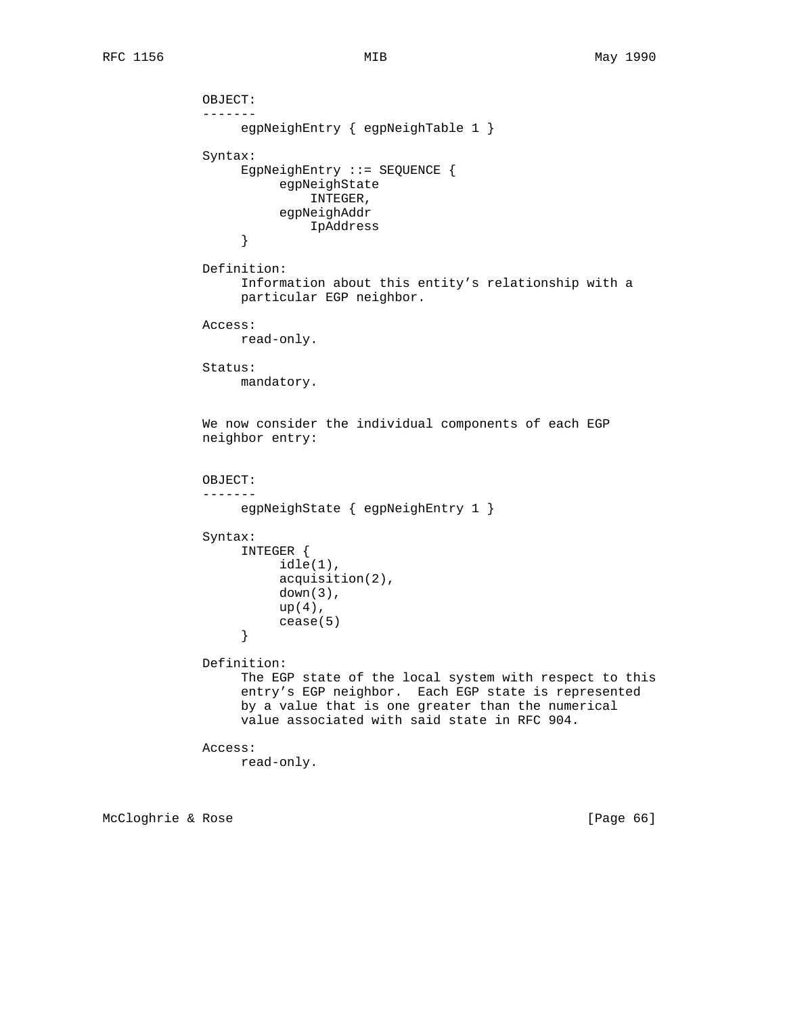```
 OBJECT:
              -------
                  egpNeighEntry { egpNeighTable 1 }
             Syntax:
                  EgpNeighEntry ::= SEQUENCE {
                       egpNeighState
                           INTEGER,
                       egpNeighAddr
                  IpAddress
 }
             Definition:
                  Information about this entity's relationship with a
                  particular EGP neighbor.
             Access:
                  read-only.
             Status:
                  mandatory.
             We now consider the individual components of each EGP
             neighbor entry:
             OBJECT:
              -------
                  egpNeighState { egpNeighEntry 1 }
             Syntax:
                  INTEGER {
                       idle(1),
                       acquisition(2),
                       down(3),
                      up(4),
                 cease(5)
 }
             Definition:
                  The EGP state of the local system with respect to this
                  entry's EGP neighbor. Each EGP state is represented
                  by a value that is one greater than the numerical
                  value associated with said state in RFC 904.
             Access:
                  read-only.
```
McCloghrie & Rose [Page 66]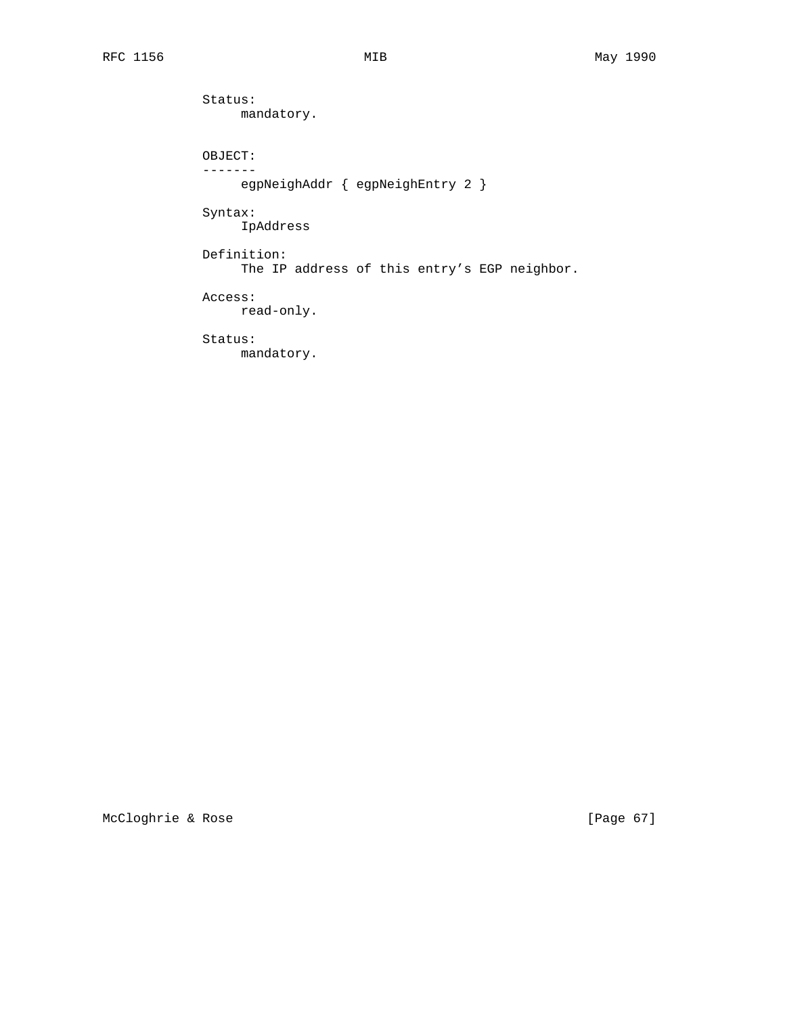Status: mandatory. OBJECT: ------ egpNeighAddr { egpNeighEntry 2 } Syntax: IpAddress Definition: The IP address of this entry's EGP neighbor. Access: read-only. Status: mandatory.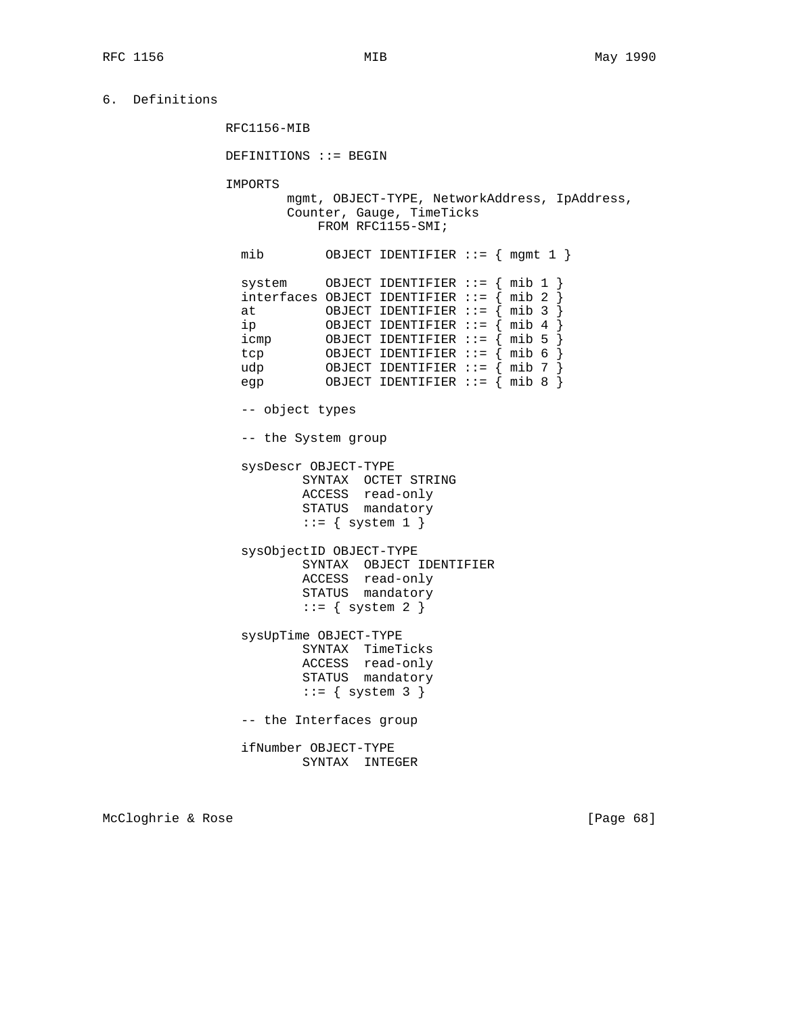6. Definitions

RFC1156-MIB

DEFINITIONS ::= BEGIN

IMPORTS

 mgmt, OBJECT-TYPE, NetworkAddress, IpAddress, Counter, Gauge, TimeTicks FROM RFC1155-SMI;

 mib OBJECT IDENTIFIER ::= { mgmt 1 } system OBJECT IDENTIFIER ::= { mib 1 } interfaces OBJECT IDENTIFIER ::=  $\int$  mib 2 at  $OBJECT IDENTIFIER :: = {mid nib 3 }$  ip OBJECT IDENTIFIER ::= { mib 4 } icmp OBJECT IDENTIFIER ::= { mib 5 } tcp 0BJECT IDENTIFIER ::=  $\{mb6\}$  udp OBJECT IDENTIFIER ::= { mib 7 } OBJECT IDENTIFIER  $:= \{ \text{min } 8 \}$ 

-- object types

-- the System group

 sysDescr OBJECT-TYPE SYNTAX OCTET STRING ACCESS read-only STATUS mandatory  $::=$  { system 1 }

> sysObjectID OBJECT-TYPE SYNTAX OBJECT IDENTIFIER ACCESS read-only STATUS mandatory  $::=$  { system 2 }

 sysUpTime OBJECT-TYPE SYNTAX TimeTicks ACCESS read-only STATUS mandatory  $::=$  { system 3 }

-- the Interfaces group

 ifNumber OBJECT-TYPE SYNTAX INTEGER

McCloghrie & Rose [Page 68]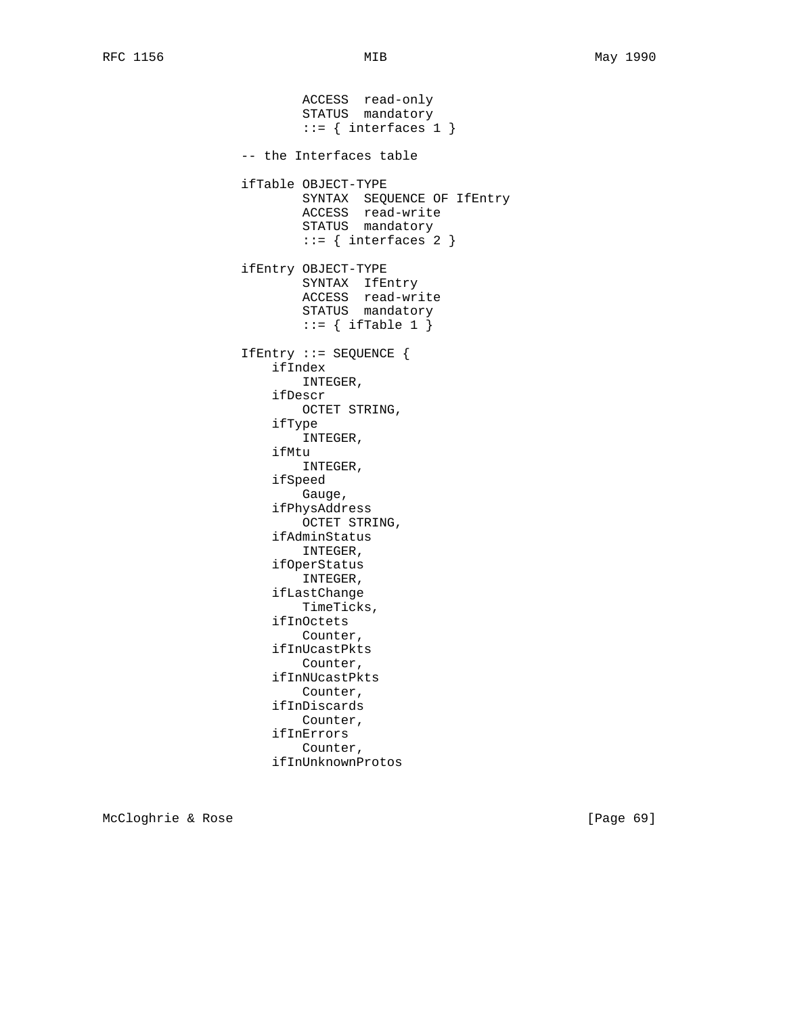ACCESS read-only STATUS mandatory  $::=$  { interfaces 1 } -- the Interfaces table ifTable OBJECT-TYPE SYNTAX SEQUENCE OF IfEntry ACCESS read-write STATUS mandatory  $::=$  { interfaces 2 } ifEntry OBJECT-TYPE SYNTAX IfEntry ACCESS read-write STATUS mandatory  $::=$  { ifTable 1 } IfEntry ::= SEQUENCE { ifIndex INTEGER, ifDescr OCTET STRING, ifType INTEGER, ifMtu INTEGER, ifSpeed Gauge, ifPhysAddress OCTET STRING, ifAdminStatus INTEGER, ifOperStatus INTEGER, ifLastChange TimeTicks, ifInOctets Counter, ifInUcastPkts Counter, ifInNUcastPkts Counter, ifInDiscards Counter, ifInErrors Counter, ifInUnknownProtos

McCloghrie & Rose [Page 69]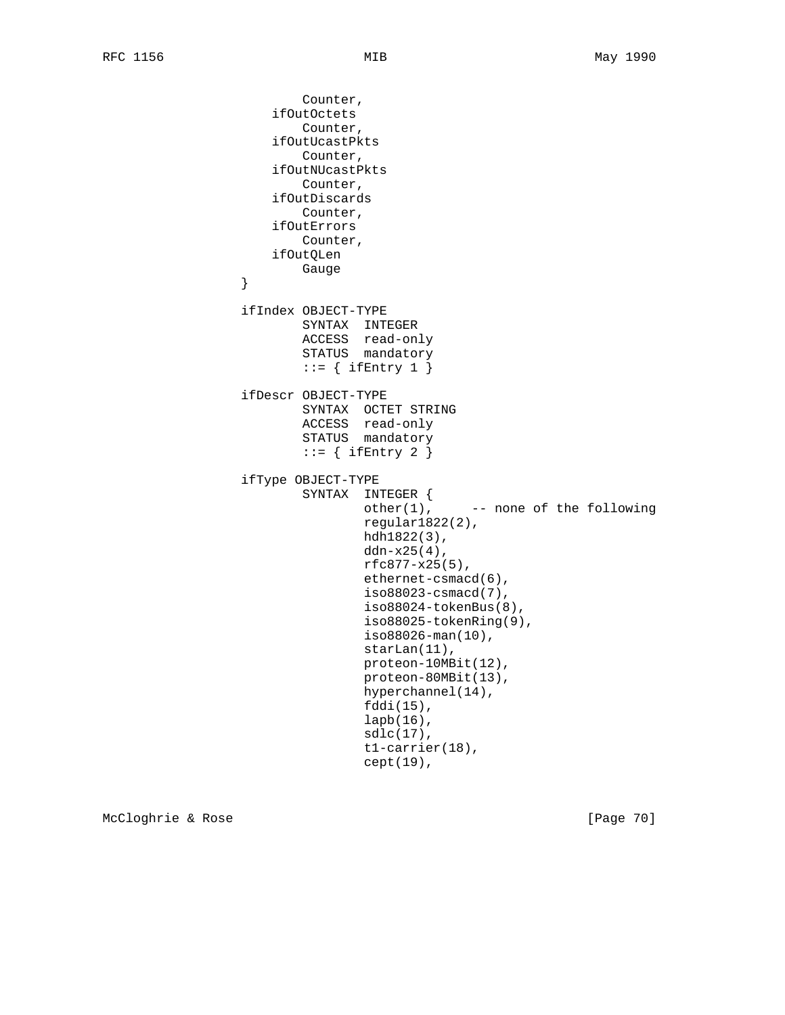Counter, ifOutOctets Counter, ifOutUcastPkts Counter, ifOutNUcastPkts Counter, ifOutDiscards Counter, ifOutErrors Counter, ifOutQLen }<br>} Gauge } ifIndex OBJECT-TYPE SYNTAX INTEGER ACCESS read-only STATUS mandatory  $::=$  { ifEntry 1 } ifDescr OBJECT-TYPE SYNTAX OCTET STRING ACCESS read-only STATUS mandatory  $::=$  { ifEntry 2 } ifType OBJECT-TYPE SYNTAX INTEGER {  $other(1)$ ,  $--- none of the following$  regular1822(2), hdh1822(3), ddn-x25(4),  $rfc877-x25(5)$ , ethernet-csmacd(6), iso88023-csmacd(7), iso88024-tokenBus(8), iso88025-tokenRing(9), iso88026-man(10), starLan(11), proteon-10MBit(12), proteon-80MBit(13), hyperchannel(14), fddi(15), lapb(16), sdlc(17), t1-carrier(18), cept(19),

McCloghrie & Rose [Page 70]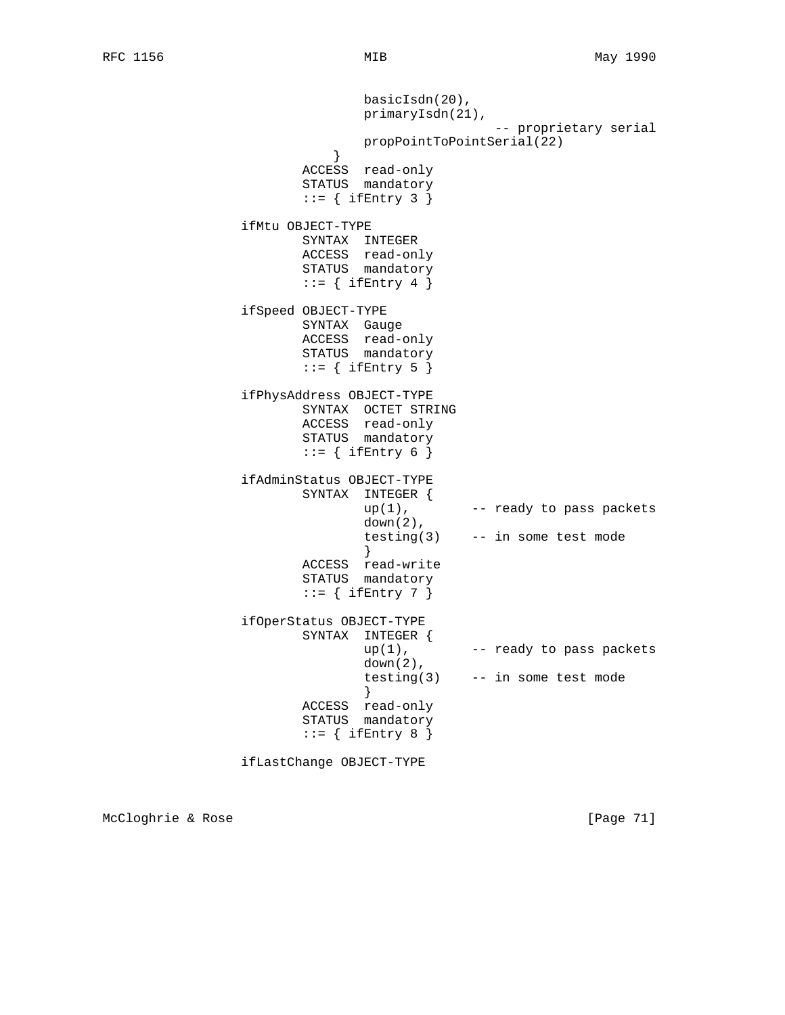```
 basicIsdn(20),
                             primaryIsdn(21),
                                           -- proprietary serial
                             propPointToPointSerial(22)
 }
                      ACCESS read-only
                      STATUS mandatory
                     ::= { ifEntry 3 }
               ifMtu OBJECT-TYPE
                      SYNTAX INTEGER
                      ACCESS read-only
                      STATUS mandatory
                     ::= { ifEntry 4 }
               ifSpeed OBJECT-TYPE
 SYNTAX Gauge
 ACCESS read-only
STATUS mandatory
                     ::= { ifEntry 5 }
               ifPhysAddress OBJECT-TYPE
                      SYNTAX OCTET STRING
                      ACCESS read-only
                      STATUS mandatory
                     ::= { ifEntry 6 }
               ifAdminStatus OBJECT-TYPE
                      SYNTAX INTEGER {
                           up(1), -- ready to pass packets
                             down(2),
                            testing(3) -- in some test mode
 }
                      ACCESS read-write
                      STATUS mandatory
                     ::= { ifEntry 7 }
               ifOperStatus OBJECT-TYPE
                     SYNTAX INTEGER {<br>up(1),
                                       -- ready to pass packets
                            down(2),
                            testing(3) -- in some test mode
 }
                      ACCESS read-only
                      STATUS mandatory
                     ::= { ifEntry 8 }
               ifLastChange OBJECT-TYPE
```
McCloghrie & Rose [Page 71]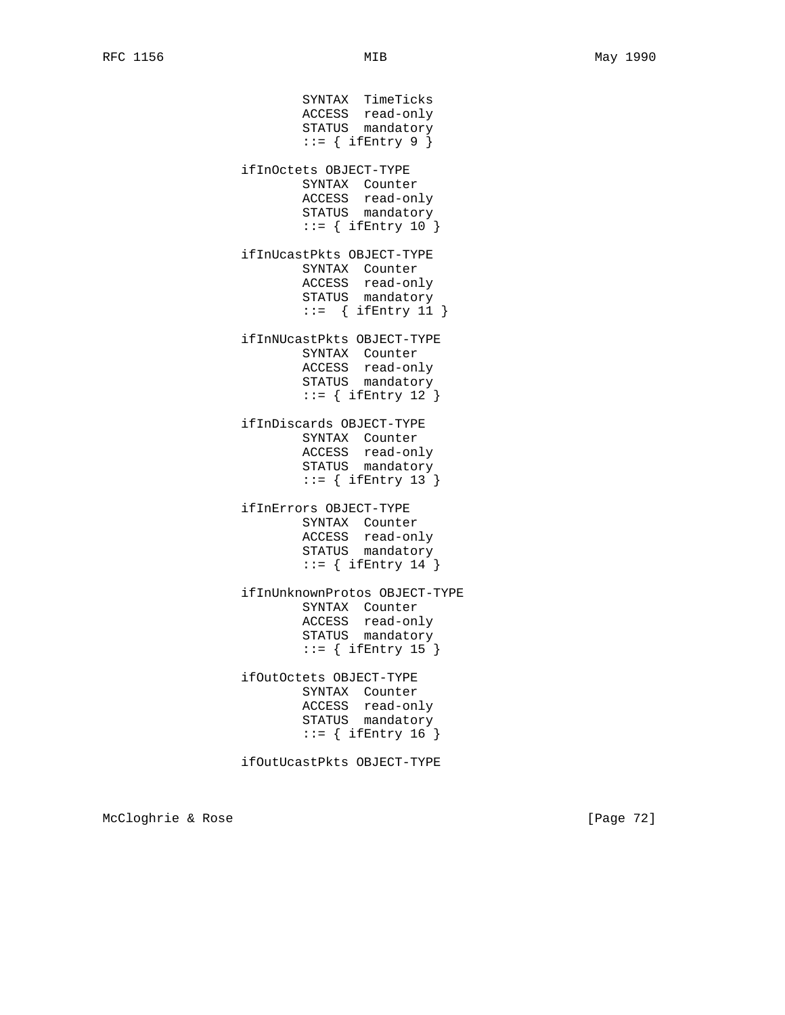SYNTAX TimeTicks ACCESS read-only STATUS mandatory  $::=$  { ifEntry 9 } ifInOctets OBJECT-TYPE SYNTAX Counter ACCESS read-only STATUS mandatory  $::=$  { ifEntry 10 } ifInUcastPkts OBJECT-TYPE SYNTAX Counter ACCESS read-only STATUS mandatory  $::=$  { ifEntry 11 } ifInNUcastPkts OBJECT-TYPE SYNTAX Counter ACCESS read-only STATUS mandatory  $::=$  { ifEntry 12 } ifInDiscards OBJECT-TYPE SYNTAX Counter ACCESS read-only STATUS mandatory  $::=$  { ifEntry 13 } ifInErrors OBJECT-TYPE SYNTAX Counter ACCESS read-only STATUS mandatory  $::=$  { ifEntry 14 } ifInUnknownProtos OBJECT-TYPE SYNTAX Counter ACCESS read-only STATUS mandatory  $::=$  { ifEntry 15 } ifOutOctets OBJECT-TYPE SYNTAX Counter ACCESS read-only STATUS mandatory  $::=$  { ifEntry 16 } ifOutUcastPkts OBJECT-TYPE

McCloghrie & Rose [Page 72]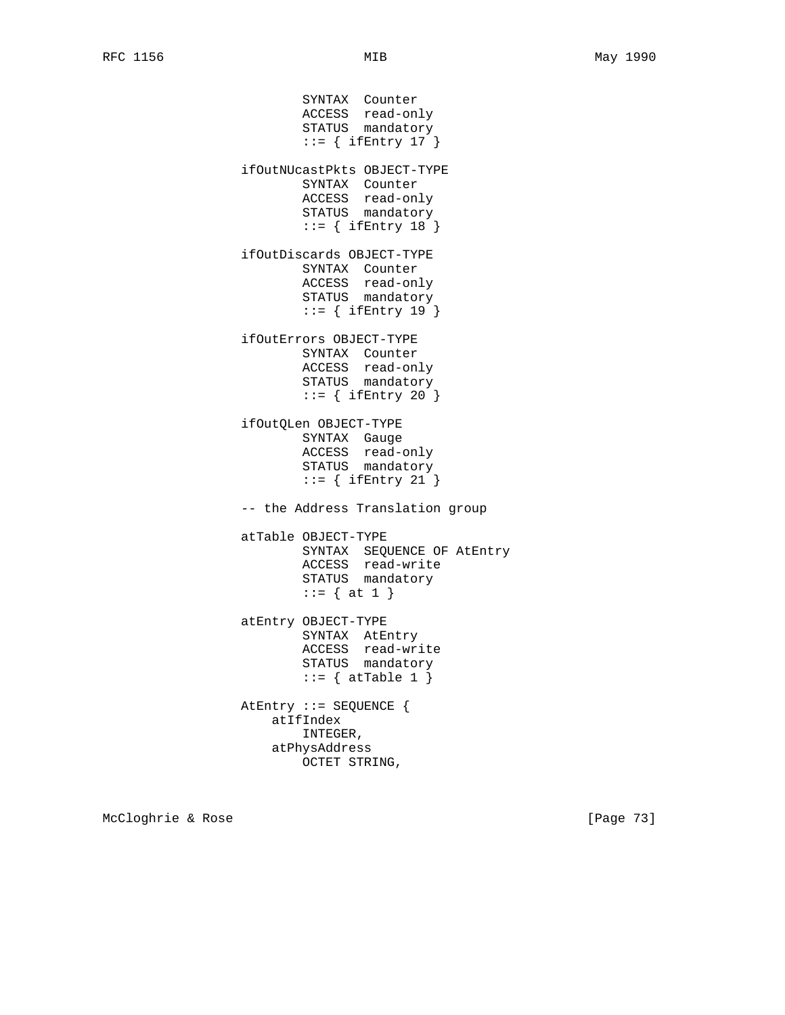SYNTAX Counter ACCESS read-only STATUS mandatory  $::=$  { ifEntry 17 } ifOutNUcastPkts OBJECT-TYPE SYNTAX Counter ACCESS read-only STATUS mandatory  $::=$  { ifEntry 18 } ifOutDiscards OBJECT-TYPE SYNTAX Counter ACCESS read-only STATUS mandatory ::= { ifEntry 19 } ifOutErrors OBJECT-TYPE SYNTAX Counter ACCESS read-only STATUS mandatory  $::=$  { ifEntry 20 } ifOutQLen OBJECT-TYPE SYNTAX Gauge ACCESS read-only STATUS mandatory  $::=$  { ifEntry 21 } -- the Address Translation group atTable OBJECT-TYPE SYNTAX SEQUENCE OF AtEntry ACCESS read-write STATUS mandatory  $::= \{ at 1 \}$  atEntry OBJECT-TYPE SYNTAX AtEntry ACCESS read-write STATUS mandatory  $::=$  { atTable 1 } AtEntry ::= SEQUENCE { atIfIndex INTEGER, atPhysAddress OCTET STRING,

McCloghrie & Rose [Page 73]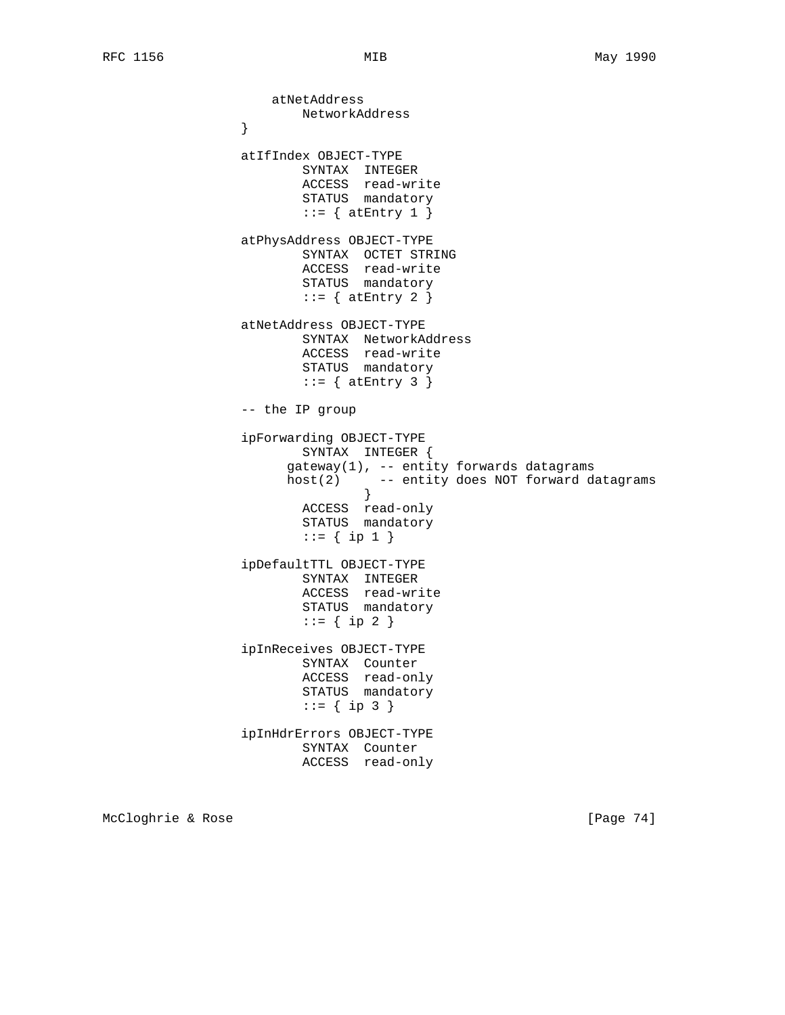atNetAddress NetworkAddress<br>} } atIfIndex OBJECT-TYPE SYNTAX INTEGER ACCESS read-write STATUS mandatory  $::=$  { at Entry 1 } atPhysAddress OBJECT-TYPE SYNTAX OCTET STRING ACCESS read-write STATUS mandatory  $::=$  { at Entry 2 } atNetAddress OBJECT-TYPE SYNTAX NetworkAddress ACCESS read-write STATUS mandatory  $::=$  { at Entry 3 } -- the IP group ipForwarding OBJECT-TYPE SYNTAX INTEGER { gateway(1), -- entity forwards datagrams host(2) -- entity does NOT forward datagrams } ACCESS read-only STATUS mandatory  $::= \{ \text{ip } 1 \}$  ipDefaultTTL OBJECT-TYPE SYNTAX INTEGER ACCESS read-write STATUS mandatory  $::= \{ \text{ip } 2 \}$  ipInReceives OBJECT-TYPE SYNTAX Counter ACCESS read-only STATUS mandatory  $::= \{ \text{ip } 3 \}$  ipInHdrErrors OBJECT-TYPE SYNTAX Counter ACCESS read-only

McCloghrie & Rose [Page 74]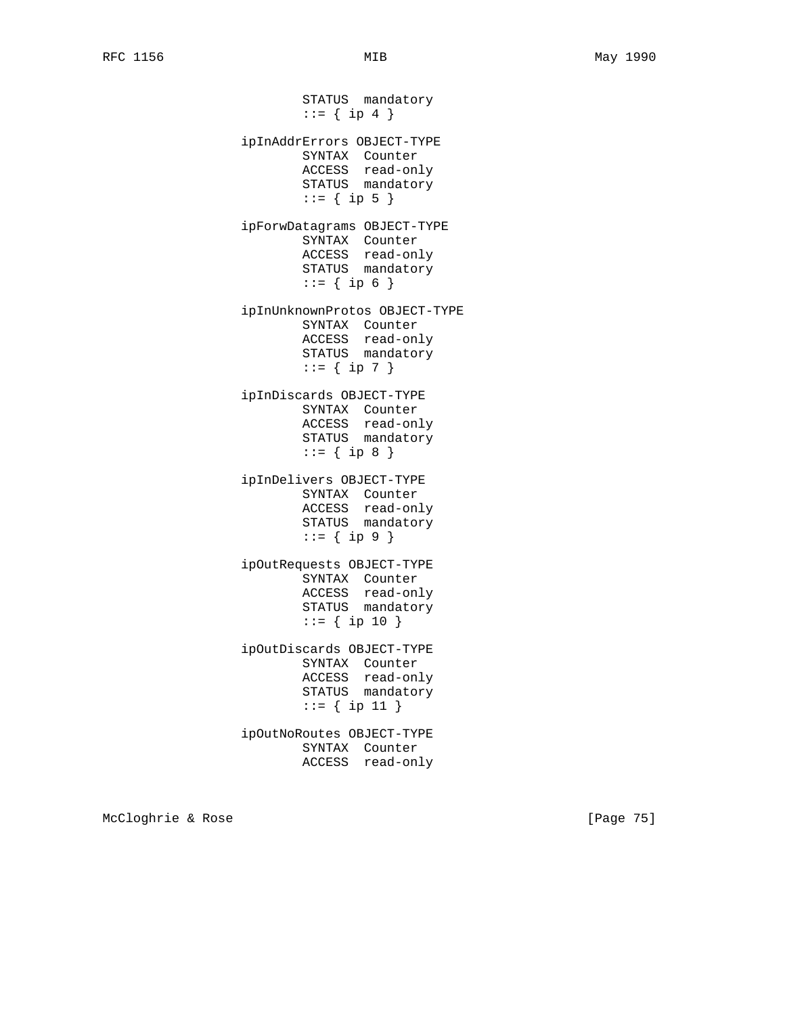STATUS mandatory  $::= \{ ip 4 \}$  ipInAddrErrors OBJECT-TYPE SYNTAX Counter ACCESS read-only STATUS mandatory  $::= \{ \text{ip } 5 \}$  ipForwDatagrams OBJECT-TYPE SYNTAX Counter ACCESS read-only STATUS mandatory  $::= { ip 6 }$  ipInUnknownProtos OBJECT-TYPE SYNTAX Counter ACCESS read-only STATUS mandatory  $::= \{ \text{ip } 7 \}$  ipInDiscards OBJECT-TYPE SYNTAX Counter ACCESS read-only STATUS mandatory  $::= \{ \text{ip } 8 \}$  ipInDelivers OBJECT-TYPE SYNTAX Counter ACCESS read-only STATUS mandatory  $::= \{ \text{ip } 9 \}$  ipOutRequests OBJECT-TYPE SYNTAX Counter ACCESS read-only STATUS mandatory ::= { ip 10 } ipOutDiscards OBJECT-TYPE SYNTAX Counter ACCESS read-only STATUS mandatory ::= { ip 11 } ipOutNoRoutes OBJECT-TYPE SYNTAX Counter ACCESS read-only

McCloghrie & Rose [Page 75]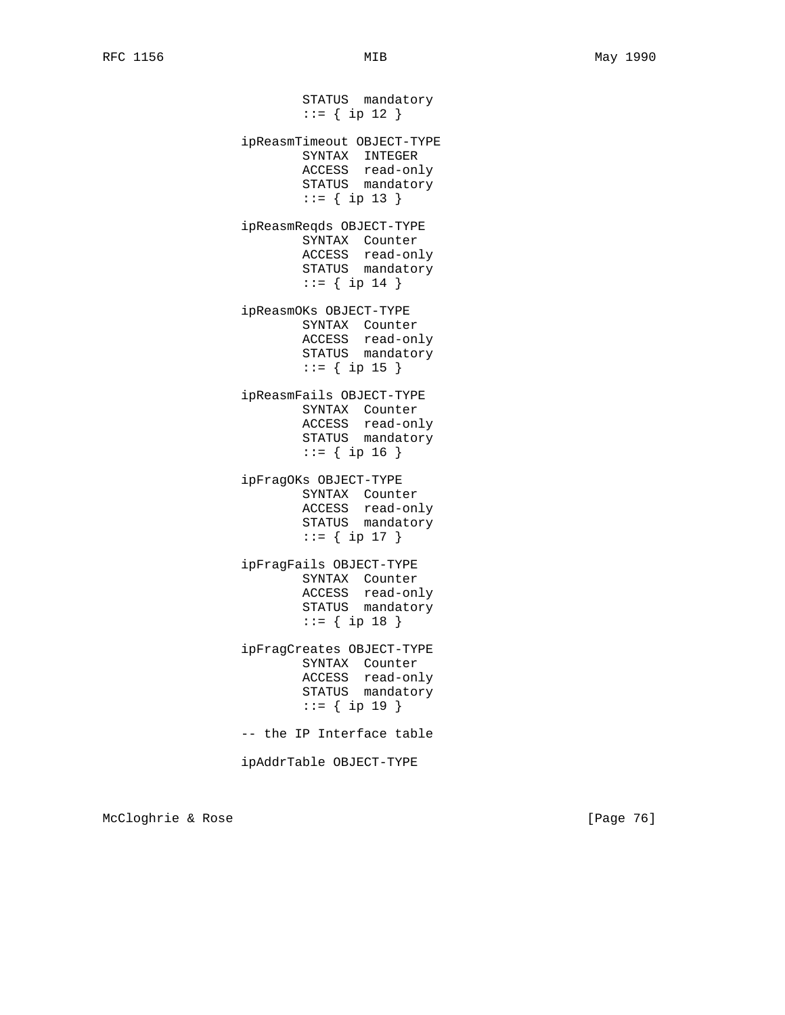STATUS mandatory ::= { ip 12 } ipReasmTimeout OBJECT-TYPE SYNTAX INTEGER ACCESS read-only STATUS mandatory ::= { ip 13 } ipReasmReqds OBJECT-TYPE SYNTAX Counter ACCESS read-only STATUS mandatory ::= { ip 14 } ipReasmOKs OBJECT-TYPE SYNTAX Counter ACCESS read-only STATUS mandatory  $::=$  { ip 15 } ipReasmFails OBJECT-TYPE SYNTAX Counter ACCESS read-only STATUS mandatory ::= { ip 16 } ipFragOKs OBJECT-TYPE SYNTAX Counter ACCESS read-only STATUS mandatory ::= { ip 17 } ipFragFails OBJECT-TYPE SYNTAX Counter ACCESS read-only STATUS mandatory ::= { ip 18 } ipFragCreates OBJECT-TYPE SYNTAX Counter ACCESS read-only STATUS mandatory ::= { ip 19 } -- the IP Interface table ipAddrTable OBJECT-TYPE

McCloghrie & Rose [Page 76]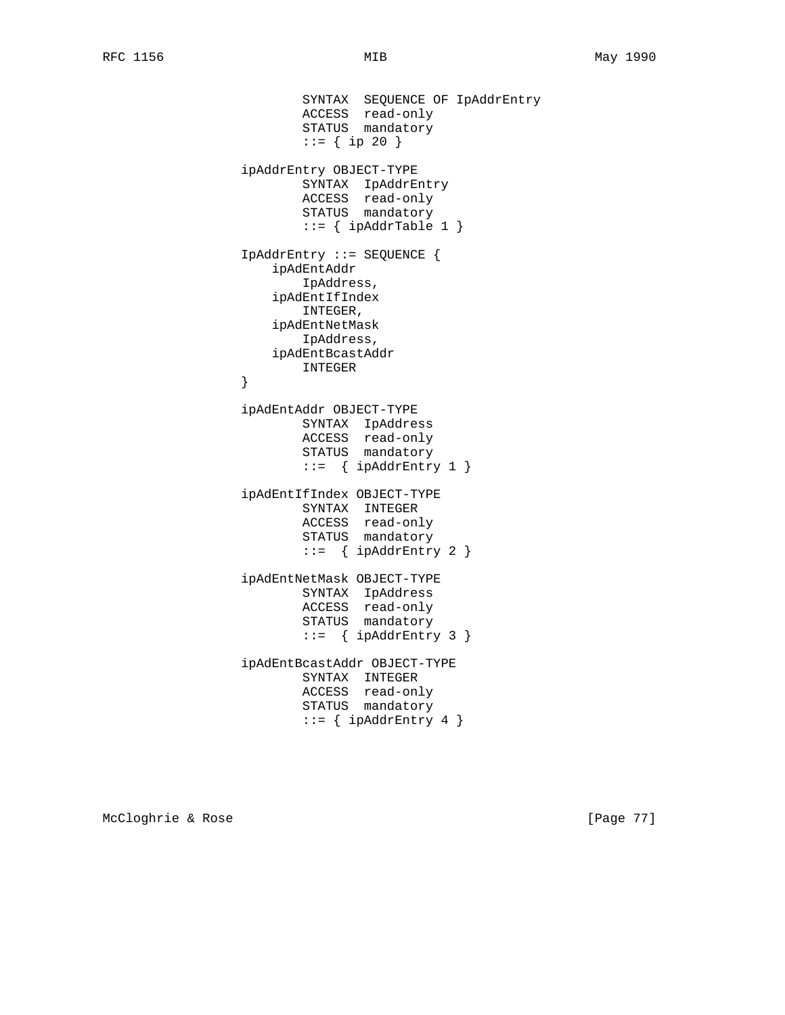```
 SYNTAX SEQUENCE OF IpAddrEntry
 ACCESS read-only
STATUS mandatory
                       ::= { ip 20 }
                ipAddrEntry OBJECT-TYPE
                       SYNTAX IpAddrEntry
                       ACCESS read-only
                       STATUS mandatory
                      ::= { ipAddrTable 1 }
                IpAddrEntry ::= SEQUENCE {
                    ipAdEntAddr
                       IpAddress,
                    ipAdEntIfIndex
                       INTEGER,
                    ipAdEntNetMask
                       IpAddress,
                    ipAdEntBcastAddr
                INTEGER
 }
                ipAdEntAddr OBJECT-TYPE
                       SYNTAX IpAddress
                       ACCESS read-only
STATUS mandatory
 ::= { ipAddrEntry 1 }
                ipAdEntIfIndex OBJECT-TYPE
                       SYNTAX INTEGER
                       ACCESS read-only
                       STATUS mandatory
                      ::= { ipAddrEntry 2 }
                ipAdEntNetMask OBJECT-TYPE
                       SYNTAX IpAddress
                       ACCESS read-only
                       STATUS mandatory
                      ::= { ipAddrEntry 3 }
                ipAdEntBcastAddr OBJECT-TYPE
                       SYNTAX INTEGER
                       ACCESS read-only
                       STATUS mandatory
                      ::= { ipAddrEntry 4 }
```
McCloghrie & Rose [Page 77]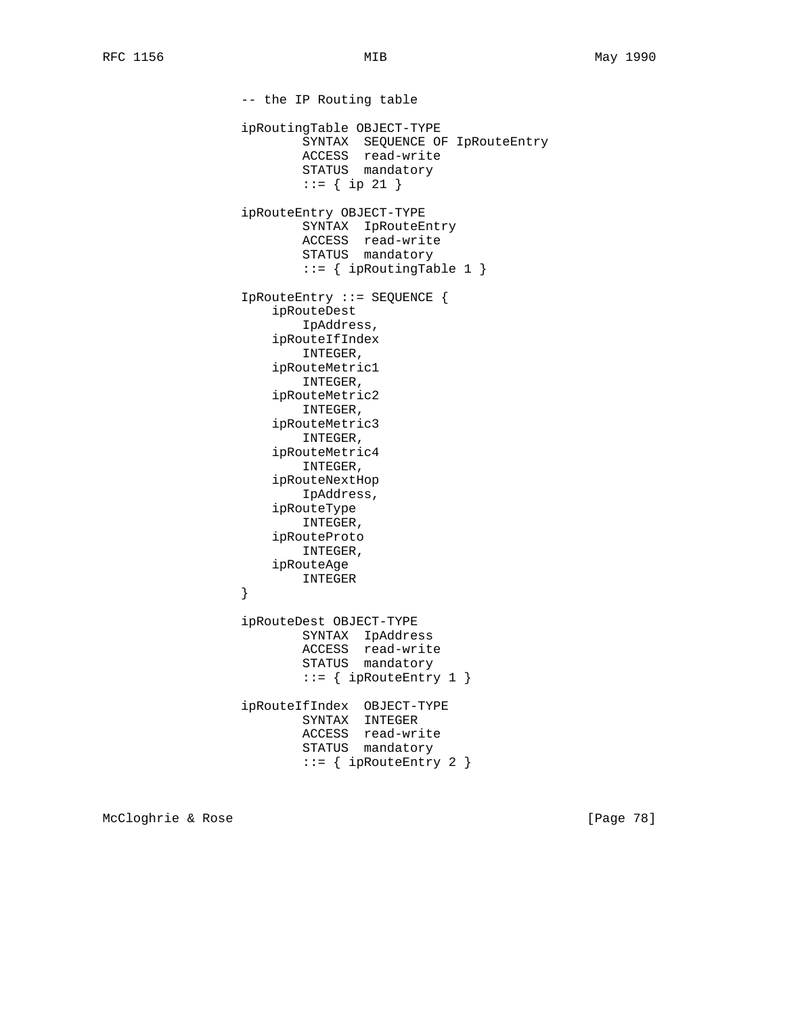-- the IP Routing table ipRoutingTable OBJECT-TYPE SYNTAX SEQUENCE OF IpRouteEntry ACCESS read-write STATUS mandatory ::= { ip 21 } ipRouteEntry OBJECT-TYPE SYNTAX IpRouteEntry ACCESS read-write STATUS mandatory  $::=$  { ipRoutingTable 1 } IpRouteEntry ::= SEQUENCE { ipRouteDest IpAddress, ipRouteIfIndex INTEGER, ipRouteMetric1 INTEGER, ipRouteMetric2 INTEGER, ipRouteMetric3 INTEGER, ipRouteMetric4 INTEGER, ipRouteNextHop IpAddress, ipRouteType INTEGER, ipRouteProto INTEGER, ipRouteAge INTEGER } ipRouteDest OBJECT-TYPE SYNTAX IpAddress ACCESS read-write STATUS mandatory  $::=$  { ipRouteEntry 1 } ipRouteIfIndex OBJECT-TYPE SYNTAX INTEGER ACCESS read-write STATUS mandatory ::= { ipRouteEntry 2 }

McCloghrie & Rose [Page 78]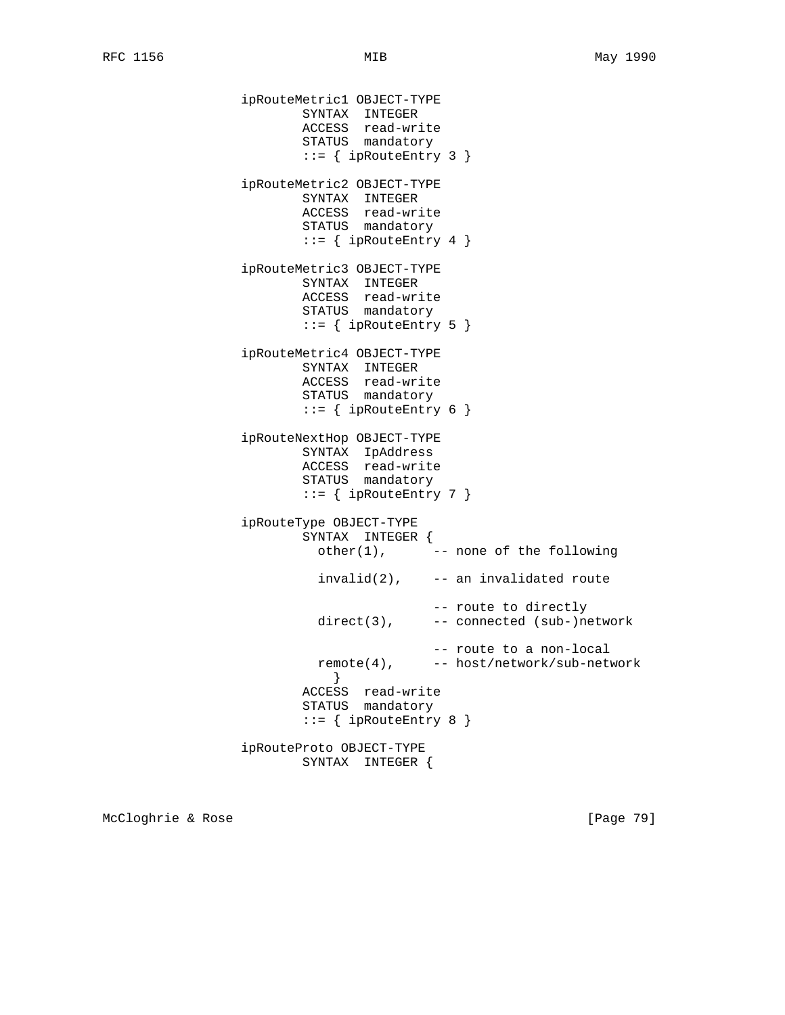```
 ipRouteMetric1 OBJECT-TYPE
                     SYNTAX INTEGER
 ACCESS read-write
STATUS mandatory
                     ::= { ipRouteEntry 3 }
               ipRouteMetric2 OBJECT-TYPE
                     SYNTAX INTEGER
                     ACCESS read-write
                     STATUS mandatory
                    ::= { ipRouteEntry 4 }
               ipRouteMetric3 OBJECT-TYPE
 SYNTAX INTEGER
 ACCESS read-write
STATUS mandatory
                    ::= { ipRouteEntry 5 }
               ipRouteMetric4 OBJECT-TYPE
                     SYNTAX INTEGER
                     ACCESS read-write
                     STATUS mandatory
                     ::= { ipRouteEntry 6 }
               ipRouteNextHop OBJECT-TYPE
 SYNTAX IpAddress
 ACCESS read-write
STATUS mandatory
                    ::= { ipRouteEntry 7 }
               ipRouteType OBJECT-TYPE
                     SYNTAX INTEGER {
                     other(1), --- none of the following
                      invalid(2), -- an invalidated route
                                  -- route to directly
                      direct(3), -- connected (sub-)network
                                  -- route to a non-local
                      remote(4), -- host/network/sub-network
 }
                     ACCESS read-write
                     STATUS mandatory
                    ::= { ipRouteEntry 8 }
               ipRouteProto OBJECT-TYPE
                     SYNTAX INTEGER {
```
McCloghrie & Rose [Page 79]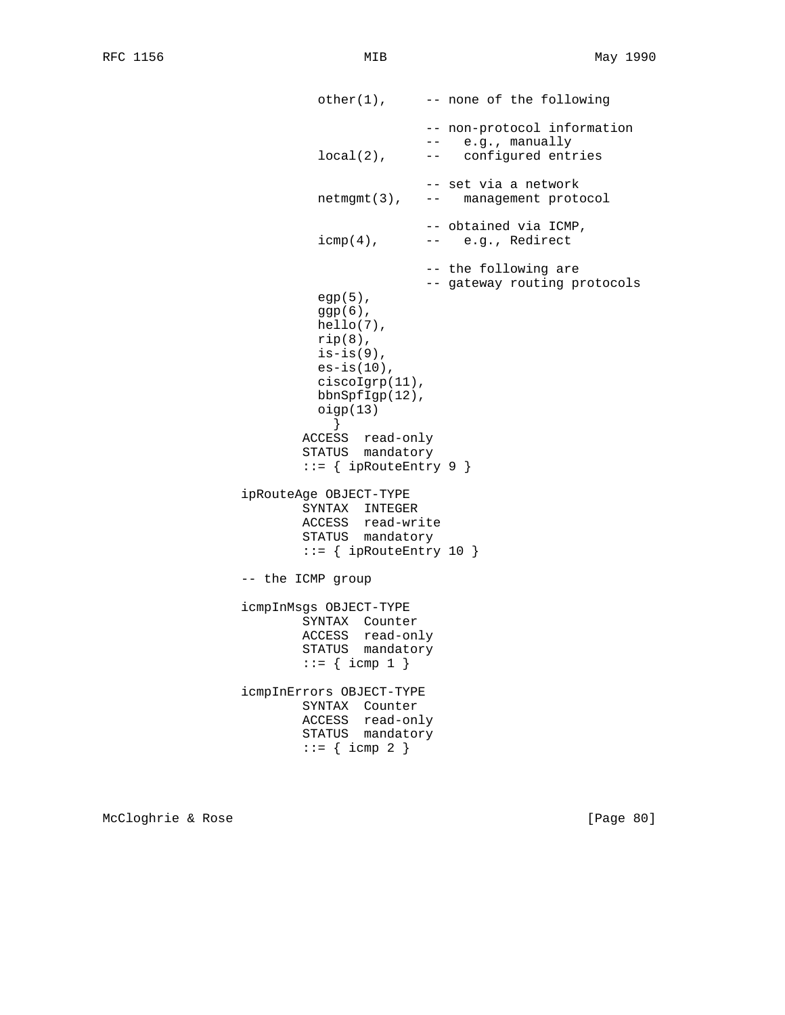```
other(1), --- none of the following
                                      -- non-protocol information
                                      -- e.g., manually
                         local(2), -- configured entries
                                      -- set via a network
                         netmgmt(3), -- management protocol
                                      -- obtained via ICMP,
                         icmp(4), -- e.g., Redirect
                                      -- the following are
                                      -- gateway routing protocols
                         egp(5),
                         ggp(6),
                         hello(7),
                        rip(8),
                        is-is(9),
                        es-is(10),
                         ciscoIgrp(11),
                         bbnSpfIgp(12),
                         oigp(13)
 }
                       ACCESS read-only
                       STATUS mandatory
                       ::= { ipRouteEntry 9 }
                ipRouteAge OBJECT-TYPE
                       SYNTAX INTEGER
                       ACCESS read-write
                       STATUS mandatory
                      ::= { ipRouteEntry 10 }
                -- the ICMP group
                icmpInMsgs OBJECT-TYPE
SYNTAX Counter
 ACCESS read-only
STATUS mandatory
                      ::= { \i{comp 1 } } icmpInErrors OBJECT-TYPE
                       SYNTAX Counter
                       ACCESS read-only
                       STATUS mandatory
                      ::= { icmp 2 }
```
McCloghrie & Rose [Page 80]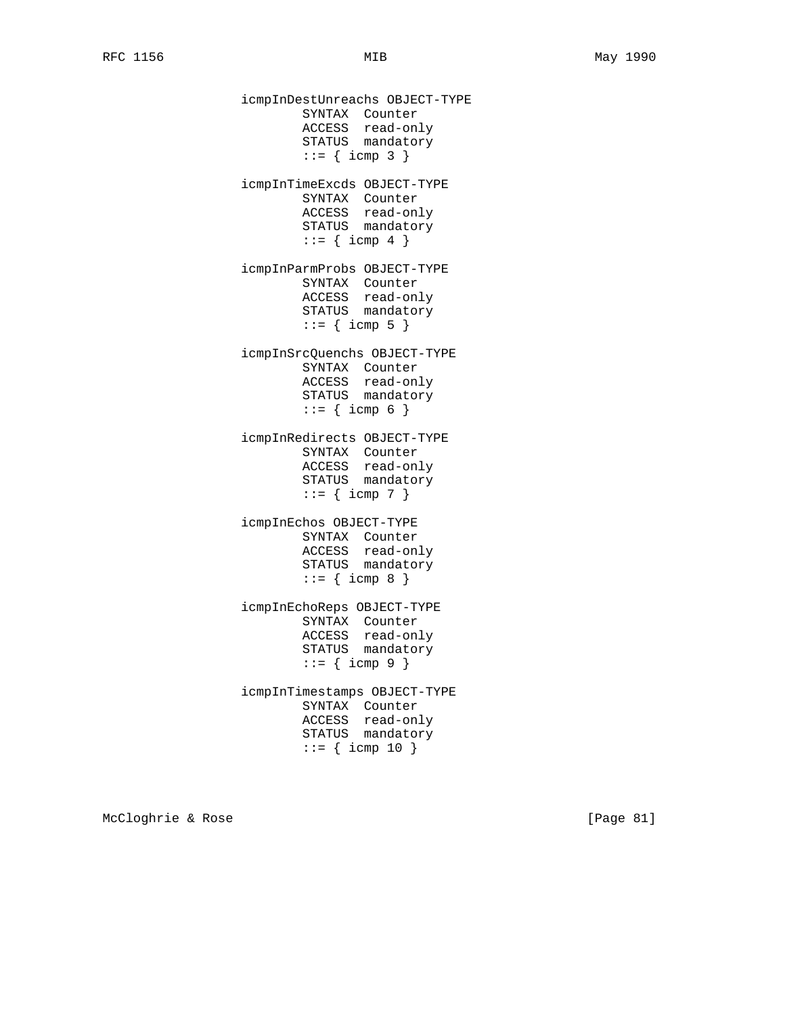icmpInDestUnreachs OBJECT-TYPE SYNTAX Counter ACCESS read-only STATUS mandatory  $::= {$  icmp 3 } icmpInTimeExcds OBJECT-TYPE SYNTAX Counter ACCESS read-only STATUS mandatory  $::=$  { icmp 4 } icmpInParmProbs OBJECT-TYPE SYNTAX Counter ACCESS read-only STATUS mandatory  $::= {$  icmp 5 } icmpInSrcQuenchs OBJECT-TYPE SYNTAX Counter ACCESS read-only STATUS mandatory  $::= {$  icmp 6 } icmpInRedirects OBJECT-TYPE SYNTAX Counter ACCESS read-only STATUS mandatory  $::= {$  icmp 7 } icmpInEchos OBJECT-TYPE SYNTAX Counter ACCESS read-only STATUS mandatory  $::= {$  icmp 8 } icmpInEchoReps OBJECT-TYPE SYNTAX Counter ACCESS read-only STATUS mandatory  $::= {$  icmp 9 } icmpInTimestamps OBJECT-TYPE SYNTAX Counter ACCESS read-only STATUS mandatory  $::= {$  icmp 10 }

McCloghrie & Rose [Page 81]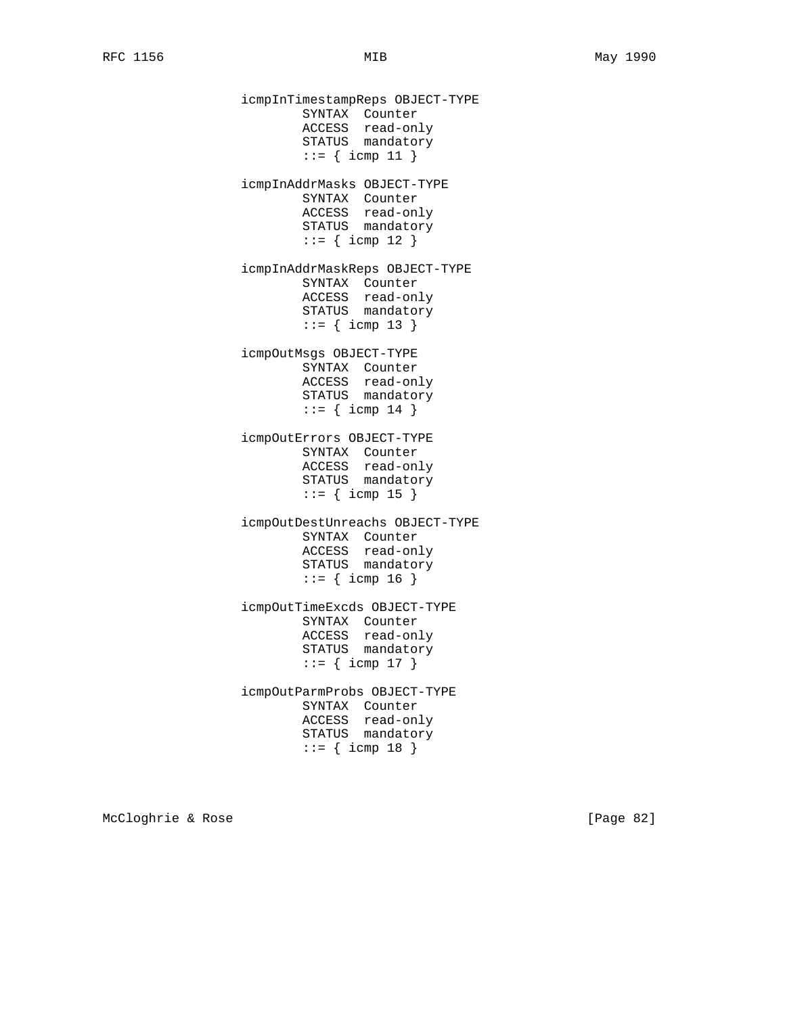icmpInTimestampReps OBJECT-TYPE SYNTAX Counter ACCESS read-only STATUS mandatory  $::= {$  icmp 11 } icmpInAddrMasks OBJECT-TYPE SYNTAX Counter ACCESS read-only STATUS mandatory  $::= {$  icmp 12 } icmpInAddrMaskReps OBJECT-TYPE SYNTAX Counter ACCESS read-only STATUS mandatory  $::= {$  icmp 13 } icmpOutMsgs OBJECT-TYPE SYNTAX Counter ACCESS read-only STATUS mandatory  $::=$  { icmp 14 } icmpOutErrors OBJECT-TYPE SYNTAX Counter ACCESS read-only STATUS mandatory  $::=$  { icmp 15 } icmpOutDestUnreachs OBJECT-TYPE SYNTAX Counter ACCESS read-only STATUS mandatory  $::= {$  icmp 16 } icmpOutTimeExcds OBJECT-TYPE SYNTAX Counter ACCESS read-only STATUS mandatory  $::=$  { icmp 17 } icmpOutParmProbs OBJECT-TYPE SYNTAX Counter ACCESS read-only STATUS mandatory  $::= {$  icmp 18 }

McCloghrie & Rose [Page 82]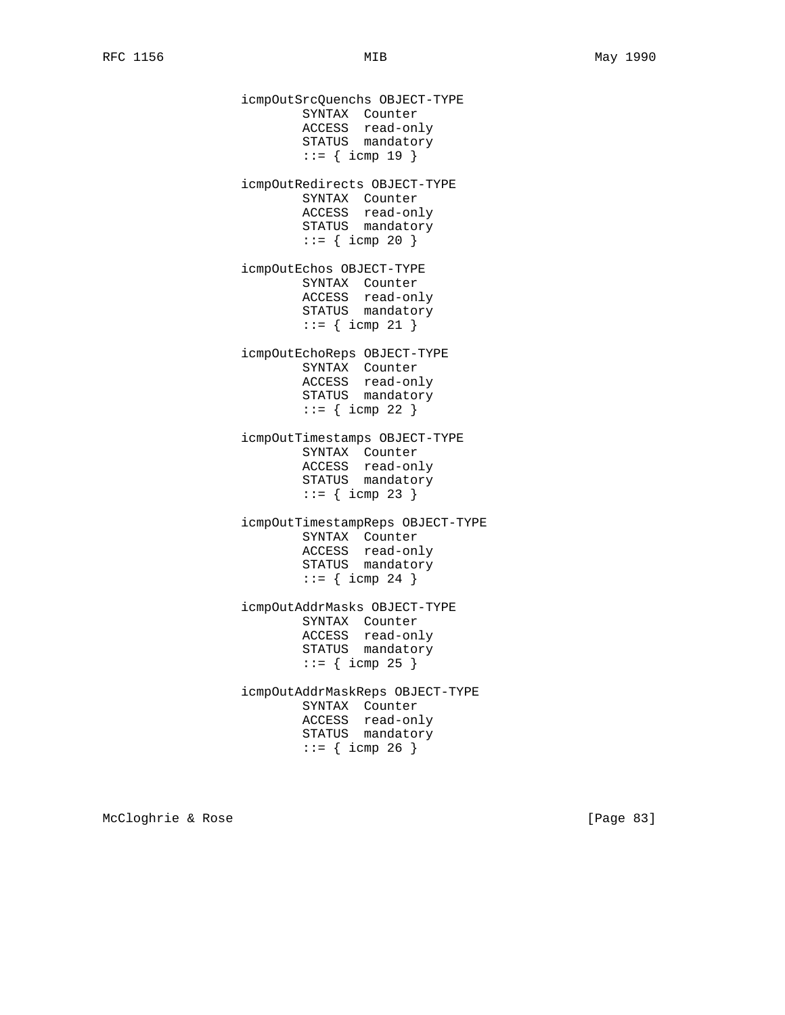icmpOutSrcQuenchs OBJECT-TYPE SYNTAX Counter ACCESS read-only STATUS mandatory  $::= {$  icmp 19 } icmpOutRedirects OBJECT-TYPE SYNTAX Counter ACCESS read-only STATUS mandatory  $::= {$  icmp 20 } icmpOutEchos OBJECT-TYPE SYNTAX Counter ACCESS read-only STATUS mandatory  $::= {$  icmp 21 } icmpOutEchoReps OBJECT-TYPE SYNTAX Counter ACCESS read-only STATUS mandatory  $::= {$  icmp 22 } icmpOutTimestamps OBJECT-TYPE SYNTAX Counter ACCESS read-only STATUS mandatory  $::= {$  icmp 23 } icmpOutTimestampReps OBJECT-TYPE SYNTAX Counter ACCESS read-only STATUS mandatory  $::= { \i{comp 24 } }$  icmpOutAddrMasks OBJECT-TYPE SYNTAX Counter ACCESS read-only STATUS mandatory  $::= {$  icmp 25 } icmpOutAddrMaskReps OBJECT-TYPE SYNTAX Counter ACCESS read-only STATUS mandatory  $::= {$  icmp 26 }

McCloghrie & Rose [Page 83]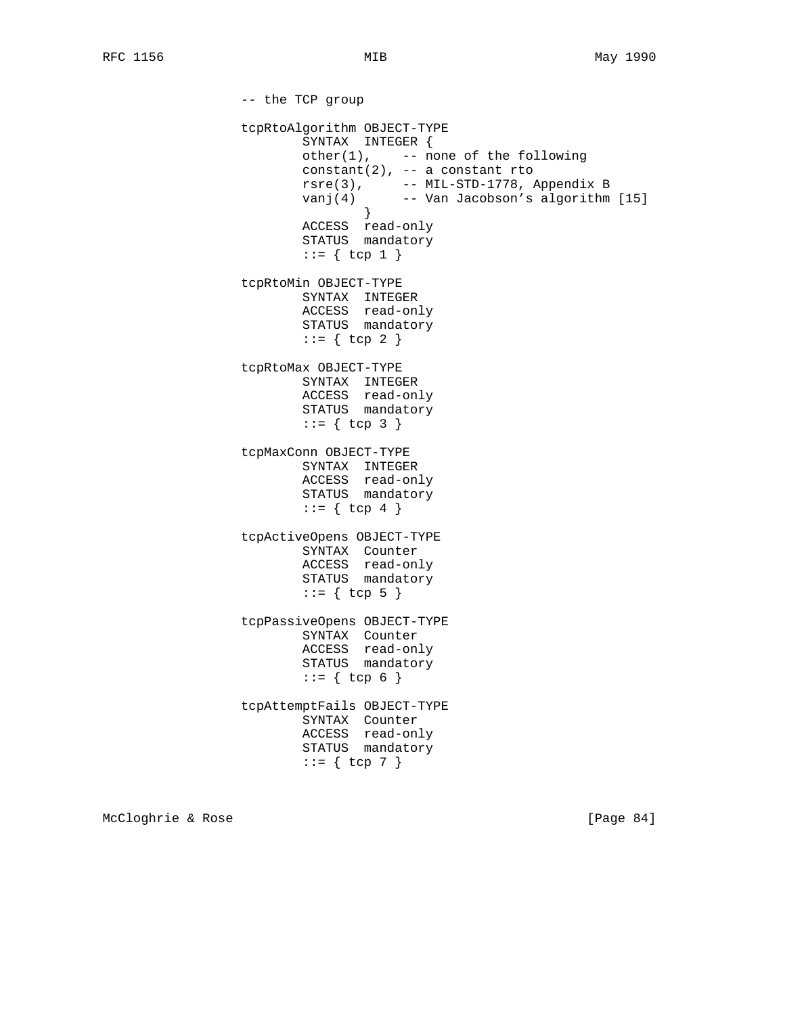-- the TCP group tcpRtoAlgorithm OBJECT-TYPE SYNTAX INTEGER { other(1), -- none of the following constant(2), -- a constant rto rsre(3), -- MIL-STD-1778, Appendix B vanj(4) -- Van Jacobson's algorithm [15] } ACCESS read-only STATUS mandatory  $::= \{ \text{top } 1 \}$  tcpRtoMin OBJECT-TYPE SYNTAX INTEGER ACCESS read-only STATUS mandatory  $::= \{ \text{top } 2 \}$  tcpRtoMax OBJECT-TYPE SYNTAX INTEGER ACCESS read-only STATUS mandatory  $::= \{ \text{top } 3 \}$  tcpMaxConn OBJECT-TYPE SYNTAX INTEGER ACCESS read-only STATUS mandatory  $::= \{ \text{top } 4 \}$  tcpActiveOpens OBJECT-TYPE SYNTAX Counter ACCESS read-only STATUS mandatory  $::= \{ \text{top } 5 \}$  tcpPassiveOpens OBJECT-TYPE SYNTAX Counter ACCESS read-only STATUS mandatory  $::= \{ \text{top } 6 \}$  tcpAttemptFails OBJECT-TYPE SYNTAX Counter ACCESS read-only STATUS mandatory  $::= \{ \text{top } 7 \}$ 

McCloghrie & Rose [Page 84]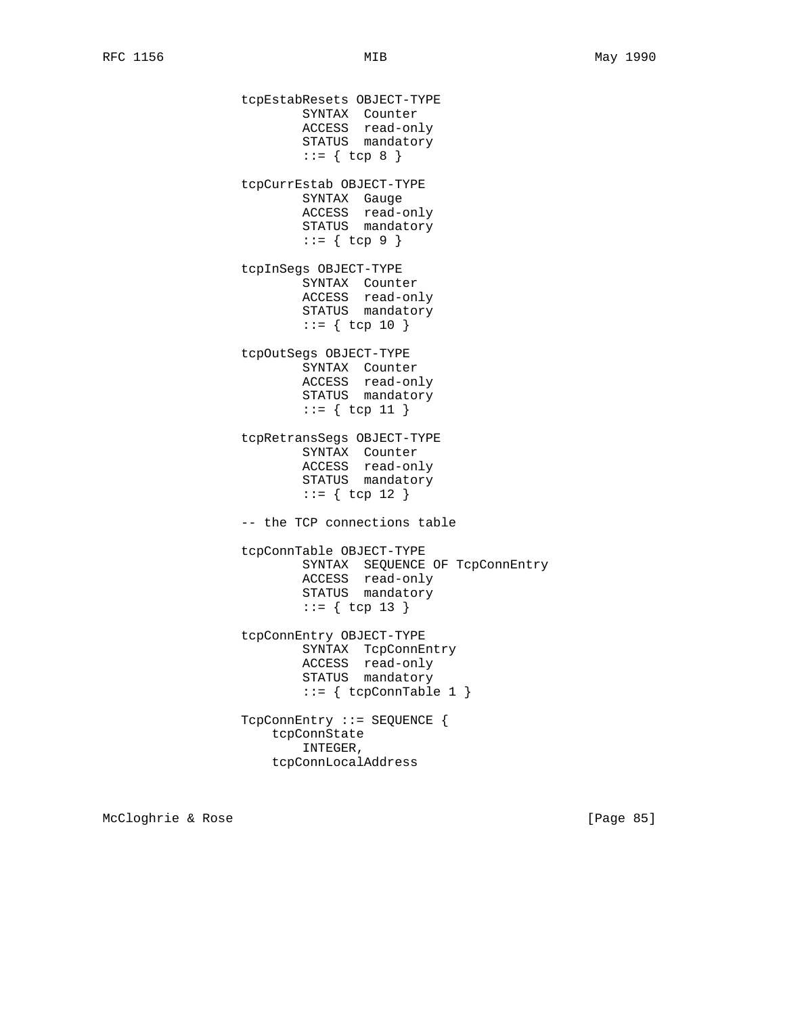tcpEstabResets OBJECT-TYPE SYNTAX Counter ACCESS read-only STATUS mandatory  $::= \{ \text{top } 8 \}$  tcpCurrEstab OBJECT-TYPE SYNTAX Gauge ACCESS read-only STATUS mandatory  $::= \{ \text{top } 9 \}$  tcpInSegs OBJECT-TYPE SYNTAX Counter ACCESS read-only STATUS mandatory  $::= \{ \text{top } 10 \}$  tcpOutSegs OBJECT-TYPE SYNTAX Counter ACCESS read-only STATUS mandatory ::= { tcp 11 } tcpRetransSegs OBJECT-TYPE SYNTAX Counter ACCESS read-only STATUS mandatory ::= { tcp 12 } -- the TCP connections table tcpConnTable OBJECT-TYPE SYNTAX SEQUENCE OF TcpConnEntry ACCESS read-only STATUS mandatory ::= { tcp 13 } tcpConnEntry OBJECT-TYPE SYNTAX TcpConnEntry ACCESS read-only STATUS mandatory ::= { tcpConnTable 1 } TcpConnEntry ::= SEQUENCE { tcpConnState INTEGER, tcpConnLocalAddress

McCloghrie & Rose [Page 85]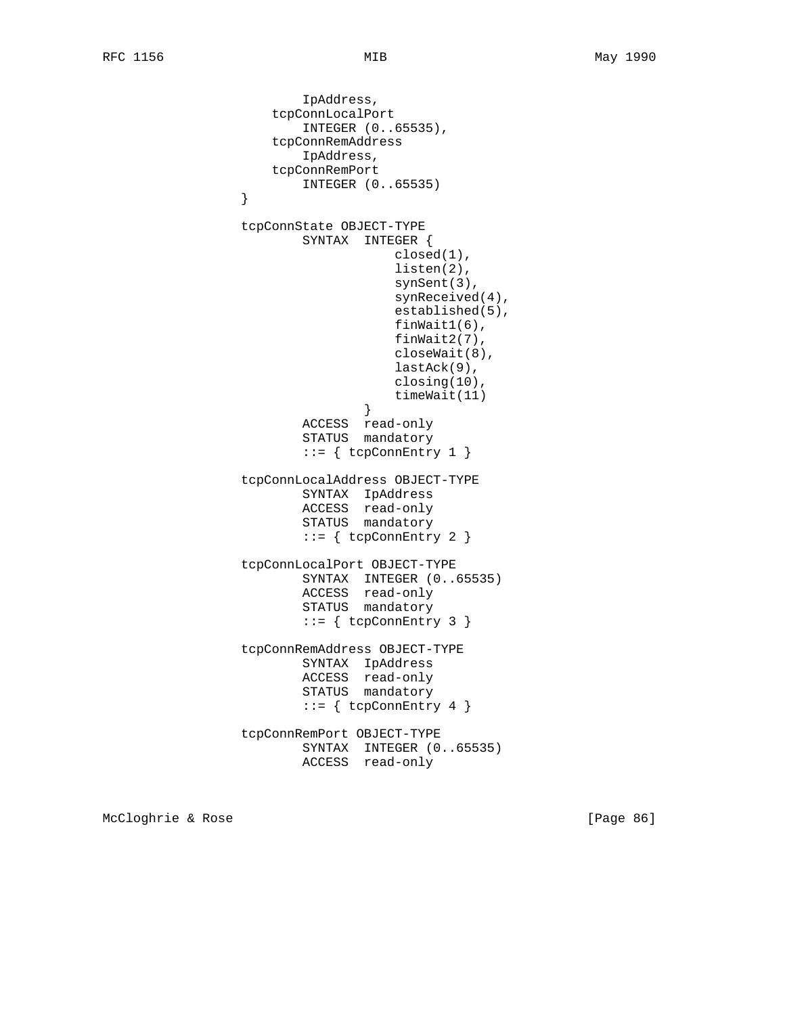```
 IpAddress,
                     tcpConnLocalPort
                         INTEGER (0..65535),
                     tcpConnRemAddress
                         IpAddress,
                     tcpConnRemPort
                INTEGER (0..65535)
 }
                 tcpConnState OBJECT-TYPE
                         SYNTAX INTEGER {
                                    closed(1),
                                    listen(2),
                                    synSent(3),
                                    synReceived(4),
                                    established(5),
                                    finWait1(6),
                                    finWait2(7),
                                    closeWait(8),
                                    lastAck(9),
                                    closing(10),
                               timeWait(11)<br>}
 }
                         ACCESS read-only
                         STATUS mandatory
                        ::= \{ \text{topConnEntry 1 } \} tcpConnLocalAddress OBJECT-TYPE
 SYNTAX IpAddress
 ACCESS read-only
                         STATUS mandatory
                        ::= { tcpConnEntry 2 }
                 tcpConnLocalPort OBJECT-TYPE
                         SYNTAX INTEGER (0..65535)
                         ACCESS read-only
                         STATUS mandatory
                         ::= { tcpConnEntry 3 }
                 tcpConnRemAddress OBJECT-TYPE
                         SYNTAX IpAddress
                         ACCESS read-only
                         STATUS mandatory
                        ::= \{ \text{tcpConnEntry 4 } \} tcpConnRemPort OBJECT-TYPE
                         SYNTAX INTEGER (0..65535)
                         ACCESS read-only
```
McCloghrie & Rose [Page 86]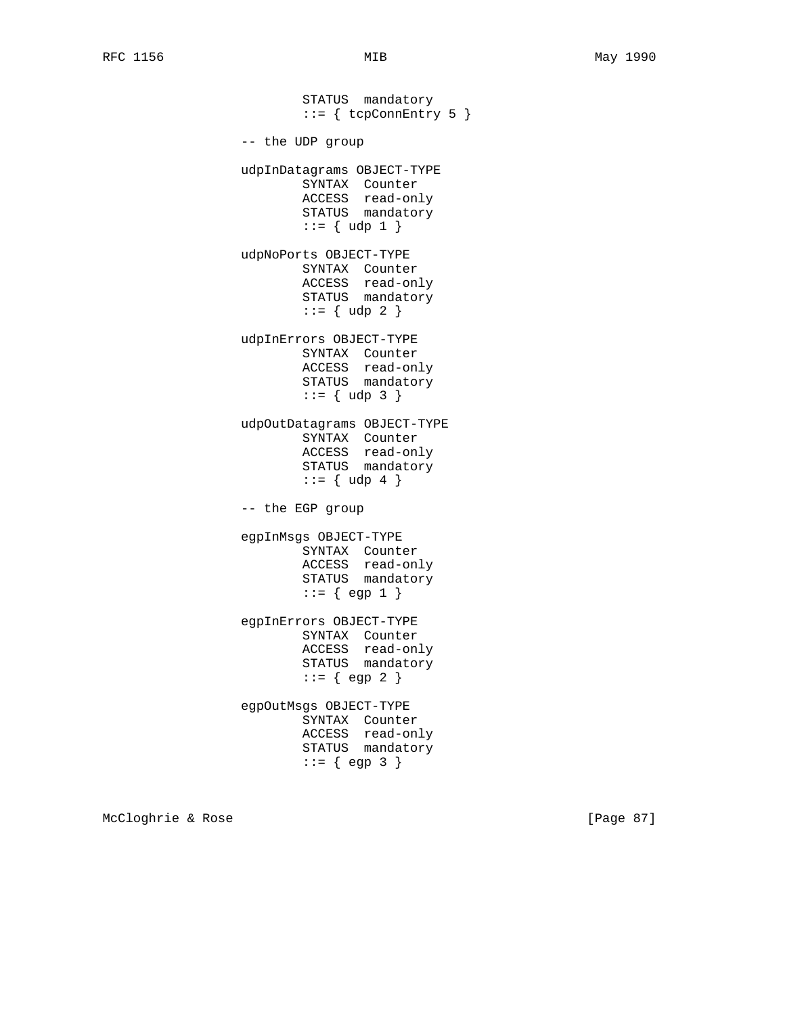STATUS mandatory  $::=$  { tcpConnEntry 5 } -- the UDP group udpInDatagrams OBJECT-TYPE SYNTAX Counter ACCESS read-only STATUS mandatory  $::= \{ udp 1 \}$  udpNoPorts OBJECT-TYPE SYNTAX Counter ACCESS read-only STATUS mandatory  $::= \{ udp 2 \}$  udpInErrors OBJECT-TYPE SYNTAX Counter ACCESS read-only STATUS mandatory  $::= \{ udp 3 \}$  udpOutDatagrams OBJECT-TYPE SYNTAX Counter ACCESS read-only STATUS mandatory  $::= \{ udp 4 \}$  -- the EGP group egpInMsgs OBJECT-TYPE SYNTAX Counter ACCESS read-only STATUS mandatory  $::= \{ \text{egp 1 } \}$  egpInErrors OBJECT-TYPE SYNTAX Counter ACCESS read-only STATUS mandatory  $::= \{ \text{egp 2 } \}$  egpOutMsgs OBJECT-TYPE SYNTAX Counter ACCESS read-only STATUS mandatory  $::= { \text{ egp 3 } }$ 

McCloghrie & Rose [Page 87]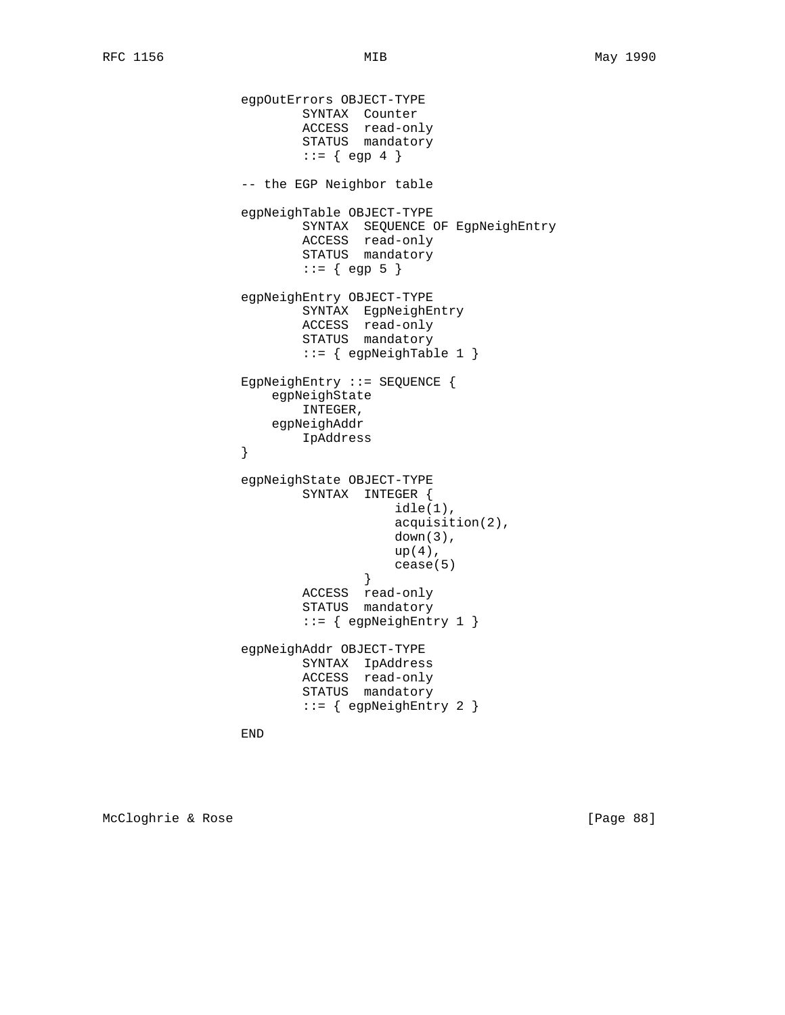```
 egpOutErrors OBJECT-TYPE
SYNTAX Counter
 ACCESS read-only
STATUS mandatory
                     ::= \{ egp 4 \} -- the EGP Neighbor table
               egpNeighTable OBJECT-TYPE
                      SYNTAX SEQUENCE OF EgpNeighEntry
                      ACCESS read-only
                      STATUS mandatory
                     ::= \{ egp 5 \} egpNeighEntry OBJECT-TYPE
                      SYNTAX EgpNeighEntry
 ACCESS read-only
STATUS mandatory
                      ::= { egpNeighTable 1 }
               EgpNeighEntry ::= SEQUENCE {
                  egpNeighState
                      INTEGER,
                  egpNeighAddr
               IpAddress
 }
               egpNeighState OBJECT-TYPE
                      SYNTAX INTEGER {
                               idle(1),
                               acquisition(2),
                              down(3),
                              up(4),
                           cease(5)<br>}
 }
                      ACCESS read-only
                      STATUS mandatory
                     ::= { egpNeighEntry 1 }
               egpNeighAddr OBJECT-TYPE
                      SYNTAX IpAddress
                      ACCESS read-only
                      STATUS mandatory
                      ::= { egpNeighEntry 2 }
```
END

McCloghrie & Rose [Page 88]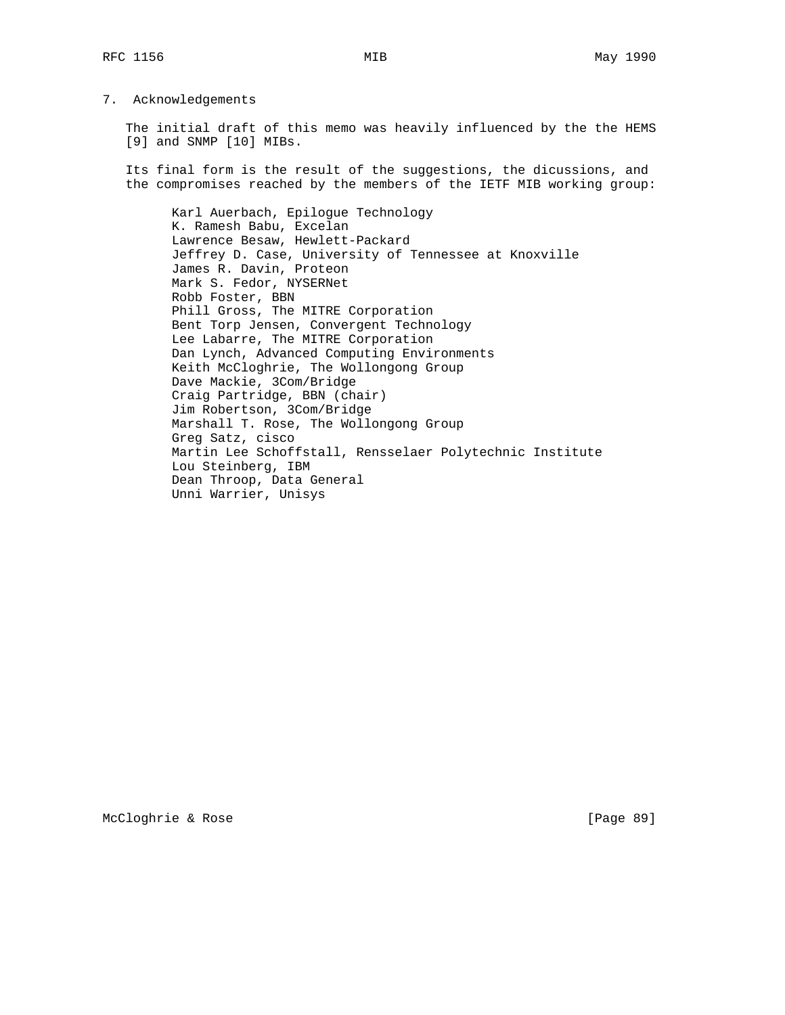## 7. Acknowledgements

 The initial draft of this memo was heavily influenced by the the HEMS [9] and SNMP [10] MIBs.

 Its final form is the result of the suggestions, the dicussions, and the compromises reached by the members of the IETF MIB working group:

 Karl Auerbach, Epilogue Technology K. Ramesh Babu, Excelan Lawrence Besaw, Hewlett-Packard Jeffrey D. Case, University of Tennessee at Knoxville James R. Davin, Proteon Mark S. Fedor, NYSERNet Robb Foster, BBN Phill Gross, The MITRE Corporation Bent Torp Jensen, Convergent Technology Lee Labarre, The MITRE Corporation Dan Lynch, Advanced Computing Environments Keith McCloghrie, The Wollongong Group Dave Mackie, 3Com/Bridge Craig Partridge, BBN (chair) Jim Robertson, 3Com/Bridge Marshall T. Rose, The Wollongong Group Greg Satz, cisco Martin Lee Schoffstall, Rensselaer Polytechnic Institute Lou Steinberg, IBM Dean Throop, Data General Unni Warrier, Unisys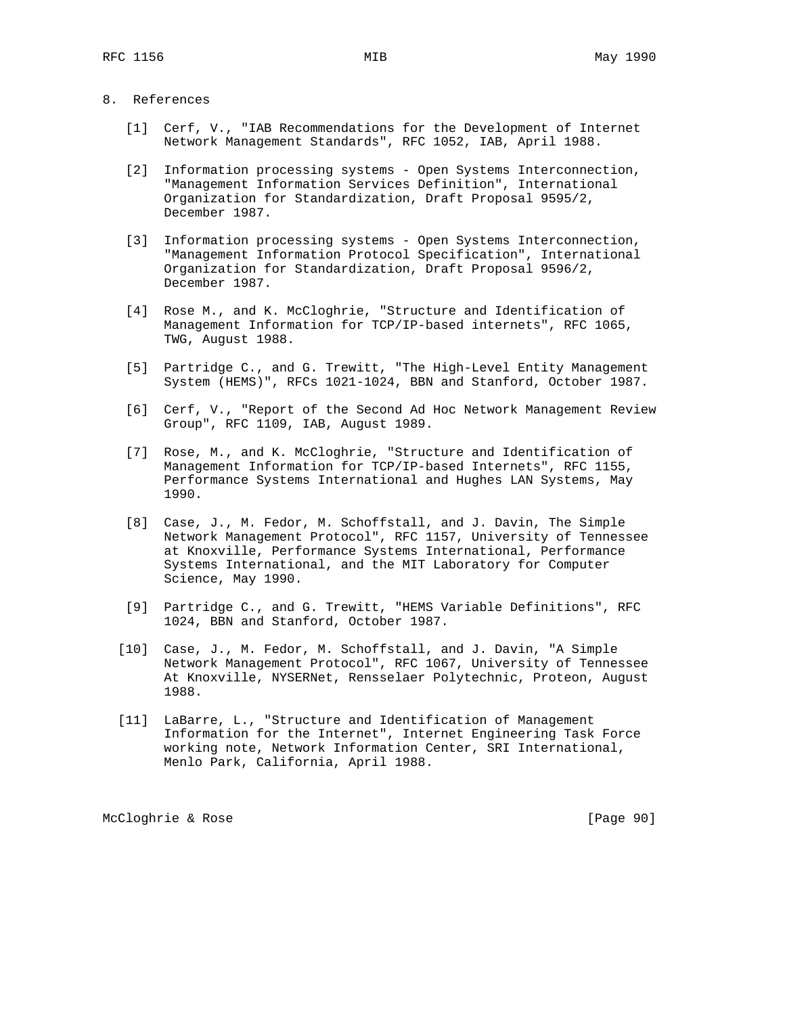- 8. References
	- [1] Cerf, V., "IAB Recommendations for the Development of Internet Network Management Standards", RFC 1052, IAB, April 1988.
	- [2] Information processing systems Open Systems Interconnection, "Management Information Services Definition", International Organization for Standardization, Draft Proposal 9595/2, December 1987.
	- [3] Information processing systems Open Systems Interconnection, "Management Information Protocol Specification", International Organization for Standardization, Draft Proposal 9596/2, December 1987.
	- [4] Rose M., and K. McCloghrie, "Structure and Identification of Management Information for TCP/IP-based internets", RFC 1065, TWG, August 1988.
	- [5] Partridge C., and G. Trewitt, "The High-Level Entity Management System (HEMS)", RFCs 1021-1024, BBN and Stanford, October 1987.
	- [6] Cerf, V., "Report of the Second Ad Hoc Network Management Review Group", RFC 1109, IAB, August 1989.
	- [7] Rose, M., and K. McCloghrie, "Structure and Identification of Management Information for TCP/IP-based Internets", RFC 1155, Performance Systems International and Hughes LAN Systems, May 1990.
	- [8] Case, J., M. Fedor, M. Schoffstall, and J. Davin, The Simple Network Management Protocol", RFC 1157, University of Tennessee at Knoxville, Performance Systems International, Performance Systems International, and the MIT Laboratory for Computer Science, May 1990.
	- [9] Partridge C., and G. Trewitt, "HEMS Variable Definitions", RFC 1024, BBN and Stanford, October 1987.
	- [10] Case, J., M. Fedor, M. Schoffstall, and J. Davin, "A Simple Network Management Protocol", RFC 1067, University of Tennessee At Knoxville, NYSERNet, Rensselaer Polytechnic, Proteon, August 1988.
	- [11] LaBarre, L., "Structure and Identification of Management Information for the Internet", Internet Engineering Task Force working note, Network Information Center, SRI International, Menlo Park, California, April 1988.

McCloghrie & Rose [Page 90]